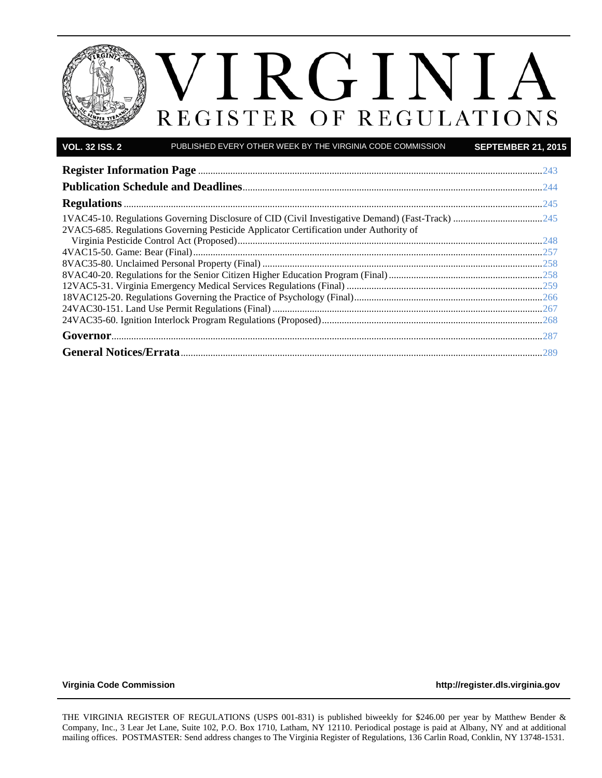

| <b>VOL. 32 ISS. 2</b> | PUBLISHED EVERY OTHER WEEK BY THE VIRGINIA CODE COMMISSION                             | <b>SEPTEMBER 21, 2015</b> |
|-----------------------|----------------------------------------------------------------------------------------|---------------------------|
|                       |                                                                                        |                           |
|                       |                                                                                        |                           |
|                       |                                                                                        |                           |
|                       |                                                                                        |                           |
|                       | 2VAC5-685. Regulations Governing Pesticide Applicator Certification under Authority of |                           |
|                       |                                                                                        |                           |
|                       |                                                                                        |                           |
|                       |                                                                                        |                           |
|                       |                                                                                        |                           |
|                       |                                                                                        |                           |
|                       |                                                                                        |                           |

**[Virginia Code Commission](http://register.dls.virginia.gov/) [http://register.dls.virginia.gov](http://register.dls.virginia.gov/)**

THE VIRGINIA REGISTER OF REGULATIONS (USPS 001-831) is published biweekly for \$246.00 per year by Matthew Bender & Company, Inc., 3 Lear Jet Lane, Suite 102, P.O. Box 1710, Latham, NY 12110. Periodical postage is paid at Albany, NY and at additional mailing offices. POSTMASTER: Send address changes to The Virginia Register of Regulations, 136 Carlin Road, Conklin, NY 13748-1531.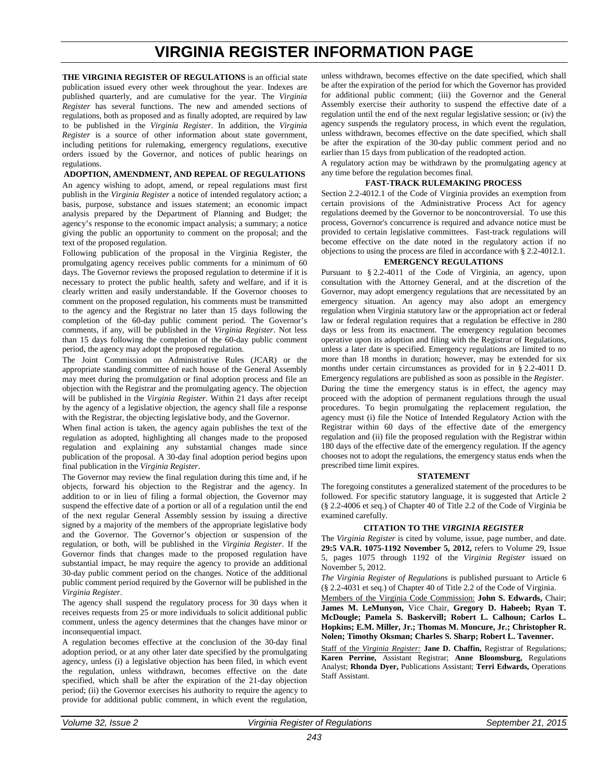# **VIRGINIA REGISTER INFORMATION PAGE**

<span id="page-2-1"></span><span id="page-2-0"></span>**THE VIRGINIA REGISTER OF REGULATIONS** is an official state publication issued every other week throughout the year. Indexes are published quarterly, and are cumulative for the year. The *Virginia Register* has several functions. The new and amended sections of regulations, both as proposed and as finally adopted, are required by law to be published in the *Virginia Register*. In addition, the *Virginia Register* is a source of other information about state government, including petitions for rulemaking, emergency regulations, executive orders issued by the Governor, and notices of public hearings on regulations.

#### **ADOPTION, AMENDMENT, AND REPEAL OF REGULATIONS**

An agency wishing to adopt, amend, or repeal regulations must first publish in the *Virginia Register* a notice of intended regulatory action; a basis, purpose, substance and issues statement; an economic impact analysis prepared by the Department of Planning and Budget; the agency's response to the economic impact analysis; a summary; a notice giving the public an opportunity to comment on the proposal; and the text of the proposed regulation.

Following publication of the proposal in the Virginia Register, the promulgating agency receives public comments for a minimum of 60 days. The Governor reviews the proposed regulation to determine if it is necessary to protect the public health, safety and welfare, and if it is clearly written and easily understandable. If the Governor chooses to comment on the proposed regulation, his comments must be transmitted to the agency and the Registrar no later than 15 days following the completion of the 60-day public comment period. The Governor's comments, if any, will be published in the *Virginia Register*. Not less than 15 days following the completion of the 60-day public comment period, the agency may adopt the proposed regulation.

The Joint Commission on Administrative Rules (JCAR) or the appropriate standing committee of each house of the General Assembly may meet during the promulgation or final adoption process and file an objection with the Registrar and the promulgating agency. The objection will be published in the *Virginia Register*. Within 21 days after receipt by the agency of a legislative objection, the agency shall file a response with the Registrar, the objecting legislative body, and the Governor.

When final action is taken, the agency again publishes the text of the regulation as adopted, highlighting all changes made to the proposed regulation and explaining any substantial changes made since publication of the proposal. A 30-day final adoption period begins upon final publication in the *Virginia Register*.

The Governor may review the final regulation during this time and, if he objects, forward his objection to the Registrar and the agency. In addition to or in lieu of filing a formal objection, the Governor may suspend the effective date of a portion or all of a regulation until the end of the next regular General Assembly session by issuing a directive signed by a majority of the members of the appropriate legislative body and the Governor. The Governor's objection or suspension of the regulation, or both, will be published in the *Virginia Register*. If the Governor finds that changes made to the proposed regulation have substantial impact, he may require the agency to provide an additional 30-day public comment period on the changes. Notice of the additional public comment period required by the Governor will be published in the *Virginia Register*.

The agency shall suspend the regulatory process for 30 days when it receives requests from 25 or more individuals to solicit additional public comment, unless the agency determines that the changes have minor or inconsequential impact.

A regulation becomes effective at the conclusion of the 30-day final adoption period, or at any other later date specified by the promulgating agency, unless (i) a legislative objection has been filed, in which event the regulation, unless withdrawn, becomes effective on the date specified, which shall be after the expiration of the 21-day objection period; (ii) the Governor exercises his authority to require the agency to provide for additional public comment, in which event the regulation,

unless withdrawn, becomes effective on the date specified, which shall be after the expiration of the period for which the Governor has provided for additional public comment; (iii) the Governor and the General Assembly exercise their authority to suspend the effective date of a regulation until the end of the next regular legislative session; or (iv) the agency suspends the regulatory process, in which event the regulation, unless withdrawn, becomes effective on the date specified, which shall be after the expiration of the 30-day public comment period and no earlier than 15 days from publication of the readopted action.

A regulatory action may be withdrawn by the promulgating agency at any time before the regulation becomes final.

#### **FAST-TRACK RULEMAKING PROCESS**

Section 2.2-4012.1 of the Code of Virginia provides an exemption from certain provisions of the Administrative Process Act for agency regulations deemed by the Governor to be noncontroversial. To use this process, Governor's concurrence is required and advance notice must be provided to certain legislative committees. Fast-track regulations will become effective on the date noted in the regulatory action if no objections to using the process are filed in accordance with § 2.2-4012.1.

#### **EMERGENCY REGULATIONS**

Pursuant to § [2.2-4011](http://leg1.state.va.us/cgi-bin/legp504.exe?000+cod+2.2-4011) of the Code of Virginia, an agency, upon consultation with the Attorney General, and at the discretion of the Governor, may adopt emergency regulations that are necessitated by an emergency situation. An agency may also adopt an emergency regulation when Virginia statutory law or the appropriation act or federal law or federal regulation requires that a regulation be effective in 280 days or less from its enactment. The emergency regulation becomes operative upon its adoption and filing with the Registrar of Regulations, unless a later date is specified. Emergency regulations are limited to no more than 18 months in duration; however, may be extended for six months under certain circumstances as provided for in § 2.2-4011 D. Emergency regulations are published as soon as possible in the *Register*. During the time the emergency status is in effect, the agency may proceed with the adoption of permanent regulations through the usual procedures. To begin promulgating the replacement regulation, the agency must (i) file the Notice of Intended Regulatory Action with the Registrar within 60 days of the effective date of the emergency regulation and (ii) file the proposed regulation with the Registrar within 180 days of the effective date of the emergency regulation. If the agency chooses not to adopt the regulations, the emergency status ends when the prescribed time limit expires.

#### **STATEMENT**

The foregoing constitutes a generalized statement of the procedures to be followed. For specific statutory language, it is suggested that Article 2 (§ 2.2-4006 et seq.) of Chapter 40 of Title 2.2 of the Code of Virginia be examined carefully.

#### **CITATION TO THE** *VIRGINIA REGISTER*

The *Virginia Register* is cited by volume, issue, page number, and date. **29:5 VA.R. 1075-1192 November 5, 2012,** refers to Volume 29, Issue 5, pages 1075 through 1192 of the *Virginia Register* issued on November 5, 2012.

*The Virginia Register of Regulations* is published pursuant to Article 6 (§ 2.2-4031 et seq.) of Chapter 40 of Title 2.2 of the Code of Virginia.

Members of the Virginia Code Commission: **John S. Edwards,** Chair; **James M. LeMunyon,** Vice Chair, **Gregory D. Habeeb; Ryan T. McDougle; Pamela S. Baskervill; Robert L. Calhoun; Carlos L. Hopkins; E.M. Miller, Jr.; Thomas M. Moncure, Jr.; Christopher R. Nolen; Timothy Oksman; Charles S. Sharp; Robert L. Tavenner.**

Staff of the *Virginia Register:* **Jane D. Chaffin,** Registrar of Regulations; **Karen Perrine,** Assistant Registrar; **Anne Bloomsburg,** Regulations Analyst; **Rhonda Dyer,** Publications Assistant; **Terri Edwards,** Operations Staff Assistant.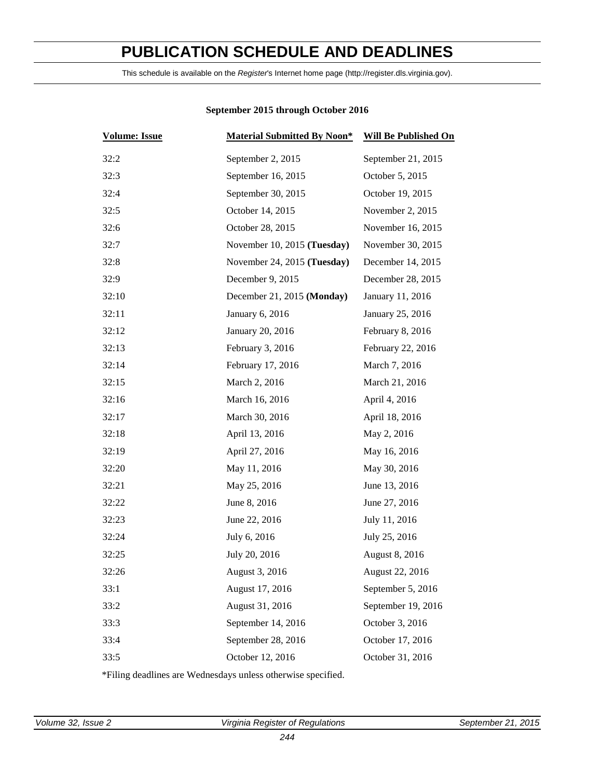# <span id="page-3-1"></span>**PUBLICATION SCHEDULE AND DEADLINES**

This schedule is available on the *Register*'s Internet home page (http://register.dls.virginia.gov).

| <b>Volume: Issue</b> | <b>Material Submitted By Noon*</b> | <b>Will Be Published On</b> |
|----------------------|------------------------------------|-----------------------------|
| 32:2                 | September 2, 2015                  | September 21, 2015          |
| 32:3                 | September 16, 2015                 | October 5, 2015             |
| 32:4                 | September 30, 2015                 | October 19, 2015            |
| 32:5                 | October 14, 2015                   | November 2, 2015            |
| 32:6                 | October 28, 2015                   | November 16, 2015           |
| 32:7                 | November 10, 2015 (Tuesday)        | November 30, 2015           |
| 32:8                 | November 24, 2015 (Tuesday)        | December 14, 2015           |
| 32:9                 | December 9, 2015                   | December 28, 2015           |
| 32:10                | December 21, 2015 (Monday)         | January 11, 2016            |
| 32:11                | January 6, 2016                    | January 25, 2016            |
| 32:12                | January 20, 2016                   | February 8, 2016            |
| 32:13                | February 3, 2016                   | February 22, 2016           |
| 32:14                | February 17, 2016                  | March 7, 2016               |
| 32:15                | March 2, 2016                      | March 21, 2016              |
| 32:16                | March 16, 2016                     | April 4, 2016               |
| 32:17                | March 30, 2016                     | April 18, 2016              |
| 32:18                | April 13, 2016                     | May 2, 2016                 |
| 32:19                | April 27, 2016                     | May 16, 2016                |
| 32:20                | May 11, 2016                       | May 30, 2016                |
| 32:21                | May 25, 2016                       | June 13, 2016               |
| 32:22                | June 8, 2016                       | June 27, 2016               |
| 32:23                | June 22, 2016                      | July 11, 2016               |
| 32:24                | July 6, 2016                       | July 25, 2016               |
| 32:25                | July 20, 2016                      | August 8, 2016              |
| 32:26                | August 3, 2016                     | August 22, 2016             |
| 33:1                 | August 17, 2016                    | September 5, 2016           |
| 33:2                 | August 31, 2016                    | September 19, 2016          |
| 33:3                 | September 14, 2016                 | October 3, 2016             |
| 33:4                 | September 28, 2016                 | October 17, 2016            |
| 33:5                 | October 12, 2016                   | October 31, 2016            |

# <span id="page-3-0"></span>**September 2015 through October 2016**

\*Filing deadlines are Wednesdays unless otherwise specified.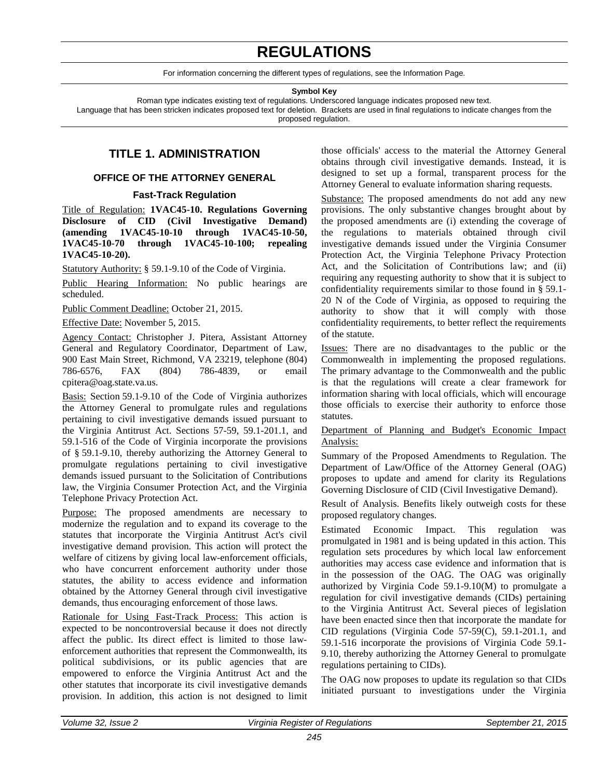# **REGULATIONS**

For information concerning the different types of regulations, see the Information Page.

**Symbol Key**

Roman type indicates existing text of regulations. Underscored language indicates proposed new text.

<span id="page-4-2"></span>Language that has been stricken indicates proposed text for deletion. Brackets are used in final regulations to indicate changes from the proposed regulation.

# **TITLE 1. ADMINISTRATION**

# **OFFICE OF THE ATTORNEY GENERAL**

### <span id="page-4-0"></span>**Fast-Track Regulation**

Title of Regulation: **1VAC45-10. Regulations Governing Disclosure of CID (Civil Investigative Demand) (amending 1VAC45-10-10 through 1VAC45-10-50, 1VAC45-10-70 through 1VAC45-10-100; repealing 1VAC45-10-20).** 

Statutory Authority: § 59.1-9.10 of the Code of Virginia.

Public Hearing Information: No public hearings are scheduled.

Public Comment Deadline: October 21, 2015.

Effective Date: November 5, 2015.

Agency Contact: Christopher J. Pitera, Assistant Attorney General and Regulatory Coordinator, Department of Law, 900 East Main Street, Richmond, VA 23219, telephone (804) 786-6576, FAX (804) 786-4839, or email cpitera@oag.state.va.us.

Basis: Section 59.1-9.10 of the Code of Virginia authorizes the Attorney General to promulgate rules and regulations pertaining to civil investigative demands issued pursuant to the Virginia Antitrust Act. Sections 57-59, 59.1-201.1, and 59.1-516 of the Code of Virginia incorporate the provisions of § 59.1-9.10, thereby authorizing the Attorney General to promulgate regulations pertaining to civil investigative demands issued pursuant to the Solicitation of Contributions law, the Virginia Consumer Protection Act, and the Virginia Telephone Privacy Protection Act.

Purpose: The proposed amendments are necessary to modernize the regulation and to expand its coverage to the statutes that incorporate the Virginia Antitrust Act's civil investigative demand provision. This action will protect the welfare of citizens by giving local law-enforcement officials, who have concurrent enforcement authority under those statutes, the ability to access evidence and information obtained by the Attorney General through civil investigative demands, thus encouraging enforcement of those laws.

Rationale for Using Fast-Track Process: This action is expected to be noncontroversial because it does not directly affect the public. Its direct effect is limited to those lawenforcement authorities that represent the Commonwealth, its political subdivisions, or its public agencies that are empowered to enforce the Virginia Antitrust Act and the other statutes that incorporate its civil investigative demands provision. In addition, this action is not designed to limit

those officials' access to the material the Attorney General obtains through civil investigative demands. Instead, it is designed to set up a formal, transparent process for the Attorney General to evaluate information sharing requests.

<span id="page-4-1"></span>Substance: The proposed amendments do not add any new provisions. The only substantive changes brought about by the proposed amendments are (i) extending the coverage of the regulations to materials obtained through civil investigative demands issued under the Virginia Consumer Protection Act, the Virginia Telephone Privacy Protection Act, and the Solicitation of Contributions law; and (ii) requiring any requesting authority to show that it is subject to confidentiality requirements similar to those found in § 59.1- 20 N of the Code of Virginia, as opposed to requiring the authority to show that it will comply with those confidentiality requirements, to better reflect the requirements of the statute.

Issues: There are no disadvantages to the public or the Commonwealth in implementing the proposed regulations. The primary advantage to the Commonwealth and the public is that the regulations will create a clear framework for information sharing with local officials, which will encourage those officials to exercise their authority to enforce those statutes.

# Department of Planning and Budget's Economic Impact Analysis:

Summary of the Proposed Amendments to Regulation. The Department of Law/Office of the Attorney General (OAG) proposes to update and amend for clarity its Regulations Governing Disclosure of CID (Civil Investigative Demand).

Result of Analysis. Benefits likely outweigh costs for these proposed regulatory changes.

Estimated Economic Impact. This regulation was promulgated in 1981 and is being updated in this action. This regulation sets procedures by which local law enforcement authorities may access case evidence and information that is in the possession of the OAG. The OAG was originally authorized by Virginia Code 59.1-9.10(M) to promulgate a regulation for civil investigative demands (CIDs) pertaining to the Virginia Antitrust Act. Several pieces of legislation have been enacted since then that incorporate the mandate for CID regulations (Virginia Code 57-59(C), 59.1-201.1, and 59.1-516 incorporate the provisions of Virginia Code 59.1- 9.10, thereby authorizing the Attorney General to promulgate regulations pertaining to CIDs).

The OAG now proposes to update its regulation so that CIDs initiated pursuant to investigations under the Virginia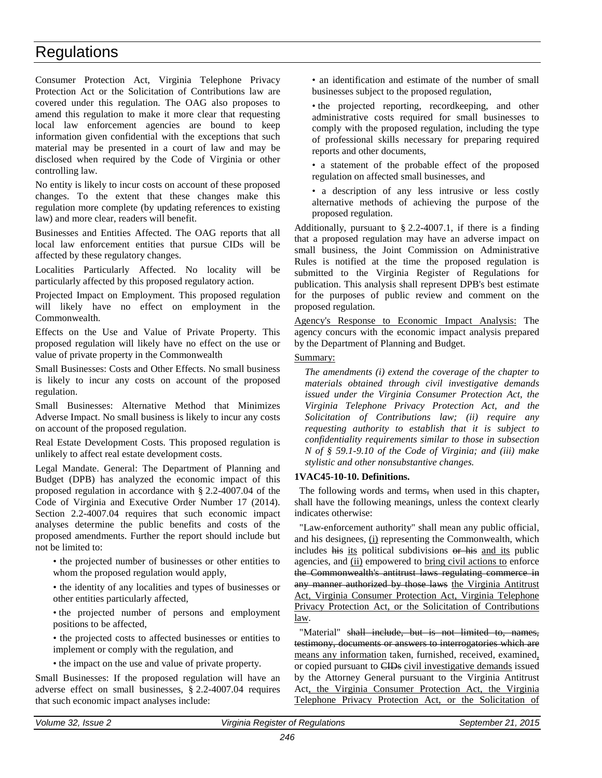Consumer Protection Act, Virginia Telephone Privacy Protection Act or the Solicitation of Contributions law are covered under this regulation. The OAG also proposes to amend this regulation to make it more clear that requesting local law enforcement agencies are bound to keep information given confidential with the exceptions that such material may be presented in a court of law and may be disclosed when required by the Code of Virginia or other controlling law.

No entity is likely to incur costs on account of these proposed changes. To the extent that these changes make this regulation more complete (by updating references to existing law) and more clear, readers will benefit.

Businesses and Entities Affected. The OAG reports that all local law enforcement entities that pursue CIDs will be affected by these regulatory changes.

Localities Particularly Affected. No locality will be particularly affected by this proposed regulatory action.

Projected Impact on Employment. This proposed regulation will likely have no effect on employment in the Commonwealth.

Effects on the Use and Value of Private Property. This proposed regulation will likely have no effect on the use or value of private property in the Commonwealth

Small Businesses: Costs and Other Effects. No small business is likely to incur any costs on account of the proposed regulation.

Small Businesses: Alternative Method that Minimizes Adverse Impact. No small business is likely to incur any costs on account of the proposed regulation.

Real Estate Development Costs. This proposed regulation is unlikely to affect real estate development costs.

Legal Mandate. General: The Department of Planning and Budget (DPB) has analyzed the economic impact of this proposed regulation in accordance with § 2.2-4007.04 of the Code of Virginia and Executive Order Number 17 (2014). Section 2.2-4007.04 requires that such economic impact analyses determine the public benefits and costs of the proposed amendments. Further the report should include but not be limited to:

• the projected number of businesses or other entities to whom the proposed regulation would apply,

• the identity of any localities and types of businesses or other entities particularly affected,

• the projected number of persons and employment positions to be affected,

• the projected costs to affected businesses or entities to implement or comply with the regulation, and

• the impact on the use and value of private property.

Small Businesses: If the proposed regulation will have an adverse effect on small businesses, § 2.2-4007.04 requires that such economic impact analyses include:

• an identification and estimate of the number of small businesses subject to the proposed regulation,

• the projected reporting, recordkeeping, and other administrative costs required for small businesses to comply with the proposed regulation, including the type of professional skills necessary for preparing required reports and other documents,

• a statement of the probable effect of the proposed regulation on affected small businesses, and

• a description of any less intrusive or less costly alternative methods of achieving the purpose of the proposed regulation.

Additionally, pursuant to  $\S$  2.2-4007.1, if there is a finding that a proposed regulation may have an adverse impact on small business, the Joint Commission on Administrative Rules is notified at the time the proposed regulation is submitted to the Virginia Register of Regulations for publication. This analysis shall represent DPB's best estimate for the purposes of public review and comment on the proposed regulation.

Agency's Response to Economic Impact Analysis: The agency concurs with the economic impact analysis prepared by the Department of Planning and Budget.

# Summary:

*The amendments (i) extend the coverage of the chapter to materials obtained through civil investigative demands issued under the Virginia Consumer Protection Act, the Virginia Telephone Privacy Protection Act, and the Solicitation of Contributions law; (ii) require any requesting authority to establish that it is subject to confidentiality requirements similar to those in subsection N of § 59.1-9.10 of the Code of Virginia; and (iii) make stylistic and other nonsubstantive changes.*

# **1VAC45-10-10. Definitions.**

The following words and terms, when used in this chapter, shall have the following meanings, unless the context clearly indicates otherwise:

"Law-enforcement authority" shall mean any public official, and his designees, (i) representing the Commonwealth, which includes his its political subdivisions or his and its public agencies, and (ii) empowered to bring civil actions to enforce the Commonwealth's antitrust laws regulating commerce in any manner authorized by those laws the Virginia Antitrust Act, Virginia Consumer Protection Act, Virginia Telephone Privacy Protection Act, or the Solicitation of Contributions law.

"Material" shall include, but is not limited to, names, testimony, documents or answers to interrogatories which are means any information taken, furnished, received, examined, or copied pursuant to CIDs civil investigative demands issued by the Attorney General pursuant to the Virginia Antitrust Act, the Virginia Consumer Protection Act, the Virginia Telephone Privacy Protection Act, or the Solicitation of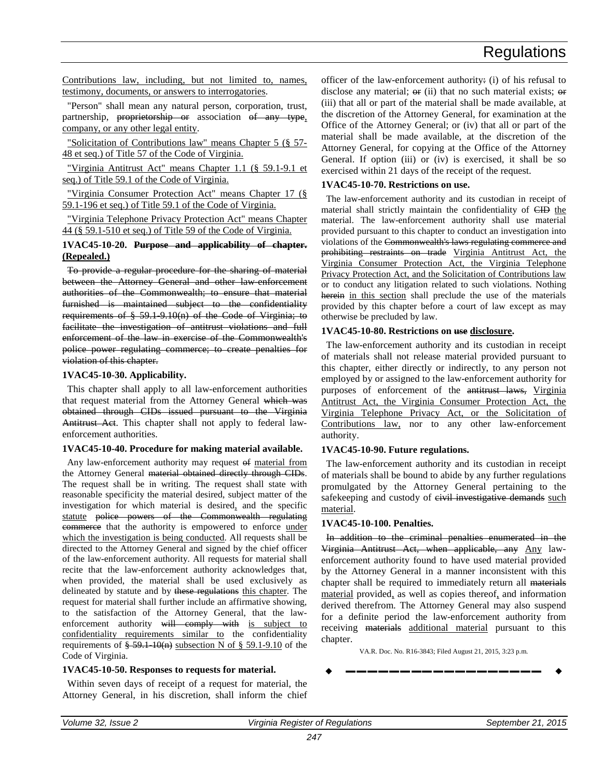Contributions law, including, but not limited to, names, testimony, documents, or answers to interrogatories.

"Person" shall mean any natural person, corporation, trust, partnership, proprietorship or association of any type, company, or any other legal entity.

"Solicitation of Contributions law" means Chapter 5 (§ 57- 48 et seq.) of Title 57 of the Code of Virginia.

"Virginia Antitrust Act" means Chapter 1.1 (§ 59.1-9.1 et seq.) of Title 59.1 of the Code of Virginia.

"Virginia Consumer Protection Act" means Chapter 17 (§ 59.1-196 et seq.) of Title 59.1 of the Code of Virginia.

"Virginia Telephone Privacy Protection Act" means Chapter 44 (§ 59.1-510 et seq.) of Title 59 of the Code of Virginia.

### **1VAC45-10-20. Purpose and applicability of chapter. (Repealed.)**

To provide a regular procedure for the sharing of material between the Attorney General and other law-enforcement authorities of the Commonwealth; to ensure that material furnished is maintained subject to the confidentiality requirements of § 59.1-9.10(n) of the Code of Virginia; to facilitate the investigation of antitrust violations and full enforcement of the law in exercise of the Commonwealth's police power regulating commerce; to create penalties for violation of this chapter.

# **1VAC45-10-30. Applicability.**

This chapter shall apply to all law-enforcement authorities that request material from the Attorney General which was obtained through CIDs issued pursuant to the Virginia Antitrust Act. This chapter shall not apply to federal lawenforcement authorities.

#### **1VAC45-10-40. Procedure for making material available.**

Any law-enforcement authority may request of material from the Attorney General material obtained directly through CIDs. The request shall be in writing. The request shall state with reasonable specificity the material desired, subject matter of the investigation for which material is desired, and the specific statute police powers of the Commonwealth regulating commerce that the authority is empowered to enforce under which the investigation is being conducted. All requests shall be directed to the Attorney General and signed by the chief officer of the law-enforcement authority. All requests for material shall recite that the law-enforcement authority acknowledges that, when provided, the material shall be used exclusively as delineated by statute and by these regulations this chapter. The request for material shall further include an affirmative showing, to the satisfaction of the Attorney General, that the lawenforcement authority will comply with is subject to confidentiality requirements similar to the confidentiality requirements of  $\frac{2}{5}$  59.1-10(n) subsection N of  $\frac{2}{5}$  59.1-9.10 of the Code of Virginia.

# **1VAC45-10-50. Responses to requests for material.**

Within seven days of receipt of a request for material, the Attorney General, in his discretion, shall inform the chief officer of the law-enforcement authority: (i) of his refusal to disclose any material;  $\Theta$  (ii) that no such material exists;  $\Theta$  f (iii) that all or part of the material shall be made available, at the discretion of the Attorney General, for examination at the Office of the Attorney General; or (iv) that all or part of the material shall be made available, at the discretion of the Attorney General, for copying at the Office of the Attorney General. If option (iii) or (iv) is exercised, it shall be so exercised within 21 days of the receipt of the request.

# **1VAC45-10-70. Restrictions on use.**

The law-enforcement authority and its custodian in receipt of material shall strictly maintain the confidentiality of CID the material. The law-enforcement authority shall use material provided pursuant to this chapter to conduct an investigation into violations of the Commonwealth's laws regulating commerce and prohibiting restraints on trade Virginia Antitrust Act, the Virginia Consumer Protection Act, the Virginia Telephone Privacy Protection Act, and the Solicitation of Contributions law or to conduct any litigation related to such violations. Nothing herein in this section shall preclude the use of the materials provided by this chapter before a court of law except as may otherwise be precluded by law.

# **1VAC45-10-80. Restrictions on use disclosure.**

The law-enforcement authority and its custodian in receipt of materials shall not release material provided pursuant to this chapter, either directly or indirectly, to any person not employed by or assigned to the law-enforcement authority for purposes of enforcement of the antitrust laws, Virginia Antitrust Act, the Virginia Consumer Protection Act, the Virginia Telephone Privacy Act, or the Solicitation of Contributions law, nor to any other law-enforcement authority.

# **1VAC45-10-90. Future regulations.**

The law-enforcement authority and its custodian in receipt of materials shall be bound to abide by any further regulations promulgated by the Attorney General pertaining to the safekeeping and custody of eivil investigative demands such material.

# **1VAC45-10-100. Penalties.**

In addition to the criminal penalties enumerated in the Virginia Antitrust Act, when applicable, any Any lawenforcement authority found to have used material provided by the Attorney General in a manner inconsistent with this chapter shall be required to immediately return all materials material provided, as well as copies thereof, and information derived therefrom. The Attorney General may also suspend for a definite period the law-enforcement authority from receiving materials additional material pursuant to this chapter.

VA.R. Doc. No. R16-3843; Filed August 21, 2015, 3:23 p.m.

$$
\bullet \hspace{2.7mm}\longrightarrow\hspace{2.7mm}\bullet
$$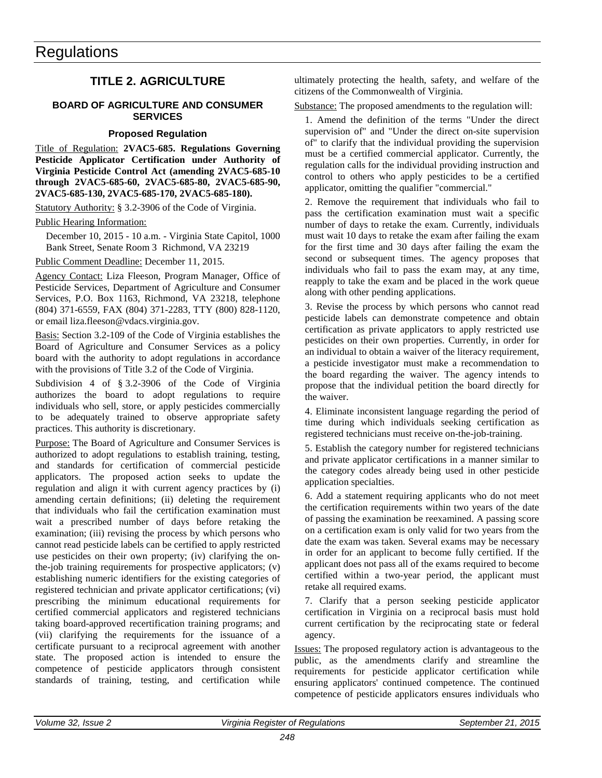# **TITLE 2. AGRICULTURE**

### <span id="page-7-1"></span>**BOARD OF AGRICULTURE AND CONSUMER SERVICES**

# <span id="page-7-0"></span>**Proposed Regulation**

Title of Regulation: **2VAC5-685. Regulations Governing Pesticide Applicator Certification under Authority of Virginia Pesticide Control Act (amending 2VAC5-685-10 through 2VAC5-685-60, 2VAC5-685-80, 2VAC5-685-90, 2VAC5-685-130, 2VAC5-685-170, 2VAC5-685-180).** 

Statutory Authority: § 3.2-3906 of the Code of Virginia.

Public Hearing Information:

December 10, 2015 - 10 a.m. - Virginia State Capitol, 1000 Bank Street, Senate Room 3 Richmond, VA 23219

Public Comment Deadline: December 11, 2015.

Agency Contact: Liza Fleeson, Program Manager, Office of Pesticide Services, Department of Agriculture and Consumer Services, P.O. Box 1163, Richmond, VA 23218, telephone (804) 371-6559, FAX (804) 371-2283, TTY (800) 828-1120, or email liza.fleeson@vdacs.virginia.gov.

Basis: Section 3.2-109 of the Code of Virginia establishes the Board of Agriculture and Consumer Services as a policy board with the authority to adopt regulations in accordance with the provisions of Title 3.2 of the Code of Virginia.

Subdivision 4 of § 3.2-3906 of the Code of Virginia authorizes the board to adopt regulations to require individuals who sell, store, or apply pesticides commercially to be adequately trained to observe appropriate safety practices. This authority is discretionary.

Purpose: The Board of Agriculture and Consumer Services is authorized to adopt regulations to establish training, testing, and standards for certification of commercial pesticide applicators. The proposed action seeks to update the regulation and align it with current agency practices by (i) amending certain definitions; (ii) deleting the requirement that individuals who fail the certification examination must wait a prescribed number of days before retaking the examination; (iii) revising the process by which persons who cannot read pesticide labels can be certified to apply restricted use pesticides on their own property; (iv) clarifying the onthe-job training requirements for prospective applicators; (v) establishing numeric identifiers for the existing categories of registered technician and private applicator certifications; (vi) prescribing the minimum educational requirements for certified commercial applicators and registered technicians taking board-approved recertification training programs; and (vii) clarifying the requirements for the issuance of a certificate pursuant to a reciprocal agreement with another state. The proposed action is intended to ensure the competence of pesticide applicators through consistent standards of training, testing, and certification while

ultimately protecting the health, safety, and welfare of the citizens of the Commonwealth of Virginia.

Substance: The proposed amendments to the regulation will:

1. Amend the definition of the terms "Under the direct supervision of" and "Under the direct on-site supervision of" to clarify that the individual providing the supervision must be a certified commercial applicator. Currently, the regulation calls for the individual providing instruction and control to others who apply pesticides to be a certified applicator, omitting the qualifier "commercial."

2. Remove the requirement that individuals who fail to pass the certification examination must wait a specific number of days to retake the exam. Currently, individuals must wait 10 days to retake the exam after failing the exam for the first time and 30 days after failing the exam the second or subsequent times. The agency proposes that individuals who fail to pass the exam may, at any time, reapply to take the exam and be placed in the work queue along with other pending applications.

3. Revise the process by which persons who cannot read pesticide labels can demonstrate competence and obtain certification as private applicators to apply restricted use pesticides on their own properties. Currently, in order for an individual to obtain a waiver of the literacy requirement, a pesticide investigator must make a recommendation to the board regarding the waiver. The agency intends to propose that the individual petition the board directly for the waiver.

4. Eliminate inconsistent language regarding the period of time during which individuals seeking certification as registered technicians must receive on-the-job-training.

5. Establish the category number for registered technicians and private applicator certifications in a manner similar to the category codes already being used in other pesticide application specialties.

6. Add a statement requiring applicants who do not meet the certification requirements within two years of the date of passing the examination be reexamined. A passing score on a certification exam is only valid for two years from the date the exam was taken. Several exams may be necessary in order for an applicant to become fully certified. If the applicant does not pass all of the exams required to become certified within a two-year period, the applicant must retake all required exams.

7. Clarify that a person seeking pesticide applicator certification in Virginia on a reciprocal basis must hold current certification by the reciprocating state or federal agency.

Issues: The proposed regulatory action is advantageous to the public, as the amendments clarify and streamline the requirements for pesticide applicator certification while ensuring applicators' continued competence. The continued competence of pesticide applicators ensures individuals who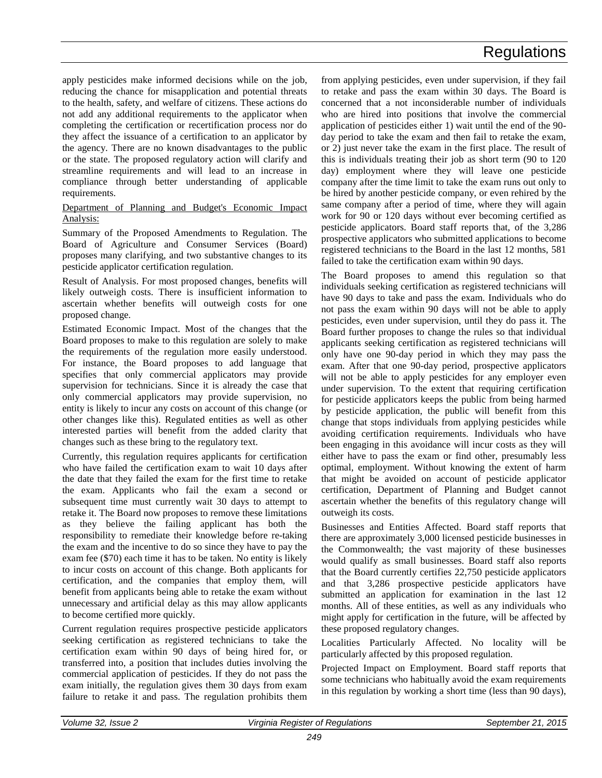apply pesticides make informed decisions while on the job, reducing the chance for misapplication and potential threats to the health, safety, and welfare of citizens. These actions do not add any additional requirements to the applicator when completing the certification or recertification process nor do they affect the issuance of a certification to an applicator by the agency. There are no known disadvantages to the public or the state. The proposed regulatory action will clarify and streamline requirements and will lead to an increase in compliance through better understanding of applicable requirements.

Department of Planning and Budget's Economic Impact Analysis:

Summary of the Proposed Amendments to Regulation. The Board of Agriculture and Consumer Services (Board) proposes many clarifying, and two substantive changes to its pesticide applicator certification regulation.

Result of Analysis. For most proposed changes, benefits will likely outweigh costs. There is insufficient information to ascertain whether benefits will outweigh costs for one proposed change.

Estimated Economic Impact. Most of the changes that the Board proposes to make to this regulation are solely to make the requirements of the regulation more easily understood. For instance, the Board proposes to add language that specifies that only commercial applicators may provide supervision for technicians. Since it is already the case that only commercial applicators may provide supervision, no entity is likely to incur any costs on account of this change (or other changes like this). Regulated entities as well as other interested parties will benefit from the added clarity that changes such as these bring to the regulatory text.

Currently, this regulation requires applicants for certification who have failed the certification exam to wait 10 days after the date that they failed the exam for the first time to retake the exam. Applicants who fail the exam a second or subsequent time must currently wait 30 days to attempt to retake it. The Board now proposes to remove these limitations as they believe the failing applicant has both the responsibility to remediate their knowledge before re-taking the exam and the incentive to do so since they have to pay the exam fee (\$70) each time it has to be taken. No entity is likely to incur costs on account of this change. Both applicants for certification, and the companies that employ them, will benefit from applicants being able to retake the exam without unnecessary and artificial delay as this may allow applicants to become certified more quickly.

Current regulation requires prospective pesticide applicators seeking certification as registered technicians to take the certification exam within 90 days of being hired for, or transferred into, a position that includes duties involving the commercial application of pesticides. If they do not pass the exam initially, the regulation gives them 30 days from exam failure to retake it and pass. The regulation prohibits them

from applying pesticides, even under supervision, if they fail to retake and pass the exam within 30 days. The Board is concerned that a not inconsiderable number of individuals who are hired into positions that involve the commercial application of pesticides either 1) wait until the end of the 90 day period to take the exam and then fail to retake the exam, or 2) just never take the exam in the first place. The result of this is individuals treating their job as short term (90 to 120 day) employment where they will leave one pesticide company after the time limit to take the exam runs out only to be hired by another pesticide company, or even rehired by the same company after a period of time, where they will again work for 90 or 120 days without ever becoming certified as pesticide applicators. Board staff reports that, of the 3,286 prospective applicators who submitted applications to become registered technicians to the Board in the last 12 months, 581 failed to take the certification exam within 90 days.

The Board proposes to amend this regulation so that individuals seeking certification as registered technicians will have 90 days to take and pass the exam. Individuals who do not pass the exam within 90 days will not be able to apply pesticides, even under supervision, until they do pass it. The Board further proposes to change the rules so that individual applicants seeking certification as registered technicians will only have one 90-day period in which they may pass the exam. After that one 90-day period, prospective applicators will not be able to apply pesticides for any employer even under supervision. To the extent that requiring certification for pesticide applicators keeps the public from being harmed by pesticide application, the public will benefit from this change that stops individuals from applying pesticides while avoiding certification requirements. Individuals who have been engaging in this avoidance will incur costs as they will either have to pass the exam or find other, presumably less optimal, employment. Without knowing the extent of harm that might be avoided on account of pesticide applicator certification, Department of Planning and Budget cannot ascertain whether the benefits of this regulatory change will outweigh its costs.

Businesses and Entities Affected. Board staff reports that there are approximately 3,000 licensed pesticide businesses in the Commonwealth; the vast majority of these businesses would qualify as small businesses. Board staff also reports that the Board currently certifies 22,750 pesticide applicators and that 3,286 prospective pesticide applicators have submitted an application for examination in the last 12 months. All of these entities, as well as any individuals who might apply for certification in the future, will be affected by these proposed regulatory changes.

Localities Particularly Affected. No locality will be particularly affected by this proposed regulation.

Projected Impact on Employment. Board staff reports that some technicians who habitually avoid the exam requirements in this regulation by working a short time (less than 90 days),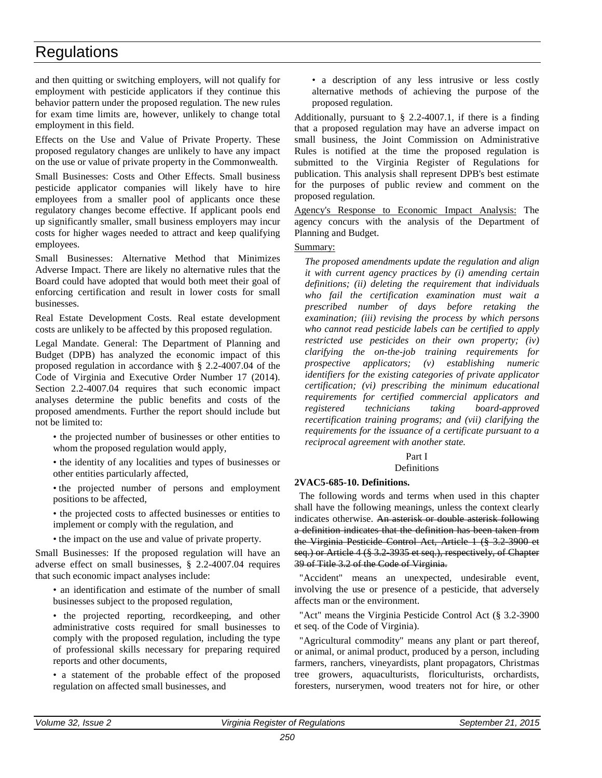and then quitting or switching employers, will not qualify for employment with pesticide applicators if they continue this behavior pattern under the proposed regulation. The new rules for exam time limits are, however, unlikely to change total employment in this field.

Effects on the Use and Value of Private Property. These proposed regulatory changes are unlikely to have any impact on the use or value of private property in the Commonwealth.

Small Businesses: Costs and Other Effects. Small business pesticide applicator companies will likely have to hire employees from a smaller pool of applicants once these regulatory changes become effective. If applicant pools end up significantly smaller, small business employers may incur costs for higher wages needed to attract and keep qualifying employees.

Small Businesses: Alternative Method that Minimizes Adverse Impact. There are likely no alternative rules that the Board could have adopted that would both meet their goal of enforcing certification and result in lower costs for small businesses.

Real Estate Development Costs. Real estate development costs are unlikely to be affected by this proposed regulation.

Legal Mandate. General: The Department of Planning and Budget (DPB) has analyzed the economic impact of this proposed regulation in accordance with § 2.2-4007.04 of the Code of Virginia and Executive Order Number 17 (2014). Section 2.2-4007.04 requires that such economic impact analyses determine the public benefits and costs of the proposed amendments. Further the report should include but not be limited to:

• the projected number of businesses or other entities to whom the proposed regulation would apply,

• the identity of any localities and types of businesses or other entities particularly affected,

• the projected number of persons and employment positions to be affected,

• the projected costs to affected businesses or entities to implement or comply with the regulation, and

• the impact on the use and value of private property.

Small Businesses: If the proposed regulation will have an adverse effect on small businesses, § 2.2-4007.04 requires that such economic impact analyses include:

• an identification and estimate of the number of small businesses subject to the proposed regulation,

• the projected reporting, recordkeeping, and other administrative costs required for small businesses to comply with the proposed regulation, including the type of professional skills necessary for preparing required reports and other documents,

• a statement of the probable effect of the proposed regulation on affected small businesses, and

• a description of any less intrusive or less costly alternative methods of achieving the purpose of the proposed regulation.

Additionally, pursuant to § 2.2-4007.1, if there is a finding that a proposed regulation may have an adverse impact on small business, the Joint Commission on Administrative Rules is notified at the time the proposed regulation is submitted to the Virginia Register of Regulations for publication. This analysis shall represent DPB's best estimate for the purposes of public review and comment on the proposed regulation.

Agency's Response to Economic Impact Analysis: The agency concurs with the analysis of the Department of Planning and Budget.

# Summary:

*The proposed amendments update the regulation and align it with current agency practices by (i) amending certain definitions; (ii) deleting the requirement that individuals who fail the certification examination must wait a prescribed number of days before retaking the examination; (iii) revising the process by which persons who cannot read pesticide labels can be certified to apply restricted use pesticides on their own property; (iv) clarifying the on-the-job training requirements for prospective applicators; (v) establishing numeric identifiers for the existing categories of private applicator certification; (vi) prescribing the minimum educational requirements for certified commercial applicators and registered technicians taking board-approved recertification training programs; and (vii) clarifying the requirements for the issuance of a certificate pursuant to a reciprocal agreement with another state.* 

# Part I

# **Definitions**

# **2VAC5-685-10. Definitions.**

The following words and terms when used in this chapter shall have the following meanings, unless the context clearly indicates otherwise. An asterisk or double asterisk following a definition indicates that the definition has been taken from the Virginia Pesticide Control Act, Article 1 (§ 3.2-3900 et seq.) or Article 4 (§ 3.2-3935 et seq.), respectively, of Chapter 39 of Title 3.2 of the Code of Virginia.

"Accident" means an unexpected, undesirable event, involving the use or presence of a pesticide, that adversely affects man or the environment.

"Act" means the Virginia Pesticide Control Act (§ 3.2-3900 et seq. of the Code of Virginia).

"Agricultural commodity" means any plant or part thereof, or animal, or animal product, produced by a person, including farmers, ranchers, vineyardists, plant propagators, Christmas tree growers, aquaculturists, floriculturists, orchardists, foresters, nurserymen, wood treaters not for hire, or other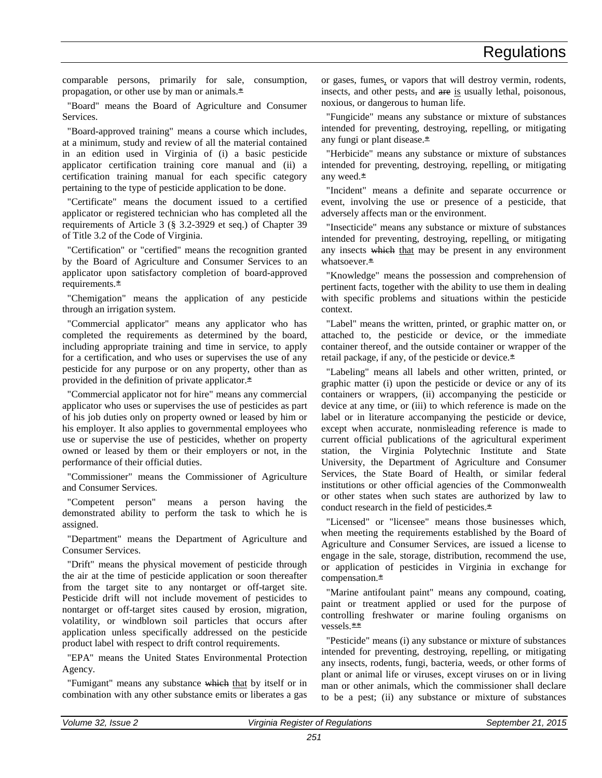comparable persons, primarily for sale, consumption, propagation, or other use by man or animals.\*

"Board" means the Board of Agriculture and Consumer Services.

"Board-approved training" means a course which includes, at a minimum, study and review of all the material contained in an edition used in Virginia of (i) a basic pesticide applicator certification training core manual and (ii) a certification training manual for each specific category pertaining to the type of pesticide application to be done.

"Certificate" means the document issued to a certified applicator or registered technician who has completed all the requirements of Article 3 (§ 3.2-3929 et seq.) of Chapter 39 of Title 3.2 of the Code of Virginia.

"Certification" or "certified" means the recognition granted by the Board of Agriculture and Consumer Services to an applicator upon satisfactory completion of board-approved requirements.\*

"Chemigation" means the application of any pesticide through an irrigation system.

"Commercial applicator" means any applicator who has completed the requirements as determined by the board, including appropriate training and time in service, to apply for a certification, and who uses or supervises the use of any pesticide for any purpose or on any property, other than as provided in the definition of private applicator.\*

"Commercial applicator not for hire" means any commercial applicator who uses or supervises the use of pesticides as part of his job duties only on property owned or leased by him or his employer. It also applies to governmental employees who use or supervise the use of pesticides, whether on property owned or leased by them or their employers or not, in the performance of their official duties.

"Commissioner" means the Commissioner of Agriculture and Consumer Services.

"Competent person" means a person having the demonstrated ability to perform the task to which he is assigned.

"Department" means the Department of Agriculture and Consumer Services.

"Drift" means the physical movement of pesticide through the air at the time of pesticide application or soon thereafter from the target site to any nontarget or off-target site. Pesticide drift will not include movement of pesticides to nontarget or off-target sites caused by erosion, migration, volatility, or windblown soil particles that occurs after application unless specifically addressed on the pesticide product label with respect to drift control requirements.

"EPA" means the United States Environmental Protection Agency.

"Fumigant" means any substance which that by itself or in combination with any other substance emits or liberates a gas or gases, fumes, or vapors that will destroy vermin, rodents, insects, and other pests, and are is usually lethal, poisonous, noxious, or dangerous to human life.

"Fungicide" means any substance or mixture of substances intended for preventing, destroying, repelling, or mitigating any fungi or plant disease.\*

"Herbicide" means any substance or mixture of substances intended for preventing, destroying, repelling, or mitigating any weed.\*

"Incident" means a definite and separate occurrence or event, involving the use or presence of a pesticide, that adversely affects man or the environment.

"Insecticide" means any substance or mixture of substances intended for preventing, destroying, repelling, or mitigating any insects which that may be present in any environment whatsoever.\*

"Knowledge" means the possession and comprehension of pertinent facts, together with the ability to use them in dealing with specific problems and situations within the pesticide context.

"Label" means the written, printed, or graphic matter on, or attached to, the pesticide or device, or the immediate container thereof, and the outside container or wrapper of the retail package, if any, of the pesticide or device.\*

"Labeling" means all labels and other written, printed, or graphic matter (i) upon the pesticide or device or any of its containers or wrappers, (ii) accompanying the pesticide or device at any time, or (iii) to which reference is made on the label or in literature accompanying the pesticide or device, except when accurate, nonmisleading reference is made to current official publications of the agricultural experiment station, the Virginia Polytechnic Institute and State University, the Department of Agriculture and Consumer Services, the State Board of Health, or similar federal institutions or other official agencies of the Commonwealth or other states when such states are authorized by law to conduct research in the field of pesticides.\*

"Licensed" or "licensee" means those businesses which, when meeting the requirements established by the Board of Agriculture and Consumer Services, are issued a license to engage in the sale, storage, distribution, recommend the use, or application of pesticides in Virginia in exchange for compensation.\*

"Marine antifoulant paint" means any compound, coating, paint or treatment applied or used for the purpose of controlling freshwater or marine fouling organisms on vessels. \*\*

"Pesticide" means (i) any substance or mixture of substances intended for preventing, destroying, repelling, or mitigating any insects, rodents, fungi, bacteria, weeds, or other forms of plant or animal life or viruses, except viruses on or in living man or other animals, which the commissioner shall declare to be a pest; (ii) any substance or mixture of substances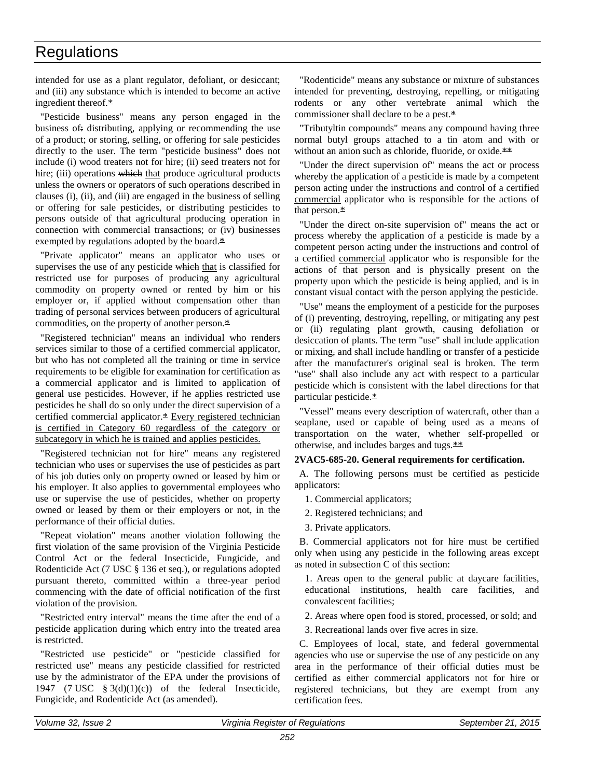intended for use as a plant regulator, defoliant, or desiccant; and (iii) any substance which is intended to become an active ingredient thereof.\*

"Pesticide business" means any person engaged in the business of: distributing, applying or recommending the use of a product; or storing, selling, or offering for sale pesticides directly to the user. The term "pesticide business" does not include (i) wood treaters not for hire; (ii) seed treaters not for hire; (iii) operations which that produce agricultural products unless the owners or operators of such operations described in clauses (i), (ii), and (iii) are engaged in the business of selling or offering for sale pesticides, or distributing pesticides to persons outside of that agricultural producing operation in connection with commercial transactions; or (iv) businesses exempted by regulations adopted by the board.\*

"Private applicator" means an applicator who uses or supervises the use of any pesticide which that is classified for restricted use for purposes of producing any agricultural commodity on property owned or rented by him or his employer or, if applied without compensation other than trading of personal services between producers of agricultural commodities, on the property of another person.\*

"Registered technician" means an individual who renders services similar to those of a certified commercial applicator, but who has not completed all the training or time in service requirements to be eligible for examination for certification as a commercial applicator and is limited to application of general use pesticides. However, if he applies restricted use pesticides he shall do so only under the direct supervision of a certified commercial applicator.\* Every registered technician is certified in Category 60 regardless of the category or subcategory in which he is trained and applies pesticides.

"Registered technician not for hire" means any registered technician who uses or supervises the use of pesticides as part of his job duties only on property owned or leased by him or his employer. It also applies to governmental employees who use or supervise the use of pesticides, whether on property owned or leased by them or their employers or not, in the performance of their official duties.

"Repeat violation" means another violation following the first violation of the same provision of the Virginia Pesticide Control Act or the federal Insecticide, Fungicide, and Rodenticide Act (7 USC § 136 et seq.), or regulations adopted pursuant thereto, committed within a three-year period commencing with the date of official notification of the first violation of the provision.

"Restricted entry interval" means the time after the end of a pesticide application during which entry into the treated area is restricted.

"Restricted use pesticide" or "pesticide classified for restricted use" means any pesticide classified for restricted use by the administrator of the EPA under the provisions of 1947 (7 USC  $\S 3(d)(1)(c)$ ) of the federal Insecticide, Fungicide, and Rodenticide Act (as amended).

"Rodenticide" means any substance or mixture of substances intended for preventing, destroying, repelling, or mitigating rodents or any other vertebrate animal which the commissioner shall declare to be a pest.\*

"Tributyltin compounds" means any compound having three normal butyl groups attached to a tin atom and with or without an anion such as chloride, fluoride, or oxide.<sup>\*\*</sup>

"Under the direct supervision of" means the act or process whereby the application of a pesticide is made by a competent person acting under the instructions and control of a certified commercial applicator who is responsible for the actions of that person. $*$ 

"Under the direct on-site supervision of" means the act or process whereby the application of a pesticide is made by a competent person acting under the instructions and control of a certified commercial applicator who is responsible for the actions of that person and is physically present on the property upon which the pesticide is being applied, and is in constant visual contact with the person applying the pesticide.

"Use" means the employment of a pesticide for the purposes of (i) preventing, destroying, repelling, or mitigating any pest or (ii) regulating plant growth, causing defoliation or desiccation of plants. The term "use" shall include application or mixing, and shall include handling or transfer of a pesticide after the manufacturer's original seal is broken. The term "use" shall also include any act with respect to a particular pesticide which is consistent with the label directions for that particular pesticide.\*

"Vessel" means every description of watercraft, other than a seaplane, used or capable of being used as a means of transportation on the water, whether self-propelled or otherwise, and includes barges and tugs. $*$ 

# **2VAC5-685-20. General requirements for certification.**

A. The following persons must be certified as pesticide applicators:

- 1. Commercial applicators;
- 2. Registered technicians; and
- 3. Private applicators.

B. Commercial applicators not for hire must be certified only when using any pesticide in the following areas except as noted in subsection C of this section:

1. Areas open to the general public at daycare facilities, educational institutions, health care facilities, and convalescent facilities;

2. Areas where open food is stored, processed, or sold; and

3. Recreational lands over five acres in size.

C. Employees of local, state, and federal governmental agencies who use or supervise the use of any pesticide on any area in the performance of their official duties must be certified as either commercial applicators not for hire or registered technicians, but they are exempt from any certification fees.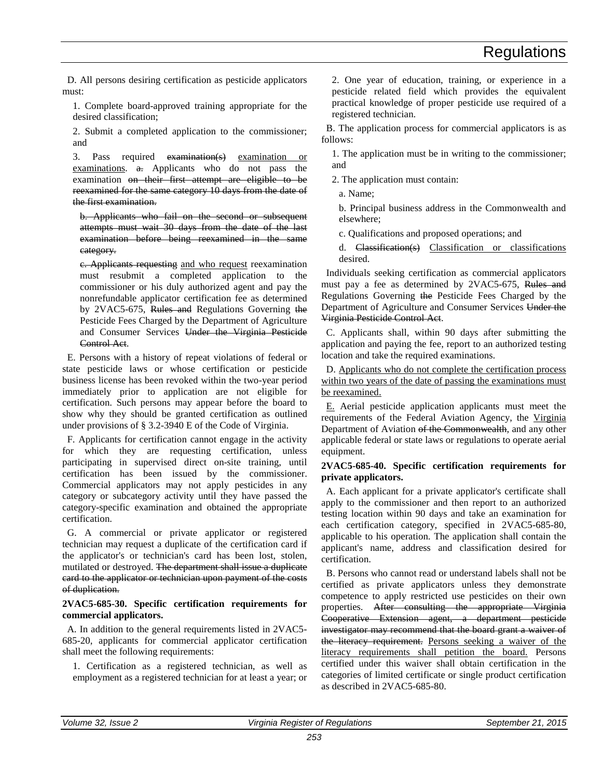D. All persons desiring certification as pesticide applicators must:

1. Complete board-approved training appropriate for the desired classification;

2. Submit a completed application to the commissioner; and

3. Pass required examination(s) examination or examinations. a. Applicants who do not pass the examination on their first attempt are eligible to be reexamined for the same category 10 days from the date of the first examination.

b. Applicants who fail on the second or subsequent attempts must wait 30 days from the date of the last examination before being reexamined in the same category.

c. Applicants requesting and who request reexamination must resubmit a completed application to the commissioner or his duly authorized agent and pay the nonrefundable applicator certification fee as determined by 2VAC5-675, Rules and Regulations Governing the Pesticide Fees Charged by the Department of Agriculture and Consumer Services Under the Virginia Pesticide Control Act.

E. Persons with a history of repeat violations of federal or state pesticide laws or whose certification or pesticide business license has been revoked within the two-year period immediately prior to application are not eligible for certification. Such persons may appear before the board to show why they should be granted certification as outlined under provisions of § 3.2-3940 E of the Code of Virginia.

F. Applicants for certification cannot engage in the activity for which they are requesting certification, unless participating in supervised direct on-site training, until certification has been issued by the commissioner. Commercial applicators may not apply pesticides in any category or subcategory activity until they have passed the category-specific examination and obtained the appropriate certification.

G. A commercial or private applicator or registered technician may request a duplicate of the certification card if the applicator's or technician's card has been lost, stolen, mutilated or destroyed. The department shall issue a duplicate card to the applicator or technician upon payment of the costs of duplication.

**2VAC5-685-30. Specific certification requirements for commercial applicators.** 

A. In addition to the general requirements listed in 2VAC5- 685-20, applicants for commercial applicator certification shall meet the following requirements:

1. Certification as a registered technician, as well as employment as a registered technician for at least a year; or 2. One year of education, training, or experience in a pesticide related field which provides the equivalent practical knowledge of proper pesticide use required of a registered technician.

B. The application process for commercial applicators is as follows:

1. The application must be in writing to the commissioner; and

2. The application must contain:

a. Name;

b. Principal business address in the Commonwealth and elsewhere;

c. Qualifications and proposed operations; and

d. Classification(s) Classification or classifications desired.

Individuals seeking certification as commercial applicators must pay a fee as determined by 2VAC5-675, Rules and Regulations Governing the Pesticide Fees Charged by the Department of Agriculture and Consumer Services Under the Virginia Pesticide Control Act.

C. Applicants shall, within 90 days after submitting the application and paying the fee, report to an authorized testing location and take the required examinations.

D. Applicants who do not complete the certification process within two years of the date of passing the examinations must be reexamined.

E. Aerial pesticide application applicants must meet the requirements of the Federal Aviation Agency, the Virginia Department of Aviation of the Commonwealth, and any other applicable federal or state laws or regulations to operate aerial equipment.

# **2VAC5-685-40. Specific certification requirements for private applicators.**

A. Each applicant for a private applicator's certificate shall apply to the commissioner and then report to an authorized testing location within 90 days and take an examination for each certification category, specified in 2VAC5-685-80, applicable to his operation. The application shall contain the applicant's name, address and classification desired for certification.

B. Persons who cannot read or understand labels shall not be certified as private applicators unless they demonstrate competence to apply restricted use pesticides on their own properties. After consulting the appropriate Virginia Cooperative Extension agent, a department pesticide investigator may recommend that the board grant a waiver of the literacy requirement. Persons seeking a waiver of the literacy requirements shall petition the board. Persons certified under this waiver shall obtain certification in the categories of limited certificate or single product certification as described in 2VAC5-685-80.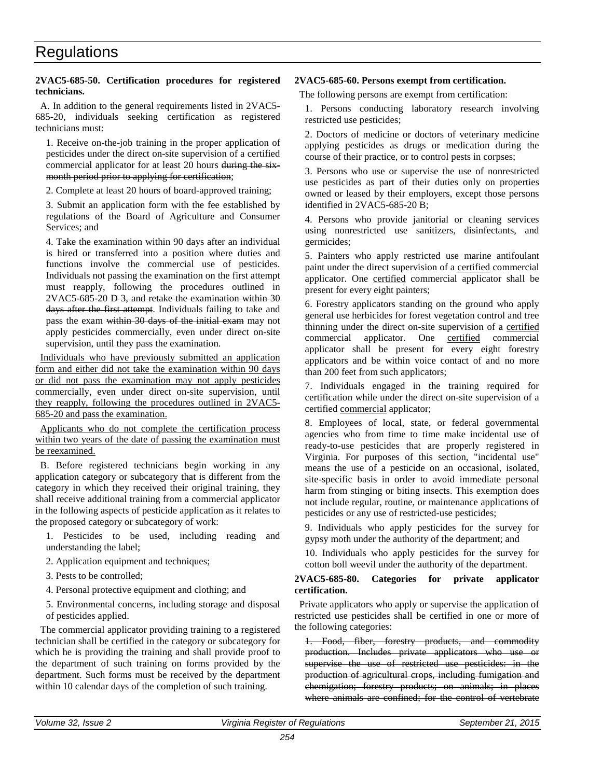# **2VAC5-685-50. Certification procedures for registered technicians.**

A. In addition to the general requirements listed in 2VAC5- 685-20, individuals seeking certification as registered technicians must:

1. Receive on-the-job training in the proper application of pesticides under the direct on-site supervision of a certified commercial applicator for at least 20 hours during the sixmonth period prior to applying for certification;

2. Complete at least 20 hours of board-approved training;

3. Submit an application form with the fee established by regulations of the Board of Agriculture and Consumer Services; and

4. Take the examination within 90 days after an individual is hired or transferred into a position where duties and functions involve the commercial use of pesticides. Individuals not passing the examination on the first attempt must reapply, following the procedures outlined in 2VAC5-685-20 D 3, and retake the examination within 30 days after the first attempt. Individuals failing to take and pass the exam within 30 days of the initial exam may not apply pesticides commercially, even under direct on-site supervision, until they pass the examination.

Individuals who have previously submitted an application form and either did not take the examination within 90 days or did not pass the examination may not apply pesticides commercially, even under direct on-site supervision, until they reapply, following the procedures outlined in 2VAC5- 685-20 and pass the examination.

Applicants who do not complete the certification process within two years of the date of passing the examination must be reexamined.

B. Before registered technicians begin working in any application category or subcategory that is different from the category in which they received their original training, they shall receive additional training from a commercial applicator in the following aspects of pesticide application as it relates to the proposed category or subcategory of work:

- 1. Pesticides to be used, including reading and understanding the label;
- 2. Application equipment and techniques;
- 3. Pests to be controlled;
- 4. Personal protective equipment and clothing; and
- 5. Environmental concerns, including storage and disposal of pesticides applied.

The commercial applicator providing training to a registered technician shall be certified in the category or subcategory for which he is providing the training and shall provide proof to the department of such training on forms provided by the department. Such forms must be received by the department within 10 calendar days of the completion of such training.

# **2VAC5-685-60. Persons exempt from certification.**

The following persons are exempt from certification:

1. Persons conducting laboratory research involving restricted use pesticides;

2. Doctors of medicine or doctors of veterinary medicine applying pesticides as drugs or medication during the course of their practice, or to control pests in corpses;

3. Persons who use or supervise the use of nonrestricted use pesticides as part of their duties only on properties owned or leased by their employers, except those persons identified in 2VAC5-685-20 B;

4. Persons who provide janitorial or cleaning services using nonrestricted use sanitizers, disinfectants, and germicides;

5. Painters who apply restricted use marine antifoulant paint under the direct supervision of a certified commercial applicator. One certified commercial applicator shall be present for every eight painters;

6. Forestry applicators standing on the ground who apply general use herbicides for forest vegetation control and tree thinning under the direct on-site supervision of a certified commercial applicator. One certified commercial applicator shall be present for every eight forestry applicators and be within voice contact of and no more than 200 feet from such applicators;

7. Individuals engaged in the training required for certification while under the direct on-site supervision of a certified commercial applicator;

8. Employees of local, state, or federal governmental agencies who from time to time make incidental use of ready-to-use pesticides that are properly registered in Virginia. For purposes of this section, "incidental use" means the use of a pesticide on an occasional, isolated, site-specific basis in order to avoid immediate personal harm from stinging or biting insects. This exemption does not include regular, routine, or maintenance applications of pesticides or any use of restricted-use pesticides;

9. Individuals who apply pesticides for the survey for gypsy moth under the authority of the department; and

10. Individuals who apply pesticides for the survey for cotton boll weevil under the authority of the department.

### **2VAC5-685-80. Categories for private applicator certification.**

Private applicators who apply or supervise the application of restricted use pesticides shall be certified in one or more of the following categories:

1. Food, fiber, forestry products, and commodity production. Includes private applicators who use or supervise the use of restricted use pesticides: in the production of agricultural crops, including fumigation and chemigation; forestry products; on animals; in places where animals are confined; for the control of vertebrate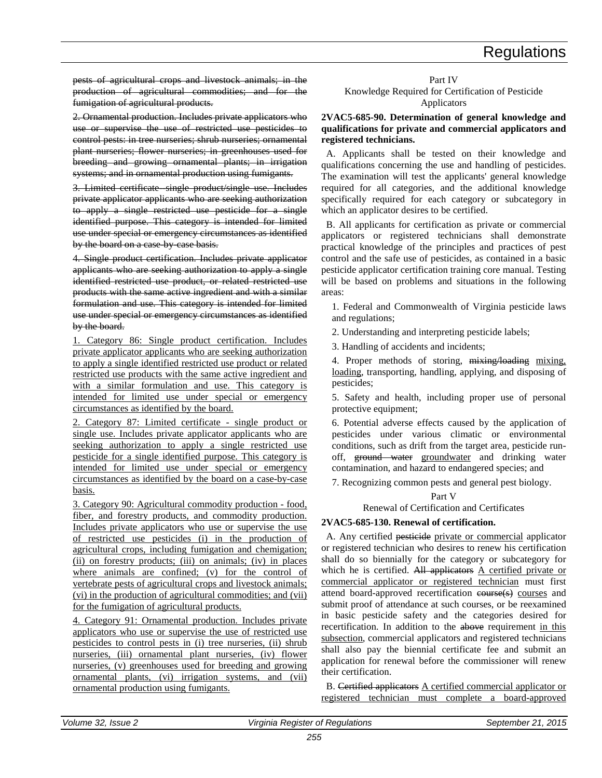pests of agricultural crops and livestock animals; in the production of agricultural commodities; and for the fumigation of agricultural products.

2. Ornamental production. Includes private applicators who use or supervise the use of restricted use pesticides to control pests: in tree nurseries; shrub nurseries; ornamental plant nurseries; flower nurseries; in greenhouses used for breeding and growing ornamental plants; in irrigation systems; and in ornamental production using fumigants.

3. Limited certificate single product/single use. Includes private applicator applicants who are seeking authorization to apply a single restricted use pesticide for a single identified purpose. This category is intended for limited use under special or emergency circumstances as identified by the board on a case-by-case basis.

4. Single product certification. Includes private applicator applicants who are seeking authorization to apply a single identified restricted use product, or related restricted use products with the same active ingredient and with a similar formulation and use. This category is intended for limited use under special or emergency circumstances as identified by the board.

1. Category 86: Single product certification. Includes private applicator applicants who are seeking authorization to apply a single identified restricted use product or related restricted use products with the same active ingredient and with a similar formulation and use. This category is intended for limited use under special or emergency circumstances as identified by the board.

2. Category 87: Limited certificate - single product or single use. Includes private applicator applicants who are seeking authorization to apply a single restricted use pesticide for a single identified purpose. This category is intended for limited use under special or emergency circumstances as identified by the board on a case-by-case basis.

3. Category 90: Agricultural commodity production - food, fiber, and forestry products, and commodity production. Includes private applicators who use or supervise the use of restricted use pesticides (i) in the production of agricultural crops, including fumigation and chemigation; (ii) on forestry products; (iii) on animals; (iv) in places where animals are confined; (v) for the control of vertebrate pests of agricultural crops and livestock animals; (vi) in the production of agricultural commodities; and (vii) for the fumigation of agricultural products.

4. Category 91: Ornamental production. Includes private applicators who use or supervise the use of restricted use pesticides to control pests in (i) tree nurseries, (ii) shrub nurseries, (iii) ornamental plant nurseries, (iv) flower nurseries, (v) greenhouses used for breeding and growing ornamental plants, (vi) irrigation systems, and (vii) ornamental production using fumigants.

#### Part IV Knowledge Required for Certification of Pesticide Applicators

### **2VAC5-685-90. Determination of general knowledge and qualifications for private and commercial applicators and registered technicians.**

A. Applicants shall be tested on their knowledge and qualifications concerning the use and handling of pesticides. The examination will test the applicants' general knowledge required for all categories, and the additional knowledge specifically required for each category or subcategory in which an applicator desires to be certified.

B. All applicants for certification as private or commercial applicators or registered technicians shall demonstrate practical knowledge of the principles and practices of pest control and the safe use of pesticides, as contained in a basic pesticide applicator certification training core manual. Testing will be based on problems and situations in the following areas:

1. Federal and Commonwealth of Virginia pesticide laws and regulations;

2. Understanding and interpreting pesticide labels;

3. Handling of accidents and incidents;

4. Proper methods of storing, mixing/loading mixing, loading, transporting, handling, applying, and disposing of pesticides;

5. Safety and health, including proper use of personal protective equipment;

6. Potential adverse effects caused by the application of pesticides under various climatic or environmental conditions, such as drift from the target area, pesticide runoff, ground water groundwater and drinking water contamination, and hazard to endangered species; and

7. Recognizing common pests and general pest biology.

# Part V

# Renewal of Certification and Certificates

# **2VAC5-685-130. Renewal of certification.**

A. Any certified pesticide private or commercial applicator or registered technician who desires to renew his certification shall do so biennially for the category or subcategory for which he is certified. All applicators A certified private or commercial applicator or registered technician must first attend board-approved recertification course(s) courses and submit proof of attendance at such courses, or be reexamined in basic pesticide safety and the categories desired for recertification. In addition to the above requirement in this subsection, commercial applicators and registered technicians shall also pay the biennial certificate fee and submit an application for renewal before the commissioner will renew their certification.

B. Certified applicators A certified commercial applicator or registered technician must complete a board-approved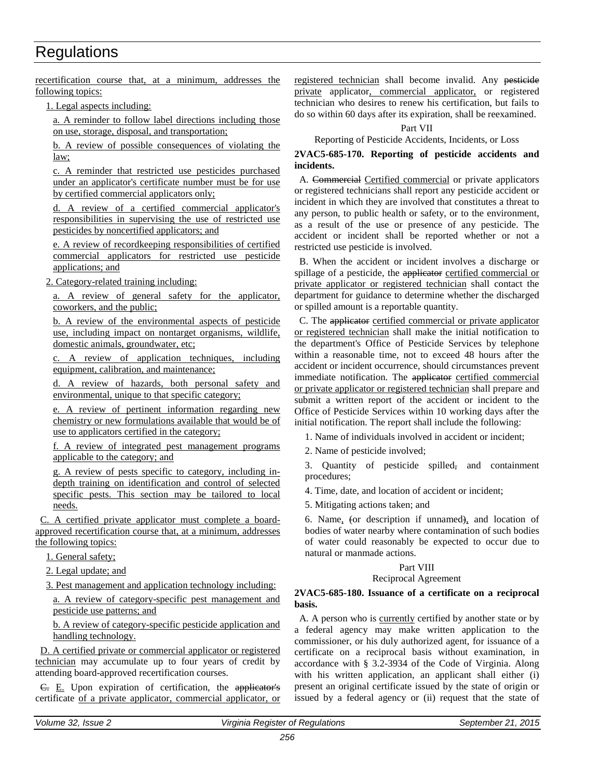recertification course that, at a minimum, addresses the following topics:

1. Legal aspects including:

a. A reminder to follow label directions including those on use, storage, disposal, and transportation;

b. A review of possible consequences of violating the law;

c. A reminder that restricted use pesticides purchased under an applicator's certificate number must be for use by certified commercial applicators only;

d. A review of a certified commercial applicator's responsibilities in supervising the use of restricted use pesticides by noncertified applicators; and

e. A review of recordkeeping responsibilities of certified commercial applicators for restricted use pesticide applications; and

2. Category-related training including:

a. A review of general safety for the applicator, coworkers, and the public;

b. A review of the environmental aspects of pesticide use, including impact on nontarget organisms, wildlife, domestic animals, groundwater, etc;

c. A review of application techniques, including equipment, calibration, and maintenance;

d. A review of hazards, both personal safety and environmental, unique to that specific category;

e. A review of pertinent information regarding new chemistry or new formulations available that would be of use to applicators certified in the category;

f. A review of integrated pest management programs applicable to the category; and

g. A review of pests specific to category, including indepth training on identification and control of selected specific pests. This section may be tailored to local needs.

C. A certified private applicator must complete a boardapproved recertification course that, at a minimum, addresses the following topics:

1. General safety;

2. Legal update; and

3. Pest management and application technology including:

a. A review of category-specific pest management and pesticide use patterns; and

b. A review of category-specific pesticide application and handling technology.

D. A certified private or commercial applicator or registered technician may accumulate up to four years of credit by attending board-approved recertification courses.

C. E. Upon expiration of certification, the applicator's certificate of a private applicator, commercial applicator, or registered technician shall become invalid. Any pesticide private applicator, commercial applicator, or registered technician who desires to renew his certification, but fails to do so within 60 days after its expiration, shall be reexamined.

### Part VII

Reporting of Pesticide Accidents, Incidents, or Loss

**2VAC5-685-170. Reporting of pesticide accidents and incidents.** 

A. Commercial Certified commercial or private applicators or registered technicians shall report any pesticide accident or incident in which they are involved that constitutes a threat to any person, to public health or safety, or to the environment, as a result of the use or presence of any pesticide. The accident or incident shall be reported whether or not a restricted use pesticide is involved.

B. When the accident or incident involves a discharge or spillage of a pesticide, the applicator certified commercial or private applicator or registered technician shall contact the department for guidance to determine whether the discharged or spilled amount is a reportable quantity.

C. The applicator certified commercial or private applicator or registered technician shall make the initial notification to the department's Office of Pesticide Services by telephone within a reasonable time, not to exceed 48 hours after the accident or incident occurrence, should circumstances prevent immediate notification. The applicator certified commercial or private applicator or registered technician shall prepare and submit a written report of the accident or incident to the Office of Pesticide Services within 10 working days after the initial notification. The report shall include the following:

1. Name of individuals involved in accident or incident;

2. Name of pesticide involved;

3. Quantity of pesticide spilled, and containment procedures;

4. Time, date, and location of accident or incident;

5. Mitigating actions taken; and

6. Name, (or description if unnamed), and location of bodies of water nearby where contamination of such bodies of water could reasonably be expected to occur due to natural or manmade actions.

# Part VIII

# Reciprocal Agreement

### **2VAC5-685-180. Issuance of a certificate on a reciprocal basis.**

A. A person who is currently certified by another state or by a federal agency may make written application to the commissioner, or his duly authorized agent, for issuance of a certificate on a reciprocal basis without examination, in accordance with § 3.2-3934 of the Code of Virginia. Along with his written application, an applicant shall either (i) present an original certificate issued by the state of origin or issued by a federal agency or (ii) request that the state of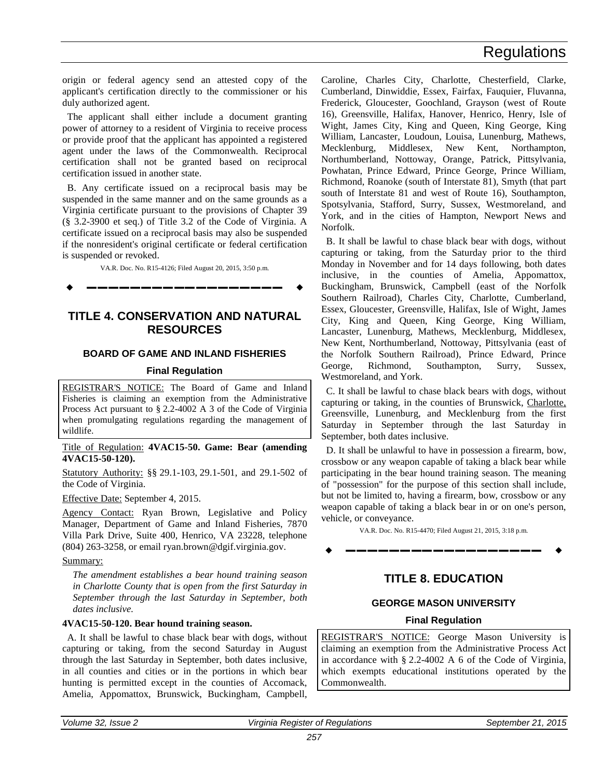<span id="page-16-1"></span>origin or federal agency send an attested copy of the applicant's certification directly to the commissioner or his duly authorized agent.

The applicant shall either include a document granting power of attorney to a resident of Virginia to receive process or provide proof that the applicant has appointed a registered agent under the laws of the Commonwealth. Reciprocal certification shall not be granted based on reciprocal certification issued in another state.

B. Any certificate issued on a reciprocal basis may be suspended in the same manner and on the same grounds as a Virginia certificate pursuant to the provisions of Chapter 39 (§ 3.2-3900 et seq.) of Title 3.2 of the Code of Virginia. A certificate issued on a reciprocal basis may also be suspended if the nonresident's original certificate or federal certification is suspended or revoked.

VA.R. Doc. No. R15-4126; Filed August 20, 2015, 3:50 p.m.

**––––––––––––––––––**

# **TITLE 4. CONSERVATION AND NATURAL RESOURCES**

# **BOARD OF GAME AND INLAND FISHERIES**

#### **Final Regulation**

REGISTRAR'S NOTICE: The Board of Game and Inland Fisheries is claiming an exemption from the Administrative Process Act pursuant to § 2.2-4002 A 3 of the Code of Virginia when promulgating regulations regarding the management of wildlife.

#### Title of Regulation: **4VAC15-50. Game: Bear (amending 4VAC15-50-120).**

Statutory Authority: §§ 29.1-103, 29.1-501, and 29.1-502 of the Code of Virginia.

Effective Date: September 4, 2015.

Agency Contact: Ryan Brown, Legislative and Policy Manager, Department of Game and Inland Fisheries, 7870 Villa Park Drive, Suite 400, Henrico, VA 23228, telephone (804) 263-3258, or email ryan.brown@dgif.virginia.gov.

#### Summary:

*The amendment establishes a bear hound training season in Charlotte County that is open from the first Saturday in September through the last Saturday in September, both dates inclusive.*

# **4VAC15-50-120. Bear hound training season.**

A. It shall be lawful to chase black bear with dogs, without capturing or taking, from the second Saturday in August through the last Saturday in September, both dates inclusive, in all counties and cities or in the portions in which bear hunting is permitted except in the counties of Accomack, Amelia, Appomattox, Brunswick, Buckingham, Campbell, Caroline, Charles City, Charlotte, Chesterfield, Clarke, Cumberland, Dinwiddie, Essex, Fairfax, Fauquier, Fluvanna, Frederick, Gloucester, Goochland, Grayson (west of Route 16), Greensville, Halifax, Hanover, Henrico, Henry, Isle of Wight, James City, King and Queen, King George, King William, Lancaster, Loudoun, Louisa, Lunenburg, Mathews, Mecklenburg, Middlesex, New Kent, Northampton, Northumberland, Nottoway, Orange, Patrick, Pittsylvania, Powhatan, Prince Edward, Prince George, Prince William, Richmond, Roanoke (south of Interstate 81), Smyth (that part south of Interstate 81 and west of Route 16), Southampton, Spotsylvania, Stafford, Surry, Sussex, Westmoreland, and York, and in the cities of Hampton, Newport News and Norfolk.

B. It shall be lawful to chase black bear with dogs, without capturing or taking, from the Saturday prior to the third Monday in November and for 14 days following, both dates inclusive, in the counties of Amelia, Appomattox, Buckingham, Brunswick, Campbell (east of the Norfolk Southern Railroad), Charles City, Charlotte, Cumberland, Essex, Gloucester, Greensville, Halifax, Isle of Wight, James City, King and Queen, King George, King William, Lancaster, Lunenburg, Mathews, Mecklenburg, Middlesex, New Kent, Northumberland, Nottoway, Pittsylvania (east of the Norfolk Southern Railroad), Prince Edward, Prince George, Richmond, Southampton, Surry, Sussex, Westmoreland, and York.

C. It shall be lawful to chase black bears with dogs, without capturing or taking, in the counties of Brunswick, Charlotte, Greensville, Lunenburg, and Mecklenburg from the first Saturday in September through the last Saturday in September, both dates inclusive.

<span id="page-16-0"></span>D. It shall be unlawful to have in possession a firearm, bow, crossbow or any weapon capable of taking a black bear while participating in the bear hound training season. The meaning of "possession" for the purpose of this section shall include, but not be limited to, having a firearm, bow, crossbow or any weapon capable of taking a black bear in or on one's person, vehicle, or conveyance.

VA.R. Doc. No. R15-4470; Filed August 21, 2015, 3:18 p.m.

**––––––––––––––––––**

# **TITLE 8. EDUCATION**

# **GEORGE MASON UNIVERSITY**

# **Final Regulation**

REGISTRAR'S NOTICE: George Mason University is claiming an exemption from the Administrative Process Act in accordance with § 2.2-4002 A 6 of the Code of Virginia, which exempts educational institutions operated by the Commonwealth.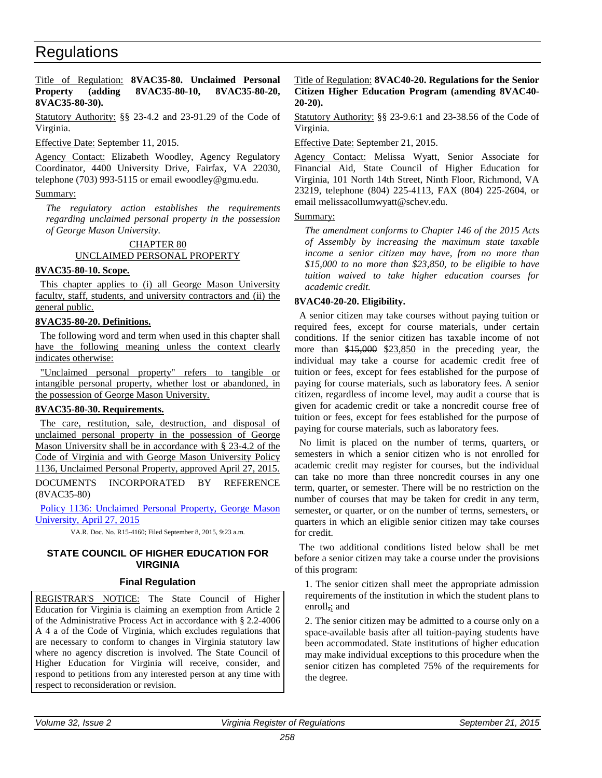### <span id="page-17-2"></span><span id="page-17-0"></span>Title of Regulation: **8VAC35-80. Unclaimed Personal Property (adding 8VAC35-80-10, 8VAC35-80-20, 8VAC35-80-30).**

Statutory Authority: §§ 23-4.2 and 23-91.29 of the Code of Virginia.

Effective Date: September 11, 2015.

Agency Contact: Elizabeth Woodley, Agency Regulatory Coordinator, 4400 University Drive, Fairfax, VA 22030, telephone (703) 993-5115 or email ewoodley@gmu.edu.

# Summary:

*The regulatory action establishes the requirements regarding unclaimed personal property in the possession of George Mason University.*

# CHAPTER 80 UNCLAIMED PERSONAL PROPERTY

# **8VAC35-80-10. Scope.**

This chapter applies to (i) all George Mason University faculty, staff, students, and university contractors and (ii) the general public.

# **8VAC35-80-20. Definitions.**

The following word and term when used in this chapter shall have the following meaning unless the context clearly indicates otherwise:

"Unclaimed personal property" refers to tangible or intangible personal property, whether lost or abandoned, in the possession of George Mason University.

#### **8VAC35-80-30. Requirements.**

The care, restitution, sale, destruction, and disposal of unclaimed personal property in the possession of George Mason University shall be in accordance with § 23-4.2 of the Code of Virginia and with George Mason University Policy 1136, Unclaimed Personal Property, approved April 27, 2015.

DOCUMENTS INCORPORATED BY REFERENCE (8VAC35-80)

[Policy 1136: Unclaimed Personal Property, George Mason](http://leg5.state.va.us/reg_agent/frmView.aspx?Viewid=7cc32004160~1&typ=40&actno=004160&mime=application/pdf)  [University, April 27, 2015](http://leg5.state.va.us/reg_agent/frmView.aspx?Viewid=7cc32004160~1&typ=40&actno=004160&mime=application/pdf)

VA.R. Doc. No. R15-4160; Filed September 8, 2015, 9:23 a.m.

# **STATE COUNCIL OF HIGHER EDUCATION FOR VIRGINIA**

# **Final Regulation**

REGISTRAR'S NOTICE: The State Council of Higher Education for Virginia is claiming an exemption from Article 2 of the Administrative Process Act in accordance with § 2.2-4006 A 4 a of the Code of Virginia, which excludes regulations that are necessary to conform to changes in Virginia statutory law where no agency discretion is involved. The State Council of Higher Education for Virginia will receive, consider, and respond to petitions from any interested person at any time with respect to reconsideration or revision.

### <span id="page-17-1"></span>Title of Regulation: **8VAC40-20. Regulations for the Senior Citizen Higher Education Program (amending 8VAC40- 20-20).**

Statutory Authority: §§ 23-9.6:1 and 23-38.56 of the Code of Virginia.

Effective Date: September 21, 2015.

Agency Contact: Melissa Wyatt, Senior Associate for Financial Aid, State Council of Higher Education for Virginia, 101 North 14th Street, Ninth Floor, Richmond, VA 23219, telephone (804) 225-4113, FAX (804) 225-2604, or email melissacollumwyatt@schev.edu.

### Summary:

*The amendment conforms to Chapter 146 of the 2015 Acts of Assembly by increasing the maximum state taxable income a senior citizen may have, from no more than \$15,000 to no more than \$23,850, to be eligible to have tuition waived to take higher education courses for academic credit.*

# **8VAC40-20-20. Eligibility.**

A senior citizen may take courses without paying tuition or required fees, except for course materials, under certain conditions. If the senior citizen has taxable income of not more than \$15,000 \$23,850 in the preceding year, the individual may take a course for academic credit free of tuition or fees, except for fees established for the purpose of paying for course materials, such as laboratory fees. A senior citizen, regardless of income level, may audit a course that is given for academic credit or take a noncredit course free of tuition or fees, except for fees established for the purpose of paying for course materials, such as laboratory fees.

No limit is placed on the number of terms, quarters, or semesters in which a senior citizen who is not enrolled for academic credit may register for courses, but the individual can take no more than three noncredit courses in any one term, quarter, or semester. There will be no restriction on the number of courses that may be taken for credit in any term, semester, or quarter, or on the number of terms, semesters, or quarters in which an eligible senior citizen may take courses for credit.

The two additional conditions listed below shall be met before a senior citizen may take a course under the provisions of this program:

1. The senior citizen shall meet the appropriate admission requirements of the institution in which the student plans to enroll,; and

2. The senior citizen may be admitted to a course only on a space-available basis after all tuition-paying students have been accommodated. State institutions of higher education may make individual exceptions to this procedure when the senior citizen has completed 75% of the requirements for the degree.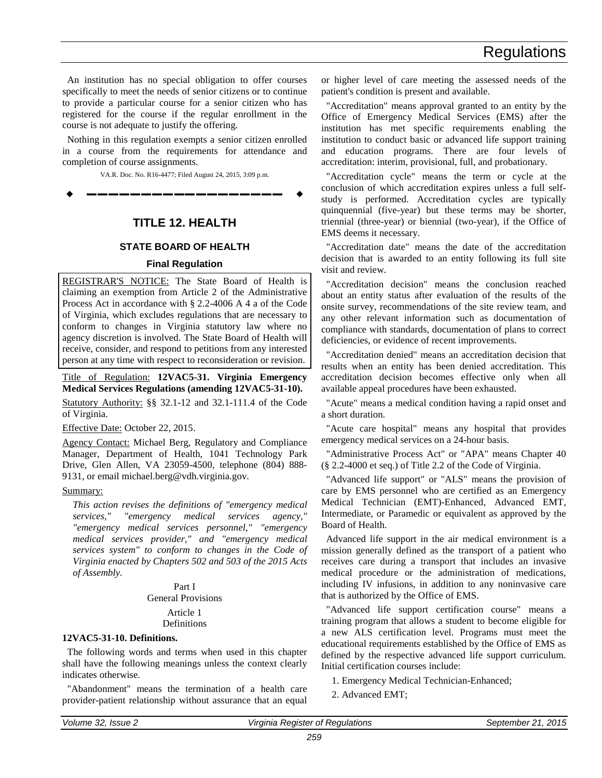<span id="page-18-1"></span>An institution has no special obligation to offer courses specifically to meet the needs of senior citizens or to continue to provide a particular course for a senior citizen who has registered for the course if the regular enrollment in the course is not adequate to justify the offering.

Nothing in this regulation exempts a senior citizen enrolled in a course from the requirements for attendance and completion of course assignments.

VA.R. Doc. No. R16-4477; Filed August 24, 2015, 3:09 p.m.

**––––––––––––––––––**

# **TITLE 12. HEALTH**

# **STATE BOARD OF HEALTH**

# **Final Regulation**

REGISTRAR'S NOTICE: The State Board of Health is claiming an exemption from Article 2 of the Administrative Process Act in accordance with § 2.2-4006 A 4 a of the Code of Virginia, which excludes regulations that are necessary to conform to changes in Virginia statutory law where no agency discretion is involved. The State Board of Health will receive, consider, and respond to petitions from any interested person at any time with respect to reconsideration or revision.

<span id="page-18-0"></span>Title of Regulation: **12VAC5-31. Virginia Emergency Medical Services Regulations (amending 12VAC5-31-10).** 

Statutory Authority: §§ 32.1-12 and 32.1-111.4 of the Code of Virginia.

Effective Date: October 22, 2015.

Agency Contact: Michael Berg, Regulatory and Compliance Manager, Department of Health, 1041 Technology Park Drive, Glen Allen, VA 23059-4500, telephone (804) 888- 9131, or email michael.berg@vdh.virginia.gov.

#### Summary:

*This action revises the definitions of "emergency medical services," "emergency medical services agency," "emergency medical services personnel," "emergency medical services provider," and "emergency medical services system" to conform to changes in the Code of Virginia enacted by Chapters 502 and 503 of the 2015 Acts of Assembly.* 

# Part I General Provisions

#### Article 1 **Definitions**

# **12VAC5-31-10. Definitions.**

The following words and terms when used in this chapter shall have the following meanings unless the context clearly indicates otherwise.

"Abandonment" means the termination of a health care provider-patient relationship without assurance that an equal or higher level of care meeting the assessed needs of the patient's condition is present and available.

"Accreditation" means approval granted to an entity by the Office of Emergency Medical Services (EMS) after the institution has met specific requirements enabling the institution to conduct basic or advanced life support training and education programs. There are four levels of accreditation: interim, provisional, full, and probationary.

"Accreditation cycle" means the term or cycle at the conclusion of which accreditation expires unless a full selfstudy is performed. Accreditation cycles are typically quinquennial (five-year) but these terms may be shorter, triennial (three-year) or biennial (two-year), if the Office of EMS deems it necessary.

"Accreditation date" means the date of the accreditation decision that is awarded to an entity following its full site visit and review.

"Accreditation decision" means the conclusion reached about an entity status after evaluation of the results of the onsite survey, recommendations of the site review team, and any other relevant information such as documentation of compliance with standards, documentation of plans to correct deficiencies, or evidence of recent improvements.

"Accreditation denied" means an accreditation decision that results when an entity has been denied accreditation. This accreditation decision becomes effective only when all available appeal procedures have been exhausted.

"Acute" means a medical condition having a rapid onset and a short duration.

"Acute care hospital" means any hospital that provides emergency medical services on a 24-hour basis.

"Administrative Process Act" or "APA" means Chapter 40 (§ 2.2-4000 et seq.) of Title 2.2 of the Code of Virginia.

"Advanced life support" or "ALS" means the provision of care by EMS personnel who are certified as an Emergency Medical Technician (EMT)-Enhanced, Advanced EMT, Intermediate, or Paramedic or equivalent as approved by the Board of Health.

Advanced life support in the air medical environment is a mission generally defined as the transport of a patient who receives care during a transport that includes an invasive medical procedure or the administration of medications, including IV infusions, in addition to any noninvasive care that is authorized by the Office of EMS.

"Advanced life support certification course" means a training program that allows a student to become eligible for a new ALS certification level. Programs must meet the educational requirements established by the Office of EMS as defined by the respective advanced life support curriculum. Initial certification courses include:

1. Emergency Medical Technician-Enhanced;

2. Advanced EMT;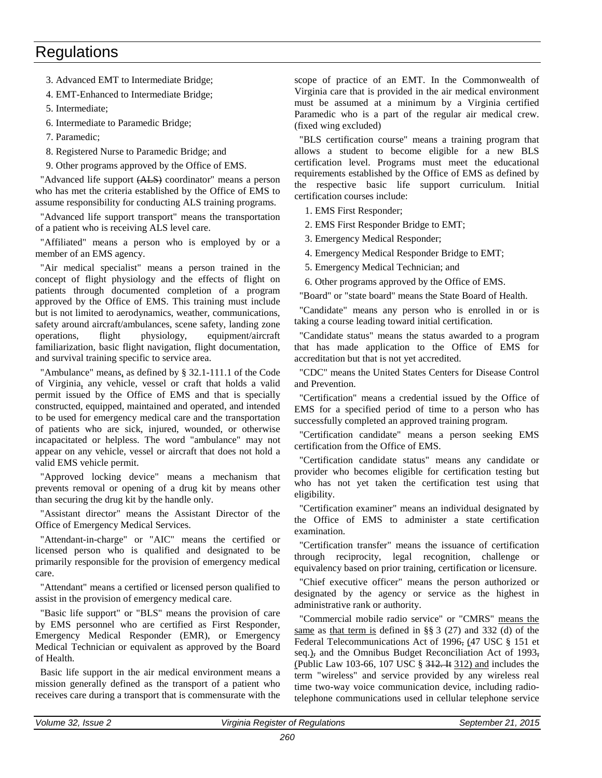3. Advanced EMT to Intermediate Bridge;

4. EMT-Enhanced to Intermediate Bridge;

5. Intermediate;

6. Intermediate to Paramedic Bridge;

7. Paramedic;

8. Registered Nurse to Paramedic Bridge; and

9. Other programs approved by the Office of EMS.

"Advanced life support (ALS) coordinator" means a person who has met the criteria established by the Office of EMS to assume responsibility for conducting ALS training programs.

"Advanced life support transport" means the transportation of a patient who is receiving ALS level care.

"Affiliated" means a person who is employed by or a member of an EMS agency.

"Air medical specialist" means a person trained in the concept of flight physiology and the effects of flight on patients through documented completion of a program approved by the Office of EMS. This training must include but is not limited to aerodynamics, weather, communications, safety around aircraft/ambulances, scene safety, landing zone operations, flight physiology, equipment/aircraft familiarization, basic flight navigation, flight documentation, and survival training specific to service area.

"Ambulance" means, as defined by § 32.1-111.1 of the Code of Virginia, any vehicle, vessel or craft that holds a valid permit issued by the Office of EMS and that is specially constructed, equipped, maintained and operated, and intended to be used for emergency medical care and the transportation of patients who are sick, injured, wounded, or otherwise incapacitated or helpless. The word "ambulance" may not appear on any vehicle, vessel or aircraft that does not hold a valid EMS vehicle permit.

"Approved locking device" means a mechanism that prevents removal or opening of a drug kit by means other than securing the drug kit by the handle only.

"Assistant director" means the Assistant Director of the Office of Emergency Medical Services.

"Attendant-in-charge" or "AIC" means the certified or licensed person who is qualified and designated to be primarily responsible for the provision of emergency medical care.

"Attendant" means a certified or licensed person qualified to assist in the provision of emergency medical care.

"Basic life support" or "BLS" means the provision of care by EMS personnel who are certified as First Responder, Emergency Medical Responder (EMR), or Emergency Medical Technician or equivalent as approved by the Board of Health.

Basic life support in the air medical environment means a mission generally defined as the transport of a patient who receives care during a transport that is commensurate with the

scope of practice of an EMT. In the Commonwealth of Virginia care that is provided in the air medical environment must be assumed at a minimum by a Virginia certified Paramedic who is a part of the regular air medical crew. (fixed wing excluded)

"BLS certification course" means a training program that allows a student to become eligible for a new BLS certification level. Programs must meet the educational requirements established by the Office of EMS as defined by the respective basic life support curriculum. Initial certification courses include:

1. EMS First Responder;

2. EMS First Responder Bridge to EMT;

3. Emergency Medical Responder;

4. Emergency Medical Responder Bridge to EMT;

5. Emergency Medical Technician; and

6. Other programs approved by the Office of EMS.

"Board" or "state board" means the State Board of Health.

"Candidate" means any person who is enrolled in or is taking a course leading toward initial certification.

"Candidate status" means the status awarded to a program that has made application to the Office of EMS for accreditation but that is not yet accredited.

"CDC" means the United States Centers for Disease Control and Prevention.

"Certification" means a credential issued by the Office of EMS for a specified period of time to a person who has successfully completed an approved training program.

"Certification candidate" means a person seeking EMS certification from the Office of EMS.

"Certification candidate status" means any candidate or provider who becomes eligible for certification testing but who has not yet taken the certification test using that eligibility.

"Certification examiner" means an individual designated by the Office of EMS to administer a state certification examination.

"Certification transfer" means the issuance of certification through reciprocity, legal recognition, challenge or equivalency based on prior training, certification or licensure.

"Chief executive officer" means the person authorized or designated by the agency or service as the highest in administrative rank or authority.

"Commercial mobile radio service" or "CMRS" means the same as that term is defined in §§ 3 (27) and 332 (d) of the Federal Telecommunications Act of 1996, (47 USC § 151 et seq.), and the Omnibus Budget Reconciliation Act of 1993, (Public Law 103-66, 107 USC § 312. It 312) and includes the term "wireless" and service provided by any wireless real time two-way voice communication device, including radiotelephone communications used in cellular telephone service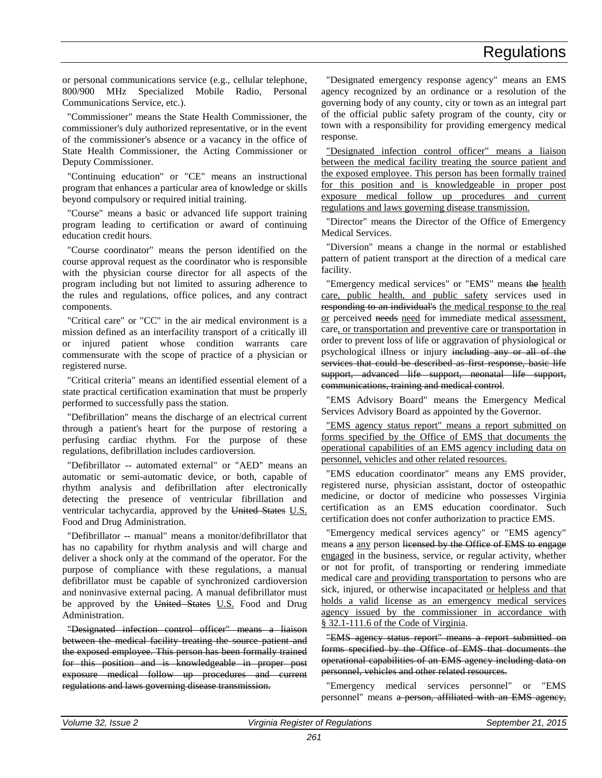or personal communications service (e.g., cellular telephone, 800/900 MHz Specialized Mobile Radio, Personal Communications Service, etc.).

"Commissioner" means the State Health Commissioner, the commissioner's duly authorized representative, or in the event of the commissioner's absence or a vacancy in the office of State Health Commissioner, the Acting Commissioner or Deputy Commissioner.

"Continuing education" or "CE" means an instructional program that enhances a particular area of knowledge or skills beyond compulsory or required initial training.

"Course" means a basic or advanced life support training program leading to certification or award of continuing education credit hours.

"Course coordinator" means the person identified on the course approval request as the coordinator who is responsible with the physician course director for all aspects of the program including but not limited to assuring adherence to the rules and regulations, office polices, and any contract components.

"Critical care" or "CC" in the air medical environment is a mission defined as an interfacility transport of a critically ill or injured patient whose condition warrants care commensurate with the scope of practice of a physician or registered nurse.

"Critical criteria" means an identified essential element of a state practical certification examination that must be properly performed to successfully pass the station.

"Defibrillation" means the discharge of an electrical current through a patient's heart for the purpose of restoring a perfusing cardiac rhythm. For the purpose of these regulations, defibrillation includes cardioversion.

"Defibrillator -- automated external" or "AED" means an automatic or semi-automatic device, or both, capable of rhythm analysis and defibrillation after electronically detecting the presence of ventricular fibrillation and ventricular tachycardia, approved by the United States U.S. Food and Drug Administration.

"Defibrillator -- manual" means a monitor/defibrillator that has no capability for rhythm analysis and will charge and deliver a shock only at the command of the operator. For the purpose of compliance with these regulations, a manual defibrillator must be capable of synchronized cardioversion and noninvasive external pacing. A manual defibrillator must be approved by the United States U.S. Food and Drug Administration.

"Designated infection control officer" means a liaison between the medical facility treating the source patient and the exposed employee. This person has been formally trained for this position and is knowledgeable in proper post exposure medical follow up procedures and current regulations and laws governing disease transmission.

"Designated emergency response agency" means an EMS agency recognized by an ordinance or a resolution of the governing body of any county, city or town as an integral part of the official public safety program of the county, city or town with a responsibility for providing emergency medical response.

"Designated infection control officer" means a liaison between the medical facility treating the source patient and the exposed employee. This person has been formally trained for this position and is knowledgeable in proper post exposure medical follow up procedures and current regulations and laws governing disease transmission.

"Director" means the Director of the Office of Emergency Medical Services.

"Diversion" means a change in the normal or established pattern of patient transport at the direction of a medical care facility.

"Emergency medical services" or "EMS" means the health care, public health, and public safety services used in responding to an individual's the medical response to the real or perceived needs need for immediate medical assessment, care, or transportation and preventive care or transportation in order to prevent loss of life or aggravation of physiological or psychological illness or injury including any or all of the services that could be described as first response, basic life support, advanced life support, neonatal life support, communications, training and medical control.

"EMS Advisory Board" means the Emergency Medical Services Advisory Board as appointed by the Governor.

"EMS agency status report" means a report submitted on forms specified by the Office of EMS that documents the operational capabilities of an EMS agency including data on personnel, vehicles and other related resources.

"EMS education coordinator" means any EMS provider, registered nurse, physician assistant, doctor of osteopathic medicine, or doctor of medicine who possesses Virginia certification as an EMS education coordinator. Such certification does not confer authorization to practice EMS.

"Emergency medical services agency" or "EMS agency" means a any person licensed by the Office of EMS to engage engaged in the business, service, or regular activity, whether or not for profit, of transporting or rendering immediate medical care and providing transportation to persons who are sick, injured, or otherwise incapacitated or helpless and that holds a valid license as an emergency medical services agency issued by the commissioner in accordance with § 32.1-111.6 of the Code of Virginia.

"EMS agency status report" means a report submitted on forms specified by the Office of EMS that documents the operational capabilities of an EMS agency including data on personnel, vehicles and other related resources.

"Emergency medical services personnel" or "EMS personnel" means a person, affiliated with an EMS agency,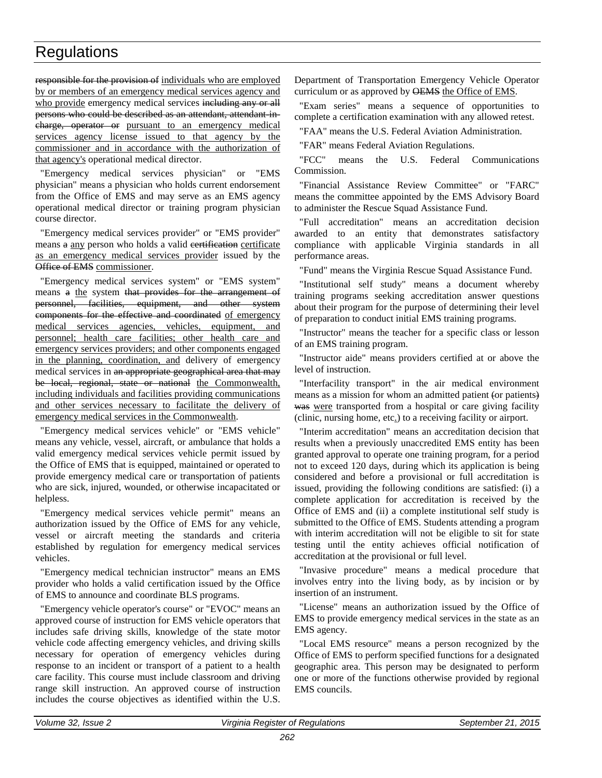responsible for the provision of individuals who are employed by or members of an emergency medical services agency and who provide emergency medical services including any or all persons who could be described as an attendant, attendant incharge, operator or pursuant to an emergency medical services agency license issued to that agency by the commissioner and in accordance with the authorization of that agency's operational medical director.

"Emergency medical services physician" or "EMS physician" means a physician who holds current endorsement from the Office of EMS and may serve as an EMS agency operational medical director or training program physician course director.

"Emergency medical services provider" or "EMS provider" means a any person who holds a valid evertification certificate as an emergency medical services provider issued by the Office of EMS commissioner.

"Emergency medical services system" or "EMS system" means a the system that provides for the arrangement of personnel, facilities, equipment, and other system components for the effective and coordinated of emergency medical services agencies, vehicles, equipment, and personnel; health care facilities; other health care and emergency services providers; and other components engaged in the planning, coordination, and delivery of emergency medical services in an appropriate geographical area that may be local, regional, state or national the Commonwealth, including individuals and facilities providing communications and other services necessary to facilitate the delivery of emergency medical services in the Commonwealth.

"Emergency medical services vehicle" or "EMS vehicle" means any vehicle, vessel, aircraft, or ambulance that holds a valid emergency medical services vehicle permit issued by the Office of EMS that is equipped, maintained or operated to provide emergency medical care or transportation of patients who are sick, injured, wounded, or otherwise incapacitated or helpless.

"Emergency medical services vehicle permit" means an authorization issued by the Office of EMS for any vehicle, vessel or aircraft meeting the standards and criteria established by regulation for emergency medical services vehicles.

"Emergency medical technician instructor" means an EMS provider who holds a valid certification issued by the Office of EMS to announce and coordinate BLS programs.

"Emergency vehicle operator's course" or "EVOC" means an approved course of instruction for EMS vehicle operators that includes safe driving skills, knowledge of the state motor vehicle code affecting emergency vehicles, and driving skills necessary for operation of emergency vehicles during response to an incident or transport of a patient to a health care facility. This course must include classroom and driving range skill instruction. An approved course of instruction includes the course objectives as identified within the U.S. Department of Transportation Emergency Vehicle Operator curriculum or as approved by OEMS the Office of EMS.

"Exam series" means a sequence of opportunities to complete a certification examination with any allowed retest.

"FAA" means the U.S. Federal Aviation Administration.

"FAR" means Federal Aviation Regulations.

"FCC" means the U.S. Federal Communications Commission.

"Financial Assistance Review Committee" or "FARC" means the committee appointed by the EMS Advisory Board to administer the Rescue Squad Assistance Fund.

"Full accreditation" means an accreditation decision awarded to an entity that demonstrates satisfactory compliance with applicable Virginia standards in all performance areas.

"Fund" means the Virginia Rescue Squad Assistance Fund.

"Institutional self study" means a document whereby training programs seeking accreditation answer questions about their program for the purpose of determining their level of preparation to conduct initial EMS training programs.

"Instructor" means the teacher for a specific class or lesson of an EMS training program.

"Instructor aide" means providers certified at or above the level of instruction.

"Interfacility transport" in the air medical environment means as a mission for whom an admitted patient (or patients) was were transported from a hospital or care giving facility (clinic, nursing home, etc.) to a receiving facility or airport.

"Interim accreditation" means an accreditation decision that results when a previously unaccredited EMS entity has been granted approval to operate one training program, for a period not to exceed 120 days, during which its application is being considered and before a provisional or full accreditation is issued, providing the following conditions are satisfied: (i) a complete application for accreditation is received by the Office of EMS and (ii) a complete institutional self study is submitted to the Office of EMS. Students attending a program with interim accreditation will not be eligible to sit for state testing until the entity achieves official notification of accreditation at the provisional or full level.

"Invasive procedure" means a medical procedure that involves entry into the living body, as by incision or by insertion of an instrument.

"License" means an authorization issued by the Office of EMS to provide emergency medical services in the state as an EMS agency.

"Local EMS resource" means a person recognized by the Office of EMS to perform specified functions for a designated geographic area. This person may be designated to perform one or more of the functions otherwise provided by regional EMS councils.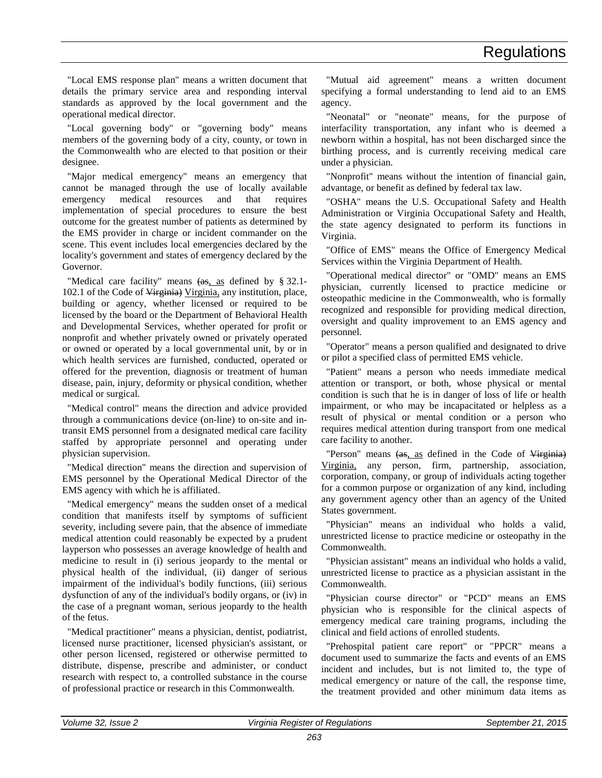"Local EMS response plan" means a written document that details the primary service area and responding interval standards as approved by the local government and the operational medical director.

"Local governing body" or "governing body" means members of the governing body of a city, county, or town in the Commonwealth who are elected to that position or their designee.

"Major medical emergency" means an emergency that cannot be managed through the use of locally available emergency medical resources and that requires implementation of special procedures to ensure the best outcome for the greatest number of patients as determined by the EMS provider in charge or incident commander on the scene. This event includes local emergencies declared by the locality's government and states of emergency declared by the Governor.

"Medical care facility" means  $\frac{\text{a.s.}}{\text{a.s.}}$  as defined by § 32.1-102.1 of the Code of Virginia) Virginia, any institution, place, building or agency, whether licensed or required to be licensed by the board or the Department of Behavioral Health and Developmental Services, whether operated for profit or nonprofit and whether privately owned or privately operated or owned or operated by a local governmental unit, by or in which health services are furnished, conducted, operated or offered for the prevention, diagnosis or treatment of human disease, pain, injury, deformity or physical condition, whether medical or surgical.

"Medical control" means the direction and advice provided through a communications device (on-line) to on-site and intransit EMS personnel from a designated medical care facility staffed by appropriate personnel and operating under physician supervision.

"Medical direction" means the direction and supervision of EMS personnel by the Operational Medical Director of the EMS agency with which he is affiliated.

"Medical emergency" means the sudden onset of a medical condition that manifests itself by symptoms of sufficient severity, including severe pain, that the absence of immediate medical attention could reasonably be expected by a prudent layperson who possesses an average knowledge of health and medicine to result in (i) serious jeopardy to the mental or physical health of the individual, (ii) danger of serious impairment of the individual's bodily functions, (iii) serious dysfunction of any of the individual's bodily organs, or (iv) in the case of a pregnant woman, serious jeopardy to the health of the fetus.

"Medical practitioner" means a physician, dentist, podiatrist, licensed nurse practitioner, licensed physician's assistant, or other person licensed, registered or otherwise permitted to distribute, dispense, prescribe and administer, or conduct research with respect to, a controlled substance in the course of professional practice or research in this Commonwealth.

"Mutual aid agreement" means a written document specifying a formal understanding to lend aid to an EMS agency.

"Neonatal" or "neonate" means, for the purpose of interfacility transportation, any infant who is deemed a newborn within a hospital, has not been discharged since the birthing process, and is currently receiving medical care under a physician.

"Nonprofit" means without the intention of financial gain, advantage, or benefit as defined by federal tax law.

"OSHA" means the U.S. Occupational Safety and Health Administration or Virginia Occupational Safety and Health, the state agency designated to perform its functions in Virginia.

"Office of EMS" means the Office of Emergency Medical Services within the Virginia Department of Health.

"Operational medical director" or "OMD" means an EMS physician, currently licensed to practice medicine or osteopathic medicine in the Commonwealth, who is formally recognized and responsible for providing medical direction, oversight and quality improvement to an EMS agency and personnel.

"Operator" means a person qualified and designated to drive or pilot a specified class of permitted EMS vehicle.

"Patient" means a person who needs immediate medical attention or transport, or both, whose physical or mental condition is such that he is in danger of loss of life or health impairment, or who may be incapacitated or helpless as a result of physical or mental condition or a person who requires medical attention during transport from one medical care facility to another.

"Person" means (as, as defined in the Code of Virginia) Virginia, any person, firm, partnership, association, corporation, company, or group of individuals acting together for a common purpose or organization of any kind, including any government agency other than an agency of the United States government.

"Physician" means an individual who holds a valid, unrestricted license to practice medicine or osteopathy in the Commonwealth.

"Physician assistant" means an individual who holds a valid, unrestricted license to practice as a physician assistant in the Commonwealth.

"Physician course director" or "PCD" means an EMS physician who is responsible for the clinical aspects of emergency medical care training programs, including the clinical and field actions of enrolled students.

"Prehospital patient care report" or "PPCR" means a document used to summarize the facts and events of an EMS incident and includes, but is not limited to, the type of medical emergency or nature of the call, the response time, the treatment provided and other minimum data items as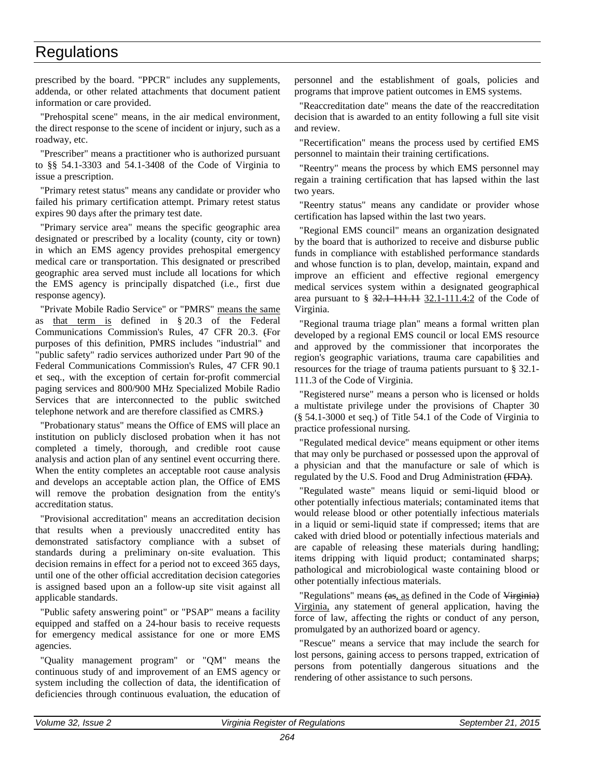prescribed by the board. "PPCR" includes any supplements, addenda, or other related attachments that document patient information or care provided.

"Prehospital scene" means, in the air medical environment, the direct response to the scene of incident or injury, such as a roadway, etc.

"Prescriber" means a practitioner who is authorized pursuant to §§ 54.1-3303 and 54.1-3408 of the Code of Virginia to issue a prescription.

"Primary retest status" means any candidate or provider who failed his primary certification attempt. Primary retest status expires 90 days after the primary test date.

"Primary service area" means the specific geographic area designated or prescribed by a locality (county, city or town) in which an EMS agency provides prehospital emergency medical care or transportation. This designated or prescribed geographic area served must include all locations for which the EMS agency is principally dispatched (i.e., first due response agency).

"Private Mobile Radio Service" or "PMRS" means the same as that term is defined in § 20.3 of the Federal Communications Commission's Rules, 47 CFR 20.3. (For purposes of this definition, PMRS includes "industrial" and "public safety" radio services authorized under Part 90 of the Federal Communications Commission's Rules, 47 CFR 90.1 et seq., with the exception of certain for-profit commercial paging services and 800/900 MHz Specialized Mobile Radio Services that are interconnected to the public switched telephone network and are therefore classified as CMRS.)

"Probationary status" means the Office of EMS will place an institution on publicly disclosed probation when it has not completed a timely, thorough, and credible root cause analysis and action plan of any sentinel event occurring there. When the entity completes an acceptable root cause analysis and develops an acceptable action plan, the Office of EMS will remove the probation designation from the entity's accreditation status.

"Provisional accreditation" means an accreditation decision that results when a previously unaccredited entity has demonstrated satisfactory compliance with a subset of standards during a preliminary on-site evaluation. This decision remains in effect for a period not to exceed 365 days, until one of the other official accreditation decision categories is assigned based upon an a follow-up site visit against all applicable standards.

"Public safety answering point" or "PSAP" means a facility equipped and staffed on a 24-hour basis to receive requests for emergency medical assistance for one or more EMS agencies.

"Quality management program" or "QM" means the continuous study of and improvement of an EMS agency or system including the collection of data, the identification of deficiencies through continuous evaluation, the education of

personnel and the establishment of goals, policies and programs that improve patient outcomes in EMS systems.

"Reaccreditation date" means the date of the reaccreditation decision that is awarded to an entity following a full site visit and review.

"Recertification" means the process used by certified EMS personnel to maintain their training certifications.

"Reentry" means the process by which EMS personnel may regain a training certification that has lapsed within the last two years.

"Reentry status" means any candidate or provider whose certification has lapsed within the last two years.

"Regional EMS council" means an organization designated by the board that is authorized to receive and disburse public funds in compliance with established performance standards and whose function is to plan, develop, maintain, expand and improve an efficient and effective regional emergency medical services system within a designated geographical area pursuant to  $\S 32.1 111.11 32.1 - 111.4.2$  of the Code of Virginia.

"Regional trauma triage plan" means a formal written plan developed by a regional EMS council or local EMS resource and approved by the commissioner that incorporates the region's geographic variations, trauma care capabilities and resources for the triage of trauma patients pursuant to § 32.1- 111.3 of the Code of Virginia.

"Registered nurse" means a person who is licensed or holds a multistate privilege under the provisions of Chapter 30 (§ 54.1-3000 et seq.) of Title 54.1 of the Code of Virginia to practice professional nursing.

"Regulated medical device" means equipment or other items that may only be purchased or possessed upon the approval of a physician and that the manufacture or sale of which is regulated by the U.S. Food and Drug Administration (FDA).

"Regulated waste" means liquid or semi-liquid blood or other potentially infectious materials; contaminated items that would release blood or other potentially infectious materials in a liquid or semi-liquid state if compressed; items that are caked with dried blood or potentially infectious materials and are capable of releasing these materials during handling; items dripping with liquid product; contaminated sharps; pathological and microbiological waste containing blood or other potentially infectious materials.

"Regulations" means (as, as defined in the Code of Virginia) Virginia, any statement of general application, having the force of law, affecting the rights or conduct of any person, promulgated by an authorized board or agency.

"Rescue" means a service that may include the search for lost persons, gaining access to persons trapped, extrication of persons from potentially dangerous situations and the rendering of other assistance to such persons.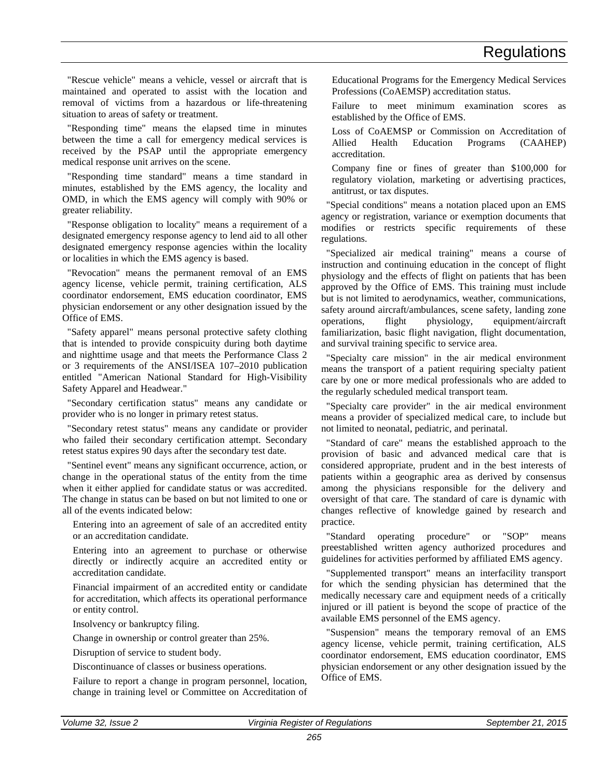"Rescue vehicle" means a vehicle, vessel or aircraft that is maintained and operated to assist with the location and removal of victims from a hazardous or life-threatening situation to areas of safety or treatment.

"Responding time" means the elapsed time in minutes between the time a call for emergency medical services is received by the PSAP until the appropriate emergency medical response unit arrives on the scene.

"Responding time standard" means a time standard in minutes, established by the EMS agency, the locality and OMD, in which the EMS agency will comply with 90% or greater reliability.

"Response obligation to locality" means a requirement of a designated emergency response agency to lend aid to all other designated emergency response agencies within the locality or localities in which the EMS agency is based.

"Revocation" means the permanent removal of an EMS agency license, vehicle permit, training certification, ALS coordinator endorsement, EMS education coordinator, EMS physician endorsement or any other designation issued by the Office of EMS.

"Safety apparel" means personal protective safety clothing that is intended to provide conspicuity during both daytime and nighttime usage and that meets the Performance Class 2 or 3 requirements of the ANSI/ISEA 107–2010 publication entitled "American National Standard for High-Visibility Safety Apparel and Headwear."

"Secondary certification status" means any candidate or provider who is no longer in primary retest status.

"Secondary retest status" means any candidate or provider who failed their secondary certification attempt. Secondary retest status expires 90 days after the secondary test date.

"Sentinel event" means any significant occurrence, action, or change in the operational status of the entity from the time when it either applied for candidate status or was accredited. The change in status can be based on but not limited to one or all of the events indicated below:

Entering into an agreement of sale of an accredited entity or an accreditation candidate.

Entering into an agreement to purchase or otherwise directly or indirectly acquire an accredited entity or accreditation candidate.

Financial impairment of an accredited entity or candidate for accreditation, which affects its operational performance or entity control.

Insolvency or bankruptcy filing.

Change in ownership or control greater than 25%.

Disruption of service to student body.

Discontinuance of classes or business operations.

Failure to report a change in program personnel, location, change in training level or Committee on Accreditation of Educational Programs for the Emergency Medical Services Professions (CoAEMSP) accreditation status.

Failure to meet minimum examination scores as established by the Office of EMS.

Loss of CoAEMSP or Commission on Accreditation of Allied Health Education Programs (CAAHEP) accreditation.

Company fine or fines of greater than \$100,000 for regulatory violation, marketing or advertising practices, antitrust, or tax disputes.

"Special conditions" means a notation placed upon an EMS agency or registration, variance or exemption documents that modifies or restricts specific requirements of these regulations.

"Specialized air medical training" means a course of instruction and continuing education in the concept of flight physiology and the effects of flight on patients that has been approved by the Office of EMS. This training must include but is not limited to aerodynamics, weather, communications, safety around aircraft/ambulances, scene safety, landing zone operations, flight physiology, equipment/aircraft familiarization, basic flight navigation, flight documentation, and survival training specific to service area.

"Specialty care mission" in the air medical environment means the transport of a patient requiring specialty patient care by one or more medical professionals who are added to the regularly scheduled medical transport team.

"Specialty care provider" in the air medical environment means a provider of specialized medical care, to include but not limited to neonatal, pediatric, and perinatal.

"Standard of care" means the established approach to the provision of basic and advanced medical care that is considered appropriate, prudent and in the best interests of patients within a geographic area as derived by consensus among the physicians responsible for the delivery and oversight of that care. The standard of care is dynamic with changes reflective of knowledge gained by research and practice.

"Standard operating procedure" or "SOP" means preestablished written agency authorized procedures and guidelines for activities performed by affiliated EMS agency.

"Supplemented transport" means an interfacility transport for which the sending physician has determined that the medically necessary care and equipment needs of a critically injured or ill patient is beyond the scope of practice of the available EMS personnel of the EMS agency.

"Suspension" means the temporary removal of an EMS agency license, vehicle permit, training certification, ALS coordinator endorsement, EMS education coordinator, EMS physician endorsement or any other designation issued by the Office of EMS.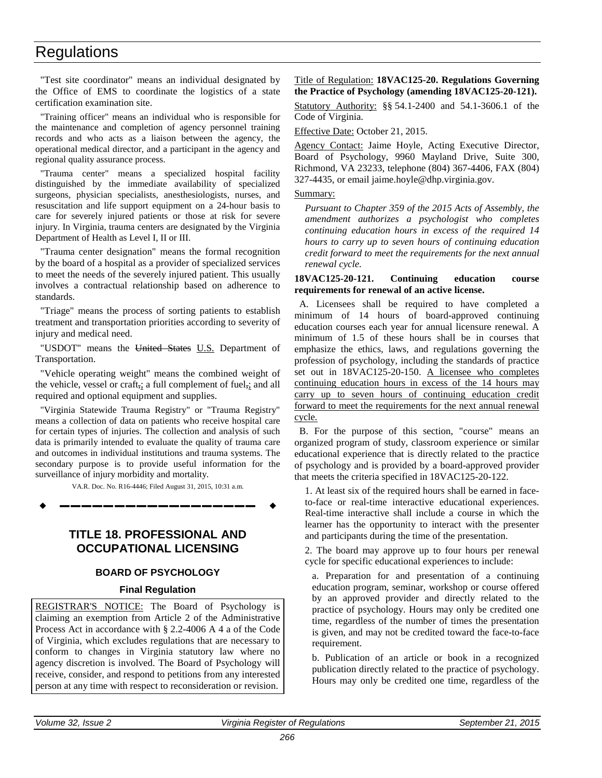<span id="page-25-1"></span>"Test site coordinator" means an individual designated by the Office of EMS to coordinate the logistics of a state certification examination site.

"Training officer" means an individual who is responsible for the maintenance and completion of agency personnel training records and who acts as a liaison between the agency, the operational medical director, and a participant in the agency and regional quality assurance process.

"Trauma center" means a specialized hospital facility distinguished by the immediate availability of specialized surgeons, physician specialists, anesthesiologists, nurses, and resuscitation and life support equipment on a 24-hour basis to care for severely injured patients or those at risk for severe injury. In Virginia, trauma centers are designated by the Virginia Department of Health as Level I, II or III.

"Trauma center designation" means the formal recognition by the board of a hospital as a provider of specialized services to meet the needs of the severely injured patient. This usually involves a contractual relationship based on adherence to standards.

"Triage" means the process of sorting patients to establish treatment and transportation priorities according to severity of injury and medical need.

"USDOT" means the United States U.S. Department of Transportation.

"Vehicle operating weight" means the combined weight of the vehicle, vessel or craft,; a full complement of fuel,; and all required and optional equipment and supplies.

"Virginia Statewide Trauma Registry" or "Trauma Registry" means a collection of data on patients who receive hospital care for certain types of injuries. The collection and analysis of such data is primarily intended to evaluate the quality of trauma care and outcomes in individual institutions and trauma systems. The secondary purpose is to provide useful information for the surveillance of injury morbidity and mortality.

VA.R. Doc. No. R16-4446; Filed August 31, 2015, 10:31 a.m.

**––––––––––––––––––**

# **TITLE 18. PROFESSIONAL AND OCCUPATIONAL LICENSING**

# **BOARD OF PSYCHOLOGY**

# **Final Regulation**

REGISTRAR'S NOTICE: The Board of Psychology is claiming an exemption from Article 2 of the Administrative Process Act in accordance with § 2.2-4006 A 4 a of the Code of Virginia, which excludes regulations that are necessary to conform to changes in Virginia statutory law where no agency discretion is involved. The Board of Psychology will receive, consider, and respond to petitions from any interested person at any time with respect to reconsideration or revision.

# Title of Regulation: **18VAC125-20. Regulations Governing the Practice of Psychology (amending 18VAC125-20-121).**

<span id="page-25-0"></span>Statutory Authority: §§ 54.1-2400 and 54.1-3606.1 of the Code of Virginia.

Effective Date: October 21, 2015.

Agency Contact: Jaime Hoyle, Acting Executive Director, Board of Psychology, 9960 Mayland Drive, Suite 300, Richmond, VA 23233, telephone (804) 367-4406, FAX (804) 327-4435, or email jaime.hoyle@dhp.virginia.gov.

### Summary:

*Pursuant to Chapter 359 of the 2015 Acts of Assembly, the amendment authorizes a psychologist who completes continuing education hours in excess of the required 14 hours to carry up to seven hours of continuing education credit forward to meet the requirements for the next annual renewal cycle.*

#### **18VAC125-20-121. Continuing education course requirements for renewal of an active license.**

A. Licensees shall be required to have completed a minimum of 14 hours of board-approved continuing education courses each year for annual licensure renewal. A minimum of 1.5 of these hours shall be in courses that emphasize the ethics, laws, and regulations governing the profession of psychology, including the standards of practice set out in 18VAC125-20-150. A licensee who completes continuing education hours in excess of the 14 hours may carry up to seven hours of continuing education credit forward to meet the requirements for the next annual renewal cycle*.*

B. For the purpose of this section, "course" means an organized program of study, classroom experience or similar educational experience that is directly related to the practice of psychology and is provided by a board-approved provider that meets the criteria specified in 18VAC125-20-122.

1. At least six of the required hours shall be earned in faceto-face or real-time interactive educational experiences. Real-time interactive shall include a course in which the learner has the opportunity to interact with the presenter and participants during the time of the presentation.

2. The board may approve up to four hours per renewal cycle for specific educational experiences to include:

a. Preparation for and presentation of a continuing education program, seminar, workshop or course offered by an approved provider and directly related to the practice of psychology. Hours may only be credited one time, regardless of the number of times the presentation is given, and may not be credited toward the face-to-face requirement.

b. Publication of an article or book in a recognized publication directly related to the practice of psychology. Hours may only be credited one time, regardless of the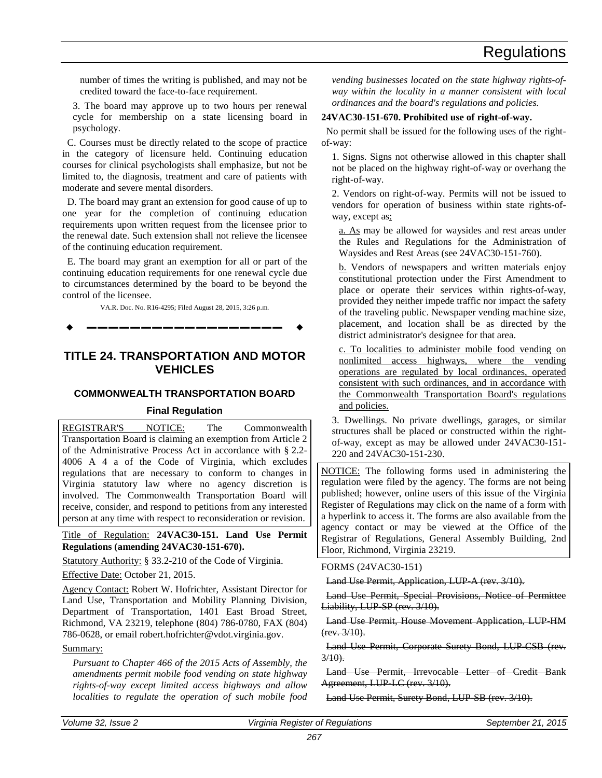<span id="page-26-1"></span>number of times the writing is published, and may not be credited toward the face-to-face requirement.

3. The board may approve up to two hours per renewal cycle for membership on a state licensing board in psychology.

C. Courses must be directly related to the scope of practice in the category of licensure held. Continuing education courses for clinical psychologists shall emphasize, but not be limited to, the diagnosis, treatment and care of patients with moderate and severe mental disorders.

D. The board may grant an extension for good cause of up to one year for the completion of continuing education requirements upon written request from the licensee prior to the renewal date. Such extension shall not relieve the licensee of the continuing education requirement.

E. The board may grant an exemption for all or part of the continuing education requirements for one renewal cycle due to circumstances determined by the board to be beyond the control of the licensee.

VA.R. Doc. No. R16-4295; Filed August 28, 2015, 3:26 p.m.

**––––––––––––––––––**

# **TITLE 24. TRANSPORTATION AND MOTOR VEHICLES**

# **COMMONWEALTH TRANSPORTATION BOARD**

# **Final Regulation**

REGISTRAR'S NOTICE: The Commonwealth Transportation Board is claiming an exemption from Article 2 of the Administrative Process Act in accordance with § 2.2- 4006 A 4 a of the Code of Virginia, which excludes regulations that are necessary to conform to changes in Virginia statutory law where no agency discretion is involved. The Commonwealth Transportation Board will receive, consider, and respond to petitions from any interested person at any time with respect to reconsideration or revision.

<span id="page-26-0"></span>Title of Regulation: **24VAC30-151. Land Use Permit Regulations (amending 24VAC30-151-670).** 

Statutory Authority: § 33.2-210 of the Code of Virginia.

Effective Date: October 21, 2015.

Agency Contact: Robert W. Hofrichter, Assistant Director for Land Use, Transportation and Mobility Planning Division, Department of Transportation, 1401 East Broad Street, Richmond, VA 23219, telephone (804) 786-0780, FAX (804) 786-0628, or email robert.hofrichter@vdot.virginia.gov.

# Summary:

*Pursuant to Chapter 466 of the 2015 Acts of Assembly, the amendments permit mobile food vending on state highway rights-of-way except limited access highways and allow localities to regulate the operation of such mobile food*  *vending businesses located on the state highway rights-ofway within the locality in a manner consistent with local ordinances and the board's regulations and policies.* 

# **24VAC30-151-670. Prohibited use of right-of-way.**

No permit shall be issued for the following uses of the rightof-way:

1. Signs. Signs not otherwise allowed in this chapter shall not be placed on the highway right-of-way or overhang the right-of-way.

2. Vendors on right-of-way. Permits will not be issued to vendors for operation of business within state rights-ofway, except as:

a. As may be allowed for waysides and rest areas under the Rules and Regulations for the Administration of Waysides and Rest Areas (see 24VAC30-151-760).

b. Vendors of newspapers and written materials enjoy constitutional protection under the First Amendment to place or operate their services within rights-of-way, provided they neither impede traffic nor impact the safety of the traveling public. Newspaper vending machine size, placement, and location shall be as directed by the district administrator's designee for that area.

c. To localities to administer mobile food vending on nonlimited access highways, where the vending operations are regulated by local ordinances, operated consistent with such ordinances, and in accordance with the Commonwealth Transportation Board's regulations and policies.

3. Dwellings. No private dwellings, garages, or similar structures shall be placed or constructed within the rightof-way, except as may be allowed under 24VAC30-151- 220 and 24VAC30-151-230.

NOTICE: The following forms used in administering the regulation were filed by the agency. The forms are not being published; however, online users of this issue of the Virginia Register of Regulations may click on the name of a form with a hyperlink to access it. The forms are also available from the agency contact or may be viewed at the Office of the Registrar of Regulations, General Assembly Building, 2nd Floor, Richmond, Virginia 23219.

# FORMS (24VAC30-151)

Land Use Permit, Application, LUP A (rev. 3/10).

Land Use Permit, Special Provisions, Notice of Permittee Liability, LUP SP (rev. 3/10).

Land Use Permit, House Movement Application, LUP-HM (rev. 3/10).

Land Use Permit, Corporate Surety Bond, LUP-CSB (rev.  $3/10$ .

Land Use Permit, Irrevocable Letter of Credit Bank Agreement, LUP LC (rev. 3/10).

Land Use Permit, Surety Bond, LUP SB (rev. 3/10).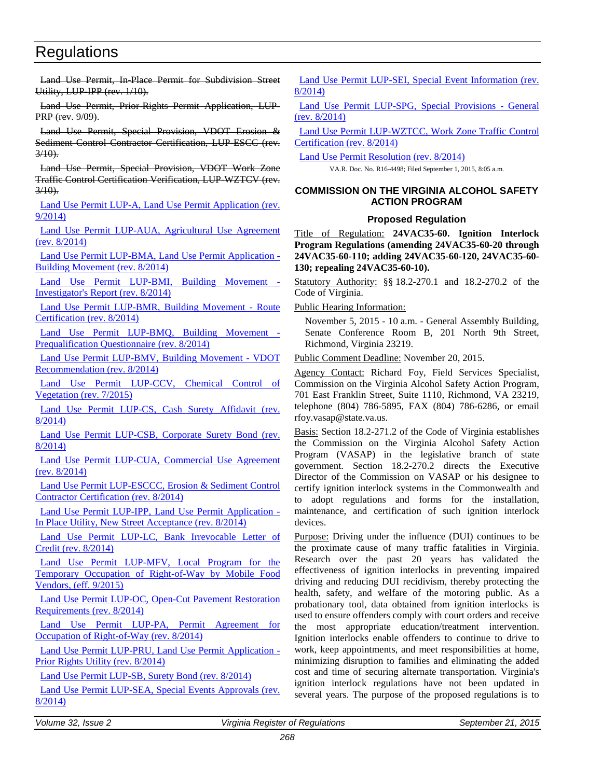<span id="page-27-1"></span>Land Use Permit, In-Place Permit for Subdivision Street Utility, LUP-IPP (rev. 1/10).

Land Use Permit, Prior-Rights Permit Application, LUP-PRP (rev. 9/09).

Land Use Permit, Special Provision, VDOT Erosion & Sediment Control Contractor Certification, LUP ESCC (rev.  $3/10$ .

Land Use Permit, Special Provision, VDOT Work Zone Traffic Control Certification Verification, LUP-WZTCV (rev.  $3/10$ .

[Land Use Permit LUP-A, Land Use Permit Application \(rev.](http://leg5.state.va.us/reg_agent/frmView.aspx?Viewid=793b7004498~2&typ=40&actno=004498&mime=application/pdf)  [9/2014\)](http://leg5.state.va.us/reg_agent/frmView.aspx?Viewid=793b7004498~2&typ=40&actno=004498&mime=application/pdf)

[Land Use Permit LUP-AUA, Agricultural Use Agreement](http://leg5.state.va.us/reg_agent/frmView.aspx?Viewid=05fcd004498~3&typ=40&actno=004498&mime=application/pdf)  [\(rev. 8/2014\)](http://leg5.state.va.us/reg_agent/frmView.aspx?Viewid=05fcd004498~3&typ=40&actno=004498&mime=application/pdf)

[Land Use Permit LUP-BMA, Land Use Permit Application -](http://leg5.state.va.us/reg_agent/frmView.aspx?Viewid=1a41d004498~4&typ=40&actno=004498&mime=application/pdf) [Building Movement \(rev. 8/2014\)](http://leg5.state.va.us/reg_agent/frmView.aspx?Viewid=1a41d004498~4&typ=40&actno=004498&mime=application/pdf)

[Land Use Permit LUP-BMI, Building Movement -](http://leg5.state.va.us/reg_agent/frmView.aspx?Viewid=9bb55004498~5&typ=40&actno=004498&mime=application/pdf) [Investigator's Report \(rev. 8/2014\)](http://leg5.state.va.us/reg_agent/frmView.aspx?Viewid=9bb55004498~5&typ=40&actno=004498&mime=application/pdf)

[Land Use Permit LUP-BMR, Building Movement -](http://leg5.state.va.us/reg_agent/frmView.aspx?Viewid=9bcfa004498~7&typ=40&actno=004498&mime=application/pdf) Route [Certification \(rev. 8/2014\)](http://leg5.state.va.us/reg_agent/frmView.aspx?Viewid=9bcfa004498~7&typ=40&actno=004498&mime=application/pdf)

[Land Use Permit LUP-BMQ, Building Movement -](http://leg5.state.va.us/reg_agent/frmView.aspx?Viewid=a0e82004498~6&typ=40&actno=004498&mime=application/pdf) [Prequalification Questionnaire \(rev. 8/2014\)](http://leg5.state.va.us/reg_agent/frmView.aspx?Viewid=a0e82004498~6&typ=40&actno=004498&mime=application/pdf)

[Land Use Permit LUP-BMV, Building Movement -](http://leg5.state.va.us/reg_agent/frmView.aspx?Viewid=b3ad6004498~8&typ=40&actno=004498&mime=application/pdf) VDOT [Recommendation \(rev. 8/2014\)](http://leg5.state.va.us/reg_agent/frmView.aspx?Viewid=b3ad6004498~8&typ=40&actno=004498&mime=application/pdf)

[Land Use Permit LUP-CCV,](http://leg5.state.va.us/reg_agent/frmView.aspx?Viewid=e4e08004498~9&typ=40&actno=004498&mime=application/pdf) Chemical Control of [Vegetation \(rev. 7/2015\)](http://leg5.state.va.us/reg_agent/frmView.aspx?Viewid=e4e08004498~9&typ=40&actno=004498&mime=application/pdf)

Land Use Permit LUP-CS, Cash Surety Affidavit (rev. [8/2014\)](http://leg5.state.va.us/reg_agent/frmView.aspx?Viewid=363b6004498~10&typ=40&actno=004498&mime=application/pdf)

[Land Use Permit LUP-CSB, Corporate Surety Bond \(rev.](http://leg5.state.va.us/reg_agent/frmView.aspx?Viewid=a597d004498~11&typ=40&actno=004498&mime=application/pdf)  [8/2014\)](http://leg5.state.va.us/reg_agent/frmView.aspx?Viewid=a597d004498~11&typ=40&actno=004498&mime=application/pdf)

[Land Use Permit LUP-CUA, Commercial Use Agreement](http://leg5.state.va.us/reg_agent/frmView.aspx?Viewid=20532004498~12&typ=40&actno=004498&mime=application/pdf)  [\(rev. 8/2014\)](http://leg5.state.va.us/reg_agent/frmView.aspx?Viewid=20532004498~12&typ=40&actno=004498&mime=application/pdf)

[Land Use Permit LUP-ESCCC, Erosion & Sediment Control](http://leg5.state.va.us/reg_agent/frmView.aspx?Viewid=6329c004498~13&typ=40&actno=004498&mime=application/pdf)  [Contractor Certification \(rev. 8/2014\)](http://leg5.state.va.us/reg_agent/frmView.aspx?Viewid=6329c004498~13&typ=40&actno=004498&mime=application/pdf)

[Land Use Permit LUP-IPP, Land Use Permit Application -](http://leg5.state.va.us/reg_agent/frmView.aspx?Viewid=1fb9a004498~14&typ=40&actno=004498&mime=application/pdf) [In Place Utility, New Street Acceptance \(rev. 8/2014\)](http://leg5.state.va.us/reg_agent/frmView.aspx?Viewid=1fb9a004498~14&typ=40&actno=004498&mime=application/pdf)

[Land Use Permit LUP-LC, Bank Irrevocable Letter of](http://leg5.state.va.us/reg_agent/frmView.aspx?Viewid=04277004498~15&typ=40&actno=004498&mime=application/pdf)  [Credit \(rev. 8/2014\)](http://leg5.state.va.us/reg_agent/frmView.aspx?Viewid=04277004498~15&typ=40&actno=004498&mime=application/pdf)

[Land Use Permit LUP-MFV, Local Program for the](http://leg5.state.va.us/reg_agent/frmView.aspx?Viewid=e9a54004498~1&typ=40&actno=004498&mime=application/pdf)  [Temporary Occupation of Right-of-Way by Mobile Food](http://leg5.state.va.us/reg_agent/frmView.aspx?Viewid=e9a54004498~1&typ=40&actno=004498&mime=application/pdf)  [Vendors, \(eff. 9/2015\)](http://leg5.state.va.us/reg_agent/frmView.aspx?Viewid=e9a54004498~1&typ=40&actno=004498&mime=application/pdf)

[Land Use Permit LUP-OC, Open-Cut Pavement Restoration](http://leg5.state.va.us/reg_agent/frmView.aspx?Viewid=452b5004498~16&typ=40&actno=004498&mime=application/pdf)  [Requirements \(rev. 8/2014\)](http://leg5.state.va.us/reg_agent/frmView.aspx?Viewid=452b5004498~16&typ=40&actno=004498&mime=application/pdf)

[Land Use Permit LUP-PA, Permit Agreement for](http://leg5.state.va.us/reg_agent/frmView.aspx?Viewid=4912c004498~17&typ=40&actno=004498&mime=application/pdf)  [Occupation of Right-of-Way \(rev. 8/2014\)](http://leg5.state.va.us/reg_agent/frmView.aspx?Viewid=4912c004498~17&typ=40&actno=004498&mime=application/pdf)

[Land Use Permit LUP-PRU, Land Use Permit Application -](http://leg5.state.va.us/reg_agent/frmView.aspx?Viewid=d7b37004498~18&typ=40&actno=004498&mime=application/pdf) [Prior Rights Utility \(rev. 8/2014\)](http://leg5.state.va.us/reg_agent/frmView.aspx?Viewid=d7b37004498~18&typ=40&actno=004498&mime=application/pdf)

[Land Use Permit LUP-SB, Surety Bond \(rev. 8/2014\)](http://leg5.state.va.us/reg_agent/frmView.aspx?Viewid=eadf1004498~19&typ=40&actno=004498&mime=application/pdf)

[Land Use Permit LUP-SEA, Special Events Approvals \(rev.](http://leg5.state.va.us/reg_agent/frmView.aspx?Viewid=585c3004498~20&typ=40&actno=004498&mime=application/pdf)  [8/2014\)](http://leg5.state.va.us/reg_agent/frmView.aspx?Viewid=585c3004498~20&typ=40&actno=004498&mime=application/pdf)

[Land Use Permit LUP-SEI, Special Event Information \(rev.](http://leg5.state.va.us/reg_agent/frmView.aspx?Viewid=5f03a004498~21&typ=40&actno=004498&mime=application/pdf)  [8/2014\)](http://leg5.state.va.us/reg_agent/frmView.aspx?Viewid=5f03a004498~21&typ=40&actno=004498&mime=application/pdf)

[Land Use Permit LUP-SPG, Special Provisions -](http://leg5.state.va.us/reg_agent/frmView.aspx?Viewid=02dd7004498~22&typ=40&actno=004498&mime=application/pdf) General [\(rev. 8/2014\)](http://leg5.state.va.us/reg_agent/frmView.aspx?Viewid=02dd7004498~22&typ=40&actno=004498&mime=application/pdf)

[Land Use Permit LUP-WZTCC, Work Zone Traffic Control](http://leg5.state.va.us/reg_agent/frmView.aspx?Viewid=54573004498~23&typ=40&actno=004498&mime=application/pdf)  [Certification \(rev. 8/2014\)](http://leg5.state.va.us/reg_agent/frmView.aspx?Viewid=54573004498~23&typ=40&actno=004498&mime=application/pdf)

[Land Use Permit Resolution \(rev. 8/2014\)](http://leg5.state.va.us/reg_agent/frmView.aspx?Viewid=8c99a004498~24&typ=40&actno=004498&mime=application/pdf)

VA.R. Doc. No. R16-4498; Filed September 1, 2015, 8:05 a.m.

# **COMMISSION ON THE VIRGINIA ALCOHOL SAFETY ACTION PROGRAM**

# <span id="page-27-0"></span>**Proposed Regulation**

Title of Regulation: **24VAC35-60. Ignition Interlock Program Regulations (amending 24VAC35-60-20 through 24VAC35-60-110; adding 24VAC35-60-120, 24VAC35-60- 130; repealing 24VAC35-60-10).** 

Statutory Authority: §§ 18.2-270.1 and 18.2-270.2 of the Code of Virginia.

Public Hearing Information:

November 5, 2015 - 10 a.m. - General Assembly Building, Senate Conference Room B, 201 North 9th Street, Richmond, Virginia 23219.

Public Comment Deadline: November 20, 2015.

Agency Contact: Richard Foy, Field Services Specialist, Commission on the Virginia Alcohol Safety Action Program, 701 East Franklin Street, Suite 1110, Richmond, VA 23219, telephone (804) 786-5895, FAX (804) 786-6286, or email rfoy.vasap@state.va.us.

Basis: Section 18.2-271.2 of the Code of Virginia establishes the Commission on the Virginia Alcohol Safety Action Program (VASAP) in the legislative branch of state government. Section 18.2-270.2 directs the Executive Director of the Commission on VASAP or his designee to certify ignition interlock systems in the Commonwealth and to adopt regulations and forms for the installation, maintenance, and certification of such ignition interlock devices.

Purpose: Driving under the influence (DUI) continues to be the proximate cause of many traffic fatalities in Virginia. Research over the past 20 years has validated the effectiveness of ignition interlocks in preventing impaired driving and reducing DUI recidivism, thereby protecting the health, safety, and welfare of the motoring public. As a probationary tool, data obtained from ignition interlocks is used to ensure offenders comply with court orders and receive the most appropriate education/treatment intervention. Ignition interlocks enable offenders to continue to drive to work, keep appointments, and meet responsibilities at home, minimizing disruption to families and eliminating the added cost and time of securing alternate transportation. Virginia's ignition interlock regulations have not been updated in several years. The purpose of the proposed regulations is to

*Volume 32, Issue 2 Virginia Register of Regulations September 21, 2015*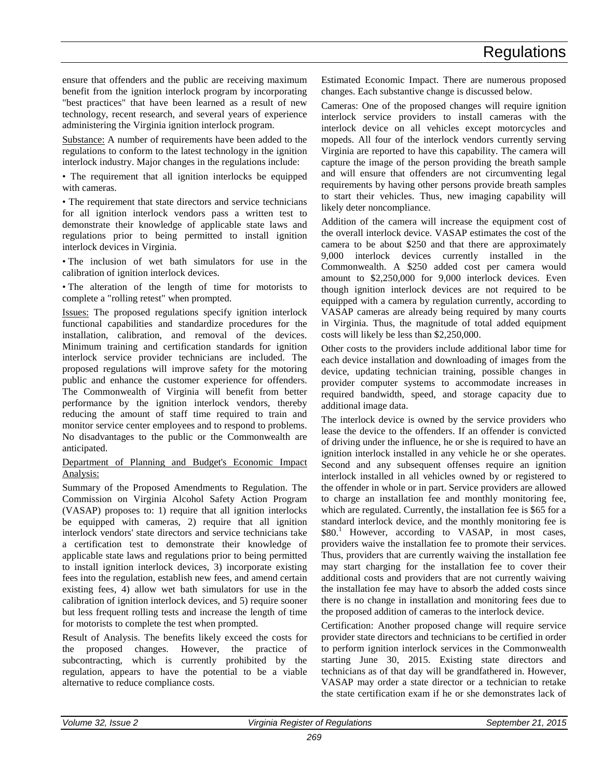ensure that offenders and the public are receiving maximum benefit from the ignition interlock program by incorporating "best practices" that have been learned as a result of new technology, recent research, and several years of experience administering the Virginia ignition interlock program.

Substance: A number of requirements have been added to the regulations to conform to the latest technology in the ignition interlock industry. Major changes in the regulations include:

• The requirement that all ignition interlocks be equipped with cameras.

• The requirement that state directors and service technicians for all ignition interlock vendors pass a written test to demonstrate their knowledge of applicable state laws and regulations prior to being permitted to install ignition interlock devices in Virginia.

• The inclusion of wet bath simulators for use in the calibration of ignition interlock devices.

• The alteration of the length of time for motorists to complete a "rolling retest" when prompted.

Issues: The proposed regulations specify ignition interlock functional capabilities and standardize procedures for the installation, calibration, and removal of the devices. Minimum training and certification standards for ignition interlock service provider technicians are included. The proposed regulations will improve safety for the motoring public and enhance the customer experience for offenders. The Commonwealth of Virginia will benefit from better performance by the ignition interlock vendors, thereby reducing the amount of staff time required to train and monitor service center employees and to respond to problems. No disadvantages to the public or the Commonwealth are anticipated.

# Department of Planning and Budget's Economic Impact Analysis:

Summary of the Proposed Amendments to Regulation. The Commission on Virginia Alcohol Safety Action Program (VASAP) proposes to: 1) require that all ignition interlocks be equipped with cameras, 2) require that all ignition interlock vendors' state directors and service technicians take a certification test to demonstrate their knowledge of applicable state laws and regulations prior to being permitted to install ignition interlock devices, 3) incorporate existing fees into the regulation, establish new fees, and amend certain existing fees, 4) allow wet bath simulators for use in the calibration of ignition interlock devices, and 5) require sooner but less frequent rolling tests and increase the length of time for motorists to complete the test when prompted.

Result of Analysis. The benefits likely exceed the costs for the proposed changes. However, the practice of subcontracting, which is currently prohibited by the regulation, appears to have the potential to be a viable alternative to reduce compliance costs.

Estimated Economic Impact. There are numerous proposed changes. Each substantive change is discussed below.

Cameras: One of the proposed changes will require ignition interlock service providers to install cameras with the interlock device on all vehicles except motorcycles and mopeds. All four of the interlock vendors currently serving Virginia are reported to have this capability. The camera will capture the image of the person providing the breath sample and will ensure that offenders are not circumventing legal requirements by having other persons provide breath samples to start their vehicles. Thus, new imaging capability will likely deter noncompliance.

Addition of the camera will increase the equipment cost of the overall interlock device. VASAP estimates the cost of the camera to be about \$250 and that there are approximately 9,000 interlock devices currently installed in the Commonwealth. A \$250 added cost per camera would amount to \$2,250,000 for 9,000 interlock devices. Even though ignition interlock devices are not required to be equipped with a camera by regulation currently, according to VASAP cameras are already being required by many courts in Virginia. Thus, the magnitude of total added equipment costs will likely be less than \$2,250,000.

Other costs to the providers include additional labor time for each device installation and downloading of images from the device, updating technician training, possible changes in provider computer systems to accommodate increases in required bandwidth, speed, and storage capacity due to additional image data.

The interlock device is owned by the service providers who lease the device to the offenders. If an offender is convicted of driving under the influence, he or she is required to have an ignition interlock installed in any vehicle he or she operates. Second and any subsequent offenses require an ignition interlock installed in all vehicles owned by or registered to the offender in whole or in part. Service providers are allowed to charge an installation fee and monthly monitoring fee, which are regulated. Currently, the installation fee is \$65 for a standard interlock device, and the monthly monitoring fee is \$80.<sup>1</sup> However, according to VASAP, in most cases, providers waive the installation fee to promote their services. Thus, providers that are currently waiving the installation fee may start charging for the installation fee to cover their additional costs and providers that are not currently waiving the installation fee may have to absorb the added costs since there is no change in installation and monitoring fees due to the proposed addition of cameras to the interlock device.

Certification: Another proposed change will require service provider state directors and technicians to be certified in order to perform ignition interlock services in the Commonwealth starting June 30, 2015. Existing state directors and technicians as of that day will be grandfathered in. However, VASAP may order a state director or a technician to retake the state certification exam if he or she demonstrates lack of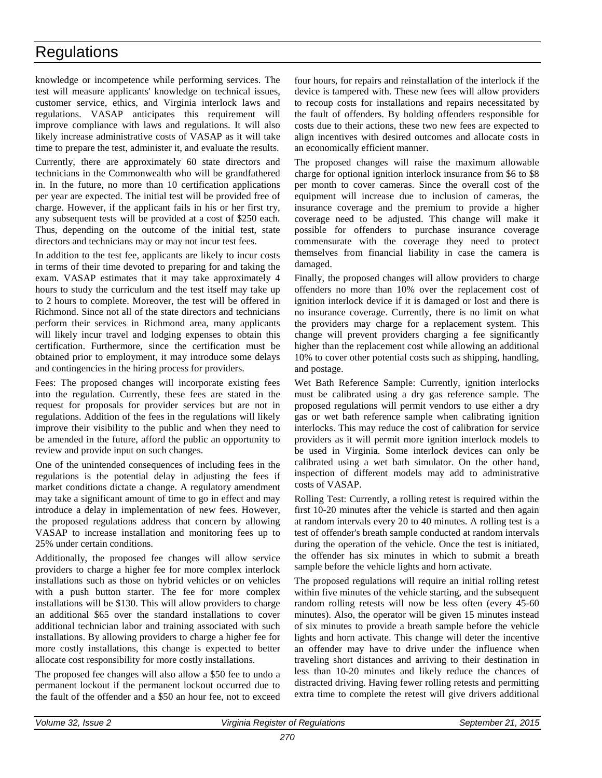knowledge or incompetence while performing services. The test will measure applicants' knowledge on technical issues, customer service, ethics, and Virginia interlock laws and regulations. VASAP anticipates this requirement will improve compliance with laws and regulations. It will also likely increase administrative costs of VASAP as it will take time to prepare the test, administer it, and evaluate the results.

Currently, there are approximately 60 state directors and technicians in the Commonwealth who will be grandfathered in. In the future, no more than 10 certification applications per year are expected. The initial test will be provided free of charge. However, if the applicant fails in his or her first try, any subsequent tests will be provided at a cost of \$250 each. Thus, depending on the outcome of the initial test, state directors and technicians may or may not incur test fees.

In addition to the test fee, applicants are likely to incur costs in terms of their time devoted to preparing for and taking the exam. VASAP estimates that it may take approximately 4 hours to study the curriculum and the test itself may take up to 2 hours to complete. Moreover, the test will be offered in Richmond. Since not all of the state directors and technicians perform their services in Richmond area, many applicants will likely incur travel and lodging expenses to obtain this certification. Furthermore, since the certification must be obtained prior to employment, it may introduce some delays and contingencies in the hiring process for providers.

Fees: The proposed changes will incorporate existing fees into the regulation. Currently, these fees are stated in the request for proposals for provider services but are not in regulations. Addition of the fees in the regulations will likely improve their visibility to the public and when they need to be amended in the future, afford the public an opportunity to review and provide input on such changes.

One of the unintended consequences of including fees in the regulations is the potential delay in adjusting the fees if market conditions dictate a change. A regulatory amendment may take a significant amount of time to go in effect and may introduce a delay in implementation of new fees. However, the proposed regulations address that concern by allowing VASAP to increase installation and monitoring fees up to 25% under certain conditions.

Additionally, the proposed fee changes will allow service providers to charge a higher fee for more complex interlock installations such as those on hybrid vehicles or on vehicles with a push button starter. The fee for more complex installations will be \$130. This will allow providers to charge an additional \$65 over the standard installations to cover additional technician labor and training associated with such installations. By allowing providers to charge a higher fee for more costly installations, this change is expected to better allocate cost responsibility for more costly installations.

The proposed fee changes will also allow a \$50 fee to undo a permanent lockout if the permanent lockout occurred due to the fault of the offender and a \$50 an hour fee, not to exceed four hours, for repairs and reinstallation of the interlock if the device is tampered with. These new fees will allow providers to recoup costs for installations and repairs necessitated by the fault of offenders. By holding offenders responsible for costs due to their actions, these two new fees are expected to align incentives with desired outcomes and allocate costs in an economically efficient manner.

The proposed changes will raise the maximum allowable charge for optional ignition interlock insurance from \$6 to \$8 per month to cover cameras. Since the overall cost of the equipment will increase due to inclusion of cameras, the insurance coverage and the premium to provide a higher coverage need to be adjusted. This change will make it possible for offenders to purchase insurance coverage commensurate with the coverage they need to protect themselves from financial liability in case the camera is damaged.

Finally, the proposed changes will allow providers to charge offenders no more than 10% over the replacement cost of ignition interlock device if it is damaged or lost and there is no insurance coverage. Currently, there is no limit on what the providers may charge for a replacement system. This change will prevent providers charging a fee significantly higher than the replacement cost while allowing an additional 10% to cover other potential costs such as shipping, handling, and postage.

Wet Bath Reference Sample: Currently, ignition interlocks must be calibrated using a dry gas reference sample. The proposed regulations will permit vendors to use either a dry gas or wet bath reference sample when calibrating ignition interlocks. This may reduce the cost of calibration for service providers as it will permit more ignition interlock models to be used in Virginia. Some interlock devices can only be calibrated using a wet bath simulator. On the other hand, inspection of different models may add to administrative costs of VASAP.

Rolling Test: Currently, a rolling retest is required within the first 10-20 minutes after the vehicle is started and then again at random intervals every 20 to 40 minutes. A rolling test is a test of offender's breath sample conducted at random intervals during the operation of the vehicle. Once the test is initiated, the offender has six minutes in which to submit a breath sample before the vehicle lights and horn activate.

The proposed regulations will require an initial rolling retest within five minutes of the vehicle starting, and the subsequent random rolling retests will now be less often (every 45-60 minutes). Also, the operator will be given 15 minutes instead of six minutes to provide a breath sample before the vehicle lights and horn activate. This change will deter the incentive an offender may have to drive under the influence when traveling short distances and arriving to their destination in less than 10-20 minutes and likely reduce the chances of distracted driving. Having fewer rolling retests and permitting extra time to complete the retest will give drivers additional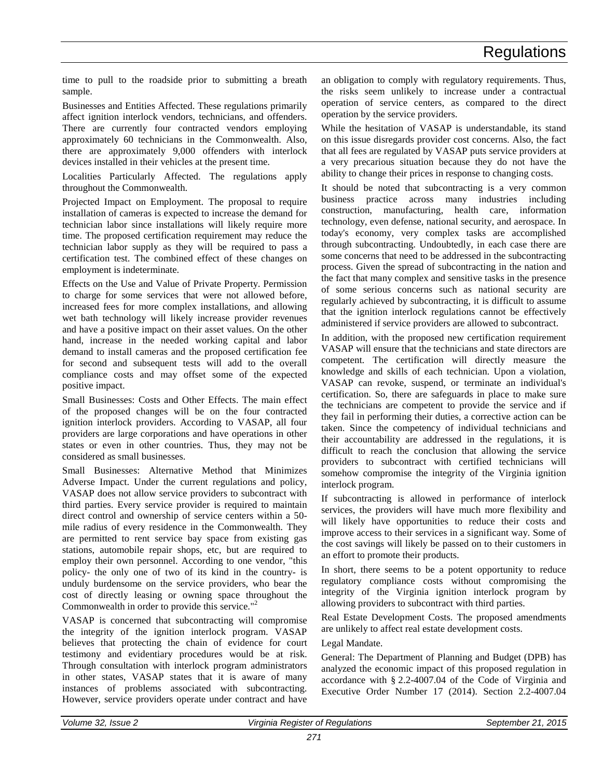time to pull to the roadside prior to submitting a breath sample.

Businesses and Entities Affected. These regulations primarily affect ignition interlock vendors, technicians, and offenders. There are currently four contracted vendors employing approximately 60 technicians in the Commonwealth. Also, there are approximately 9,000 offenders with interlock devices installed in their vehicles at the present time.

Localities Particularly Affected. The regulations apply throughout the Commonwealth.

Projected Impact on Employment. The proposal to require installation of cameras is expected to increase the demand for technician labor since installations will likely require more time. The proposed certification requirement may reduce the technician labor supply as they will be required to pass a certification test. The combined effect of these changes on employment is indeterminate.

Effects on the Use and Value of Private Property. Permission to charge for some services that were not allowed before, increased fees for more complex installations, and allowing wet bath technology will likely increase provider revenues and have a positive impact on their asset values. On the other hand, increase in the needed working capital and labor demand to install cameras and the proposed certification fee for second and subsequent tests will add to the overall compliance costs and may offset some of the expected positive impact.

Small Businesses: Costs and Other Effects. The main effect of the proposed changes will be on the four contracted ignition interlock providers. According to VASAP, all four providers are large corporations and have operations in other states or even in other countries. Thus, they may not be considered as small businesses.

Small Businesses: Alternative Method that Minimizes Adverse Impact. Under the current regulations and policy, VASAP does not allow service providers to subcontract with third parties. Every service provider is required to maintain direct control and ownership of service centers within a 50 mile radius of every residence in the Commonwealth. They are permitted to rent service bay space from existing gas stations, automobile repair shops, etc, but are required to employ their own personnel. According to one vendor, "this policy- the only one of two of its kind in the country- is unduly burdensome on the service providers, who bear the cost of directly leasing or owning space throughout the Commonwealth in order to provide this service."<sup>2</sup>

VASAP is concerned that subcontracting will compromise the integrity of the ignition interlock program. VASAP believes that protecting the chain of evidence for court testimony and evidentiary procedures would be at risk. Through consultation with interlock program administrators in other states, VASAP states that it is aware of many instances of problems associated with subcontracting. However, service providers operate under contract and have

an obligation to comply with regulatory requirements. Thus, the risks seem unlikely to increase under a contractual operation of service centers, as compared to the direct operation by the service providers.

While the hesitation of VASAP is understandable, its stand on this issue disregards provider cost concerns. Also, the fact that all fees are regulated by VASAP puts service providers at a very precarious situation because they do not have the ability to change their prices in response to changing costs.

It should be noted that subcontracting is a very common business practice across many industries including construction, manufacturing, health care, information technology, even defense, national security, and aerospace. In today's economy, very complex tasks are accomplished through subcontracting. Undoubtedly, in each case there are some concerns that need to be addressed in the subcontracting process. Given the spread of subcontracting in the nation and the fact that many complex and sensitive tasks in the presence of some serious concerns such as national security are regularly achieved by subcontracting, it is difficult to assume that the ignition interlock regulations cannot be effectively administered if service providers are allowed to subcontract.

In addition, with the proposed new certification requirement VASAP will ensure that the technicians and state directors are competent. The certification will directly measure the knowledge and skills of each technician. Upon a violation, VASAP can revoke, suspend, or terminate an individual's certification. So, there are safeguards in place to make sure the technicians are competent to provide the service and if they fail in performing their duties, a corrective action can be taken. Since the competency of individual technicians and their accountability are addressed in the regulations, it is difficult to reach the conclusion that allowing the service providers to subcontract with certified technicians will somehow compromise the integrity of the Virginia ignition interlock program.

If subcontracting is allowed in performance of interlock services, the providers will have much more flexibility and will likely have opportunities to reduce their costs and improve access to their services in a significant way. Some of the cost savings will likely be passed on to their customers in an effort to promote their products.

In short, there seems to be a potent opportunity to reduce regulatory compliance costs without compromising the integrity of the Virginia ignition interlock program by allowing providers to subcontract with third parties.

Real Estate Development Costs. The proposed amendments are unlikely to affect real estate development costs.

Legal Mandate.

General: The Department of Planning and Budget (DPB) has analyzed the economic impact of this proposed regulation in accordance with § 2.2-4007.04 of the Code of Virginia and Executive Order Number 17 (2014). Section 2.2-4007.04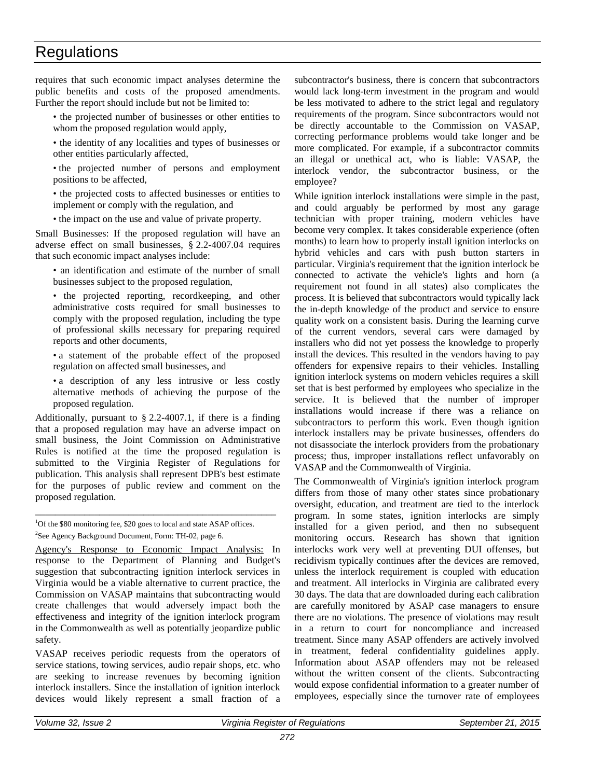requires that such economic impact analyses determine the public benefits and costs of the proposed amendments. Further the report should include but not be limited to:

- the projected number of businesses or other entities to whom the proposed regulation would apply,
- the identity of any localities and types of businesses or other entities particularly affected,
- the projected number of persons and employment positions to be affected,
- the projected costs to affected businesses or entities to implement or comply with the regulation, and
- the impact on the use and value of private property.

Small Businesses: If the proposed regulation will have an adverse effect on small businesses, § 2.2-4007.04 requires that such economic impact analyses include:

• an identification and estimate of the number of small businesses subject to the proposed regulation,

• the projected reporting, recordkeeping, and other administrative costs required for small businesses to comply with the proposed regulation, including the type of professional skills necessary for preparing required reports and other documents,

- a statement of the probable effect of the proposed regulation on affected small businesses, and
- a description of any less intrusive or less costly alternative methods of achieving the purpose of the proposed regulation.

Additionally, pursuant to § 2.2-4007.1, if there is a finding that a proposed regulation may have an adverse impact on small business, the Joint Commission on Administrative Rules is notified at the time the proposed regulation is submitted to the Virginia Register of Regulations for publication. This analysis shall represent DPB's best estimate for the purposes of public review and comment on the proposed regulation.

<sup>1</sup>Of the \$80 monitoring fee, \$20 goes to local and state ASAP offices. <sup>2</sup>See Agency Background Document, Form: TH-02, page 6.

\_\_\_\_\_\_\_\_\_\_\_\_\_\_\_\_\_\_\_\_\_\_\_\_\_\_\_\_\_\_\_\_\_\_\_\_\_\_\_\_\_\_\_\_\_\_\_\_\_

Agency's Response to Economic Impact Analysis: In response to the Department of Planning and Budget's suggestion that subcontracting ignition interlock services in Virginia would be a viable alternative to current practice, the Commission on VASAP maintains that subcontracting would create challenges that would adversely impact both the effectiveness and integrity of the ignition interlock program in the Commonwealth as well as potentially jeopardize public safety.

VASAP receives periodic requests from the operators of service stations, towing services, audio repair shops, etc. who are seeking to increase revenues by becoming ignition interlock installers. Since the installation of ignition interlock devices would likely represent a small fraction of a

subcontractor's business, there is concern that subcontractors would lack long-term investment in the program and would be less motivated to adhere to the strict legal and regulatory requirements of the program. Since subcontractors would not be directly accountable to the Commission on VASAP, correcting performance problems would take longer and be more complicated. For example, if a subcontractor commits an illegal or unethical act, who is liable: VASAP, the interlock vendor, the subcontractor business, or the employee?

While ignition interlock installations were simple in the past, and could arguably be performed by most any garage technician with proper training, modern vehicles have become very complex. It takes considerable experience (often months) to learn how to properly install ignition interlocks on hybrid vehicles and cars with push button starters in particular. Virginia's requirement that the ignition interlock be connected to activate the vehicle's lights and horn (a requirement not found in all states) also complicates the process. It is believed that subcontractors would typically lack the in-depth knowledge of the product and service to ensure quality work on a consistent basis. During the learning curve of the current vendors, several cars were damaged by installers who did not yet possess the knowledge to properly install the devices. This resulted in the vendors having to pay offenders for expensive repairs to their vehicles. Installing ignition interlock systems on modern vehicles requires a skill set that is best performed by employees who specialize in the service. It is believed that the number of improper installations would increase if there was a reliance on subcontractors to perform this work. Even though ignition interlock installers may be private businesses, offenders do not disassociate the interlock providers from the probationary process; thus, improper installations reflect unfavorably on VASAP and the Commonwealth of Virginia.

The Commonwealth of Virginia's ignition interlock program differs from those of many other states since probationary oversight, education, and treatment are tied to the interlock program. In some states, ignition interlocks are simply installed for a given period, and then no subsequent monitoring occurs. Research has shown that ignition interlocks work very well at preventing DUI offenses, but recidivism typically continues after the devices are removed, unless the interlock requirement is coupled with education and treatment. All interlocks in Virginia are calibrated every 30 days. The data that are downloaded during each calibration are carefully monitored by ASAP case managers to ensure there are no violations. The presence of violations may result in a return to court for noncompliance and increased treatment. Since many ASAP offenders are actively involved in treatment, federal confidentiality guidelines apply. Information about ASAP offenders may not be released without the written consent of the clients. Subcontracting would expose confidential information to a greater number of employees, especially since the turnover rate of employees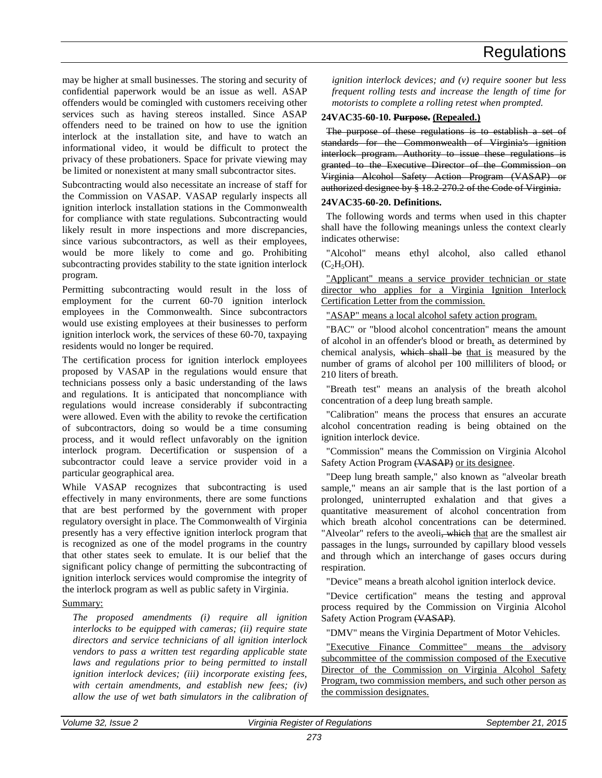may be higher at small businesses. The storing and security of confidential paperwork would be an issue as well. ASAP offenders would be comingled with customers receiving other services such as having stereos installed. Since ASAP offenders need to be trained on how to use the ignition interlock at the installation site, and have to watch an informational video, it would be difficult to protect the privacy of these probationers. Space for private viewing may be limited or nonexistent at many small subcontractor sites.

Subcontracting would also necessitate an increase of staff for the Commission on VASAP. VASAP regularly inspects all ignition interlock installation stations in the Commonwealth for compliance with state regulations. Subcontracting would likely result in more inspections and more discrepancies, since various subcontractors, as well as their employees, would be more likely to come and go. Prohibiting subcontracting provides stability to the state ignition interlock program.

Permitting subcontracting would result in the loss of employment for the current 60-70 ignition interlock employees in the Commonwealth. Since subcontractors would use existing employees at their businesses to perform ignition interlock work, the services of these 60-70, taxpaying residents would no longer be required.

The certification process for ignition interlock employees proposed by VASAP in the regulations would ensure that technicians possess only a basic understanding of the laws and regulations. It is anticipated that noncompliance with regulations would increase considerably if subcontracting were allowed. Even with the ability to revoke the certification of subcontractors, doing so would be a time consuming process, and it would reflect unfavorably on the ignition interlock program. Decertification or suspension of a subcontractor could leave a service provider void in a particular geographical area.

While VASAP recognizes that subcontracting is used effectively in many environments, there are some functions that are best performed by the government with proper regulatory oversight in place. The Commonwealth of Virginia presently has a very effective ignition interlock program that is recognized as one of the model programs in the country that other states seek to emulate. It is our belief that the significant policy change of permitting the subcontracting of ignition interlock services would compromise the integrity of the interlock program as well as public safety in Virginia.

# Summary:

*The proposed amendments (i) require all ignition interlocks to be equipped with cameras; (ii) require state directors and service technicians of all ignition interlock vendors to pass a written test regarding applicable state laws and regulations prior to being permitted to install ignition interlock devices; (iii) incorporate existing fees, with certain amendments, and establish new fees; (iv) allow the use of wet bath simulators in the calibration of*  *ignition interlock devices; and (v) require sooner but less frequent rolling tests and increase the length of time for motorists to complete a rolling retest when prompted.*

# **24VAC35-60-10. Purpose. (Repealed.)**

The purpose of these regulations is to establish a set of standards for the Commonwealth of Virginia's ignition interlock program. Authority to issue these regulations is granted to the Executive Director of the Commission on Virginia Alcohol Safety Action Program (VASAP) or authorized designee by § 18.2-270.2 of the Code of Virginia.

# **24VAC35-60-20. Definitions.**

The following words and terms when used in this chapter shall have the following meanings unless the context clearly indicates otherwise:

"Alcohol" means ethyl alcohol, also called ethanol  $(C<sub>2</sub>H<sub>5</sub>OH)$ .

"Applicant" means a service provider technician or state director who applies for a Virginia Ignition Interlock Certification Letter from the commission.

"ASAP" means a local alcohol safety action program.

"BAC" or "blood alcohol concentration" means the amount of alcohol in an offender's blood or breath, as determined by chemical analysis, which shall be that is measured by the number of grams of alcohol per 100 milliliters of blood, or 210 liters of breath.

"Breath test" means an analysis of the breath alcohol concentration of a deep lung breath sample.

"Calibration" means the process that ensures an accurate alcohol concentration reading is being obtained on the ignition interlock device.

"Commission" means the Commission on Virginia Alcohol Safety Action Program (VASAP) or its designee.

"Deep lung breath sample," also known as "alveolar breath sample," means an air sample that is the last portion of a prolonged, uninterrupted exhalation and that gives a quantitative measurement of alcohol concentration from which breath alcohol concentrations can be determined. "Alveolar" refers to the aveoli, which that are the smallest air passages in the lungs, surrounded by capillary blood vessels and through which an interchange of gases occurs during respiration.

"Device" means a breath alcohol ignition interlock device.

"Device certification" means the testing and approval process required by the Commission on Virginia Alcohol Safety Action Program (VASAP).

"DMV" means the Virginia Department of Motor Vehicles.

"Executive Finance Committee" means the advisory subcommittee of the commission composed of the Executive Director of the Commission on Virginia Alcohol Safety Program, two commission members, and such other person as the commission designates.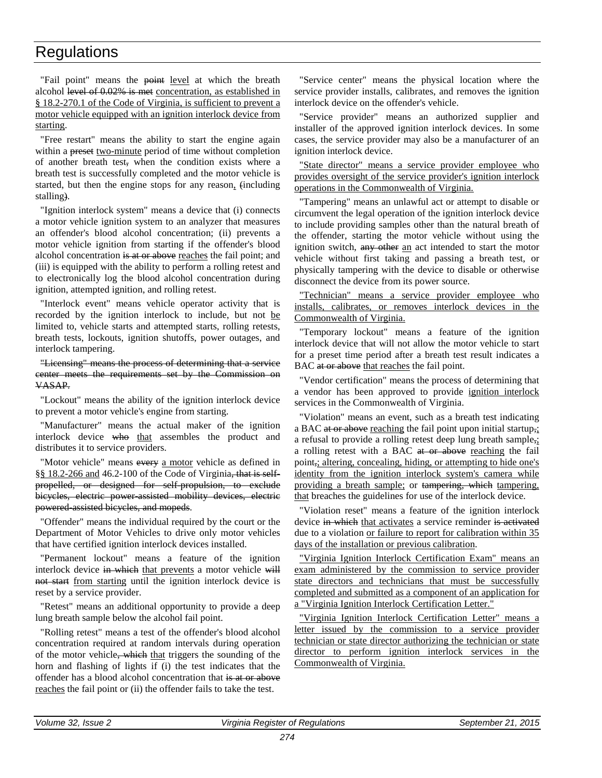"Fail point" means the point level at which the breath alcohol level of 0.02% is met concentration, as established in § 18.2-270.1 of the Code of Virginia, is sufficient to prevent a motor vehicle equipped with an ignition interlock device from starting.

"Free restart" means the ability to start the engine again within a preset two-minute period of time without completion of another breath test, when the condition exists where a breath test is successfully completed and the motor vehicle is started, but then the engine stops for any reason, (including stalling).

"Ignition interlock system" means a device that (i) connects a motor vehicle ignition system to an analyzer that measures an offender's blood alcohol concentration; (ii) prevents a motor vehicle ignition from starting if the offender's blood alcohol concentration is at or above reaches the fail point; and (iii) is equipped with the ability to perform a rolling retest and to electronically log the blood alcohol concentration during ignition, attempted ignition, and rolling retest.

"Interlock event" means vehicle operator activity that is recorded by the ignition interlock to include, but not be limited to, vehicle starts and attempted starts, rolling retests, breath tests, lockouts, ignition shutoffs, power outages, and interlock tampering.

"Licensing" means the process of determining that a service center meets the requirements set by the Commission on VASAP.

"Lockout" means the ability of the ignition interlock device to prevent a motor vehicle's engine from starting.

"Manufacturer" means the actual maker of the ignition interlock device who that assembles the product and distributes it to service providers.

"Motor vehicle" means every a motor vehicle as defined in §§ 18.2-266 and 46.2-100 of the Code of Virginia, that is selfpropelled, or designed for self-propulsion, to exclude bicycles, electric power-assisted mobility devices, electric powered-assisted bicycles, and mopeds.

"Offender" means the individual required by the court or the Department of Motor Vehicles to drive only motor vehicles that have certified ignition interlock devices installed.

"Permanent lockout" means a feature of the ignition interlock device in which that prevents a motor vehicle will not start from starting until the ignition interlock device is reset by a service provider.

"Retest" means an additional opportunity to provide a deep lung breath sample below the alcohol fail point.

"Rolling retest" means a test of the offender's blood alcohol concentration required at random intervals during operation of the motor vehicle, which that triggers the sounding of the horn and flashing of lights if (i) the test indicates that the offender has a blood alcohol concentration that is at or above reaches the fail point or (ii) the offender fails to take the test.

"Service center" means the physical location where the service provider installs, calibrates, and removes the ignition interlock device on the offender's vehicle.

"Service provider" means an authorized supplier and installer of the approved ignition interlock devices. In some cases, the service provider may also be a manufacturer of an ignition interlock device.

"State director" means a service provider employee who provides oversight of the service provider's ignition interlock operations in the Commonwealth of Virginia.

"Tampering" means an unlawful act or attempt to disable or circumvent the legal operation of the ignition interlock device to include providing samples other than the natural breath of the offender, starting the motor vehicle without using the ignition switch, any other an act intended to start the motor vehicle without first taking and passing a breath test, or physically tampering with the device to disable or otherwise disconnect the device from its power source.

"Technician" means a service provider employee who installs, calibrates, or removes interlock devices in the Commonwealth of Virginia.

"Temporary lockout" means a feature of the ignition interlock device that will not allow the motor vehicle to start for a preset time period after a breath test result indicates a BAC at or above that reaches the fail point.

"Vendor certification" means the process of determining that a vendor has been approved to provide ignition interlock services in the Commonwealth of Virginia.

"Violation" means an event, such as a breath test indicating a BAC at or above reaching the fail point upon initial startup,; a refusal to provide a rolling retest deep lung breath sample,; a rolling retest with a BAC at or above reaching the fail point, altering, concealing, hiding, or attempting to hide one's identity from the ignition interlock system's camera while providing a breath sample; or tampering, which tampering, that breaches the guidelines for use of the interlock device.

"Violation reset" means a feature of the ignition interlock device in which that activates a service reminder is activated due to a violation or failure to report for calibration within 35 days of the installation or previous calibration.

"Virginia Ignition Interlock Certification Exam" means an exam administered by the commission to service provider state directors and technicians that must be successfully completed and submitted as a component of an application for a "Virginia Ignition Interlock Certification Letter."

"Virginia Ignition Interlock Certification Letter" means a letter issued by the commission to a service provider technician or state director authorizing the technician or state director to perform ignition interlock services in the Commonwealth of Virginia.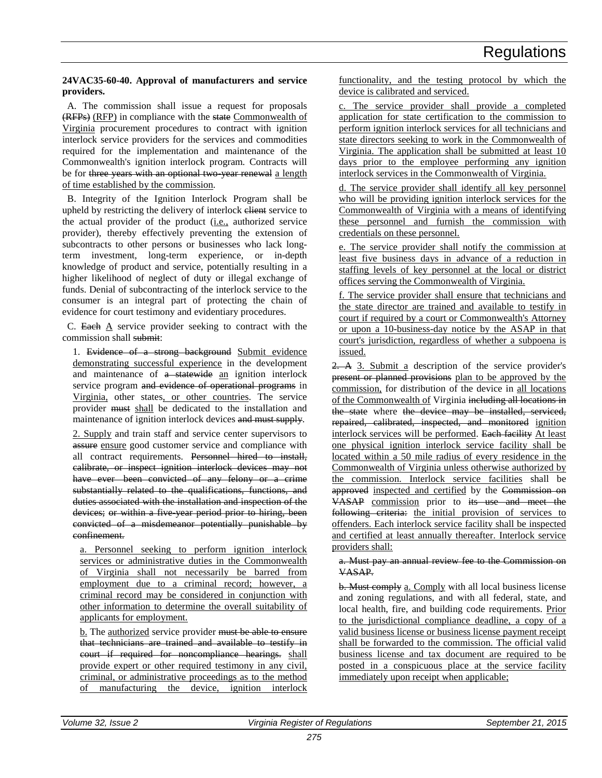# **24VAC35-60-40. Approval of manufacturers and service providers.**

A. The commission shall issue a request for proposals (RFPs) (RFP) in compliance with the state Commonwealth of Virginia procurement procedures to contract with ignition interlock service providers for the services and commodities required for the implementation and maintenance of the Commonwealth's ignition interlock program. Contracts will be for three years with an optional two year renewal a length of time established by the commission.

B. Integrity of the Ignition Interlock Program shall be upheld by restricting the delivery of interlock elient service to the actual provider of the product (i.e., authorized service provider), thereby effectively preventing the extension of subcontracts to other persons or businesses who lack longterm investment, long-term experience, or in-depth knowledge of product and service, potentially resulting in a higher likelihood of neglect of duty or illegal exchange of funds. Denial of subcontracting of the interlock service to the consumer is an integral part of protecting the chain of evidence for court testimony and evidentiary procedures.

C. Each A service provider seeking to contract with the commission shall submit:

1. Evidence of a strong background Submit evidence demonstrating successful experience in the development and maintenance of a statewide an ignition interlock service program and evidence of operational programs in Virginia, other states, or other countries. The service provider must shall be dedicated to the installation and maintenance of ignition interlock devices and must supply.

2. Supply and train staff and service center supervisors to assure ensure good customer service and compliance with all contract requirements. Personnel hired to install, calibrate, or inspect ignition interlock devices may not have ever been convicted of any felony or a crime substantially related to the qualifications, functions, and duties associated with the installation and inspection of the devices; or within a five year period prior to hiring, been convicted of a misdemeanor potentially punishable by confinement.

a. Personnel seeking to perform ignition interlock services or administrative duties in the Commonwealth of Virginia shall not necessarily be barred from employment due to a criminal record; however, a criminal record may be considered in conjunction with other information to determine the overall suitability of applicants for employment.

b. The authorized service provider must be able to ensure that technicians are trained and available to testify in court if required for noncompliance hearings. shall provide expert or other required testimony in any civil, criminal, or administrative proceedings as to the method of manufacturing the device, ignition interlock

functionality, and the testing protocol by which the device is calibrated and serviced.

c. The service provider shall provide a completed application for state certification to the commission to perform ignition interlock services for all technicians and state directors seeking to work in the Commonwealth of Virginia. The application shall be submitted at least 10 days prior to the employee performing any ignition interlock services in the Commonwealth of Virginia.

d. The service provider shall identify all key personnel who will be providing ignition interlock services for the Commonwealth of Virginia with a means of identifying these personnel and furnish the commission with credentials on these personnel.

e. The service provider shall notify the commission at least five business days in advance of a reduction in staffing levels of key personnel at the local or district offices serving the Commonwealth of Virginia.

f. The service provider shall ensure that technicians and the state director are trained and available to testify in court if required by a court or Commonwealth's Attorney or upon a 10-business-day notice by the ASAP in that court's jurisdiction, regardless of whether a subpoena is issued.

2. A 3. Submit a description of the service provider's present or planned provisions plan to be approved by the commission, for distribution of the device in all locations of the Commonwealth of Virginia including all locations in the state where the device may be installed, serviced, repaired, calibrated, inspected, and monitored ignition interlock services will be performed. Each facility At least one physical ignition interlock service facility shall be located within a 50 mile radius of every residence in the Commonwealth of Virginia unless otherwise authorized by the commission. Interlock service facilities shall be approved inspected and certified by the Commission on VASAP commission prior to its use and meet the following criteria: the initial provision of services to offenders. Each interlock service facility shall be inspected and certified at least annually thereafter. Interlock service providers shall:

### a. Must pay an annual review fee to the Commission on VASAP.

b. Must comply a. Comply with all local business license and zoning regulations, and with all federal, state, and local health, fire, and building code requirements. Prior to the jurisdictional compliance deadline, a copy of a valid business license or business license payment receipt shall be forwarded to the commission. The official valid business license and tax document are required to be posted in a conspicuous place at the service facility immediately upon receipt when applicable;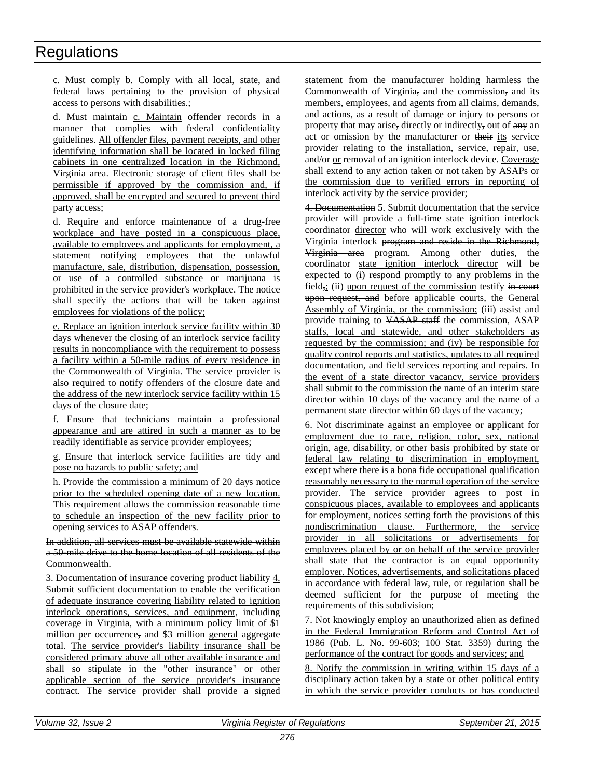c. Must comply b. Comply with all local, state, and federal laws pertaining to the provision of physical access to persons with disabilities.;

d. Must maintain c. Maintain offender records in a manner that complies with federal confidentiality guidelines. All offender files, payment receipts, and other identifying information shall be located in locked filing cabinets in one centralized location in the Richmond, Virginia area. Electronic storage of client files shall be permissible if approved by the commission and, if approved, shall be encrypted and secured to prevent third party access;

d. Require and enforce maintenance of a drug-free workplace and have posted in a conspicuous place, available to employees and applicants for employment, a statement notifying employees that the unlawful manufacture, sale, distribution, dispensation, possession, or use of a controlled substance or marijuana is prohibited in the service provider's workplace. The notice shall specify the actions that will be taken against employees for violations of the policy;

e. Replace an ignition interlock service facility within 30 days whenever the closing of an interlock service facility results in noncompliance with the requirement to possess a facility within a 50-mile radius of every residence in the Commonwealth of Virginia. The service provider is also required to notify offenders of the closure date and the address of the new interlock service facility within 15 days of the closure date;

f. Ensure that technicians maintain a professional appearance and are attired in such a manner as to be readily identifiable as service provider employees;

g. Ensure that interlock service facilities are tidy and pose no hazards to public safety; and

h. Provide the commission a minimum of 20 days notice prior to the scheduled opening date of a new location. This requirement allows the commission reasonable time to schedule an inspection of the new facility prior to opening services to ASAP offenders.

In addition, all services must be available statewide within a 50-mile drive to the home location of all residents of the Commonwealth.

3. Documentation of insurance covering product liability 4. Submit sufficient documentation to enable the verification of adequate insurance covering liability related to ignition interlock operations, services, and equipment, including coverage in Virginia, with a minimum policy limit of \$1 million per occurrence, and \$3 million general aggregate total. The service provider's liability insurance shall be considered primary above all other available insurance and shall so stipulate in the "other insurance" or other applicable section of the service provider's insurance contract. The service provider shall provide a signed

statement from the manufacturer holding harmless the Commonwealth of Virginia, and the commission, and its members, employees, and agents from all claims, demands, and actions, as a result of damage or injury to persons or property that may arise, directly or indirectly, out of any an act or omission by the manufacturer or their its service provider relating to the installation, service, repair, use, and/or or removal of an ignition interlock device. Coverage shall extend to any action taken or not taken by ASAPs or the commission due to verified errors in reporting of interlock activity by the service provider;

4. Documentation 5. Submit documentation that the service provider will provide a full-time state ignition interlock coordinator director who will work exclusively with the Virginia interlock program and reside in the Richmond, Virginia area program. Among other duties, the coordinator state ignition interlock director will be expected to (i) respond promptly to any problems in the field,; (ii) upon request of the commission testify in court upon request, and before applicable courts, the General Assembly of Virginia, or the commission; (iii) assist and provide training to VASAP staff the commission, ASAP staffs, local and statewide, and other stakeholders as requested by the commission; and (iv) be responsible for quality control reports and statistics, updates to all required documentation, and field services reporting and repairs. In the event of a state director vacancy, service providers shall submit to the commission the name of an interim state director within 10 days of the vacancy and the name of a permanent state director within 60 days of the vacancy;

6. Not discriminate against an employee or applicant for employment due to race, religion, color, sex, national origin, age, disability, or other basis prohibited by state or federal law relating to discrimination in employment, except where there is a bona fide occupational qualification reasonably necessary to the normal operation of the service provider. The service provider agrees to post in conspicuous places, available to employees and applicants for employment, notices setting forth the provisions of this nondiscrimination clause. Furthermore, the service provider in all solicitations or advertisements for employees placed by or on behalf of the service provider shall state that the contractor is an equal opportunity employer. Notices, advertisements, and solicitations placed in accordance with federal law, rule, or regulation shall be deemed sufficient for the purpose of meeting the requirements of this subdivision;

7. Not knowingly employ an unauthorized alien as defined in the Federal Immigration Reform and Control Act of 1986 (Pub. L. No. 99-603; 100 Stat. 3359) during the performance of the contract for goods and services; and

8. Notify the commission in writing within 15 days of a disciplinary action taken by a state or other political entity in which the service provider conducts or has conducted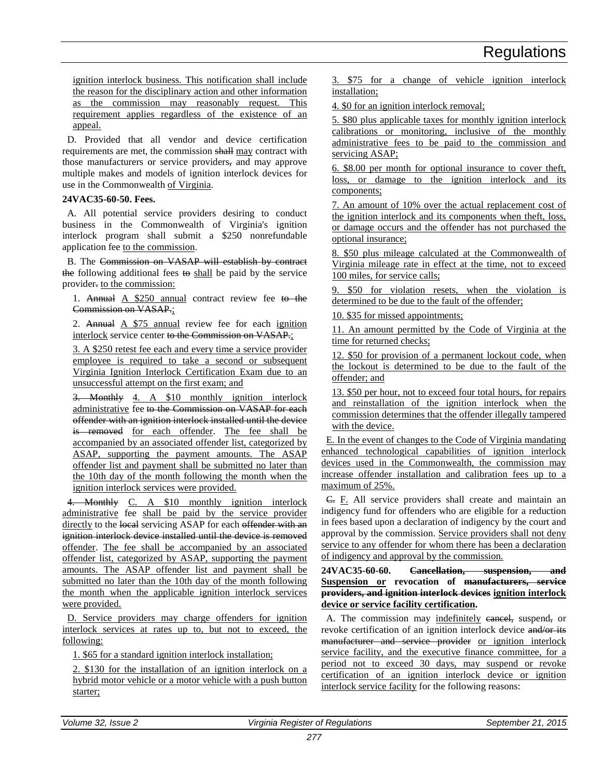ignition interlock business. This notification shall include the reason for the disciplinary action and other information as the commission may reasonably request. This requirement applies regardless of the existence of an appeal.

D. Provided that all vendor and device certification requirements are met, the commission shall may contract with those manufacturers or service providers, and may approve multiple makes and models of ignition interlock devices for use in the Commonwealth of Virginia.

# **24VAC35-60-50. Fees.**

A. All potential service providers desiring to conduct business in the Commonwealth of Virginia's ignition interlock program shall submit a \$250 nonrefundable application fee to the commission.

B. The Commission on VASAP will establish by contract the following additional fees to shall be paid by the service provider. to the commission:

1. Annual A \$250 annual contract review fee to the Commission on VASAP.;

2. Annual A \$75 annual review fee for each ignition interlock service center to the Commission on VASAP.;

3. A \$250 retest fee each and every time a service provider employee is required to take a second or subsequent Virginia Ignition Interlock Certification Exam due to an unsuccessful attempt on the first exam; and

3. Monthly 4. A \$10 monthly ignition interlock administrative fee to the Commission on VASAP for each offender with an ignition interlock installed until the device is removed for each offender. The fee shall be accompanied by an associated offender list, categorized by ASAP, supporting the payment amounts. The ASAP offender list and payment shall be submitted no later than the 10th day of the month following the month when the ignition interlock services were provided.

4. Monthly C. A \$10 monthly ignition interlock administrative fee shall be paid by the service provider directly to the local servicing ASAP for each offender with an ignition interlock device installed until the device is removed offender. The fee shall be accompanied by an associated offender list, categorized by ASAP, supporting the payment amounts. The ASAP offender list and payment shall be submitted no later than the 10th day of the month following the month when the applicable ignition interlock services were provided.

D. Service providers may charge offenders for ignition interlock services at rates up to, but not to exceed, the following:

1. \$65 for a standard ignition interlock installation;

2. \$130 for the installation of an ignition interlock on a hybrid motor vehicle or a motor vehicle with a push button starter;

3. \$75 for a change of vehicle ignition interlock installation;

4. \$0 for an ignition interlock removal;

5. \$80 plus applicable taxes for monthly ignition interlock calibrations or monitoring, inclusive of the monthly administrative fees to be paid to the commission and servicing ASAP;

6. \$8.00 per month for optional insurance to cover theft, loss, or damage to the ignition interlock and its components;

7. An amount of 10% over the actual replacement cost of the ignition interlock and its components when theft, loss, or damage occurs and the offender has not purchased the optional insurance;

8. \$50 plus mileage calculated at the Commonwealth of Virginia mileage rate in effect at the time, not to exceed 100 miles, for service calls;

9. \$50 for violation resets, when the violation is determined to be due to the fault of the offender;

10. \$35 for missed appointments;

11. An amount permitted by the Code of Virginia at the time for returned checks;

12. \$50 for provision of a permanent lockout code, when the lockout is determined to be due to the fault of the offender; and

13. \$50 per hour, not to exceed four total hours, for repairs and reinstallation of the ignition interlock when the commission determines that the offender illegally tampered with the device.

E. In the event of changes to the Code of Virginia mandating enhanced technological capabilities of ignition interlock devices used in the Commonwealth, the commission may increase offender installation and calibration fees up to a maximum of 25%.

C. F. All service providers shall create and maintain an indigency fund for offenders who are eligible for a reduction in fees based upon a declaration of indigency by the court and approval by the commission. Service providers shall not deny service to any offender for whom there has been a declaration of indigency and approval by the commission.

**24VAC35-60-60. Cancellation, suspension, and Suspension or revocation of manufacturers, service providers, and ignition interlock devices ignition interlock device or service facility certification.**

A. The commission may indefinitely earlieled, suspend, or revoke certification of an ignition interlock device and/or its manufacturer and service provider or ignition interlock service facility, and the executive finance committee, for a period not to exceed 30 days, may suspend or revoke certification of an ignition interlock device or ignition interlock service facility for the following reasons: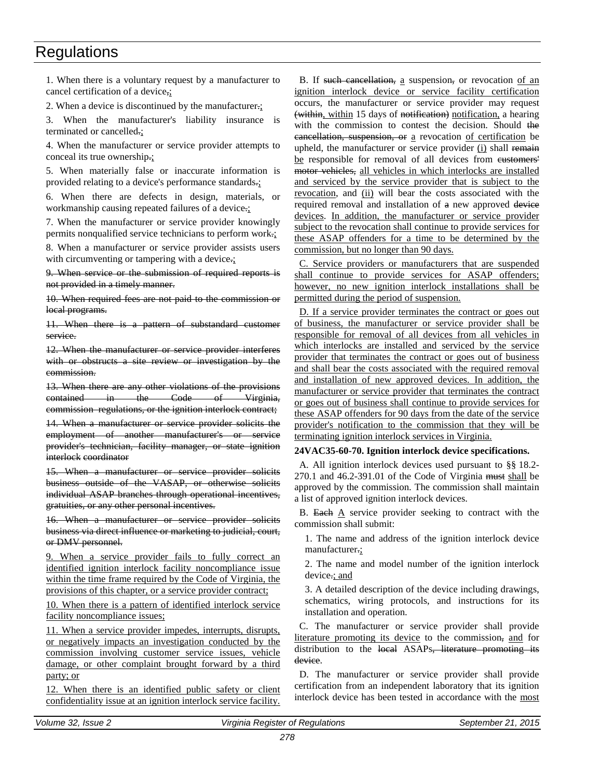1. When there is a voluntary request by a manufacturer to cancel certification of a device,;

2. When a device is discontinued by the manufacturer.;

3. When the manufacturer's liability insurance is terminated or cancelled.;

4. When the manufacturer or service provider attempts to conceal its true ownership.;

5. When materially false or inaccurate information is provided relating to a device's performance standards.;

6. When there are defects in design, materials, or workmanship causing repeated failures of a device.;

7. When the manufacturer or service provider knowingly permits nonqualified service technicians to perform work.;

8. When a manufacturer or service provider assists users with circumventing or tampering with a device.;

9. When service or the submission of required reports is not provided in a timely manner.

10. When required fees are not paid to the commission or local programs.

11. When there is a pattern of substandard customer service.

12. When the manufacturer or service provider interferes with or obstructs a site review or investigation by the commission.

13. When there are any other violations of the provisions contained in the Code of Virginia, commission regulations, or the ignition interlock contract;

14. When a manufacturer or service provider solicits the employment of another manufacturer's or service provider's technician, facility manager, or state ignition interlock coordinator

15. When a manufacturer or service provider solicits business outside of the VASAP, or otherwise solicits individual ASAP branches through operational incentives, gratuities, or any other personal incentives.

16. When a manufacturer or service provider solicits business via direct influence or marketing to judicial, court, or DMV personnel.

9. When a service provider fails to fully correct an identified ignition interlock facility noncompliance issue within the time frame required by the Code of Virginia, the provisions of this chapter, or a service provider contract;

10. When there is a pattern of identified interlock service facility noncompliance issues;

11. When a service provider impedes, interrupts, disrupts, or negatively impacts an investigation conducted by the commission involving customer service issues, vehicle damage, or other complaint brought forward by a third party; or

12. When there is an identified public safety or client confidentiality issue at an ignition interlock service facility.

B. If such cancellation, a suspension, or revocation of an ignition interlock device or service facility certification occurs, the manufacturer or service provider may request (within, within 15 days of notification) notification, a hearing with the commission to contest the decision. Should the cancellation, suspension, or a revocation of certification be upheld, the manufacturer or service provider (i) shall remain be responsible for removal of all devices from eustomers' motor vehicles, all vehicles in which interlocks are installed and serviced by the service provider that is subject to the revocation, and (ii) will bear the costs associated with the required removal and installation of a new approved device devices. In addition, the manufacturer or service provider subject to the revocation shall continue to provide services for these ASAP offenders for a time to be determined by the commission, but no longer than 90 days.

C. Service providers or manufacturers that are suspended shall continue to provide services for ASAP offenders; however, no new ignition interlock installations shall be permitted during the period of suspension.

D. If a service provider terminates the contract or goes out of business, the manufacturer or service provider shall be responsible for removal of all devices from all vehicles in which interlocks are installed and serviced by the service provider that terminates the contract or goes out of business and shall bear the costs associated with the required removal and installation of new approved devices. In addition, the manufacturer or service provider that terminates the contract or goes out of business shall continue to provide services for these ASAP offenders for 90 days from the date of the service provider's notification to the commission that they will be terminating ignition interlock services in Virginia.

# **24VAC35-60-70. Ignition interlock device specifications.**

A. All ignition interlock devices used pursuant to §§ 18.2- 270.1 and 46.2-391.01 of the Code of Virginia must shall be approved by the commission. The commission shall maintain a list of approved ignition interlock devices.

B. Each  $\Delta$  service provider seeking to contract with the commission shall submit:

1. The name and address of the ignition interlock device manufacturer.;

2. The name and model number of the ignition interlock device.; and

3. A detailed description of the device including drawings, schematics, wiring protocols, and instructions for its installation and operation.

C. The manufacturer or service provider shall provide literature promoting its device to the commission, and for distribution to the local ASAPs, literature promoting its device.

D. The manufacturer or service provider shall provide certification from an independent laboratory that its ignition interlock device has been tested in accordance with the most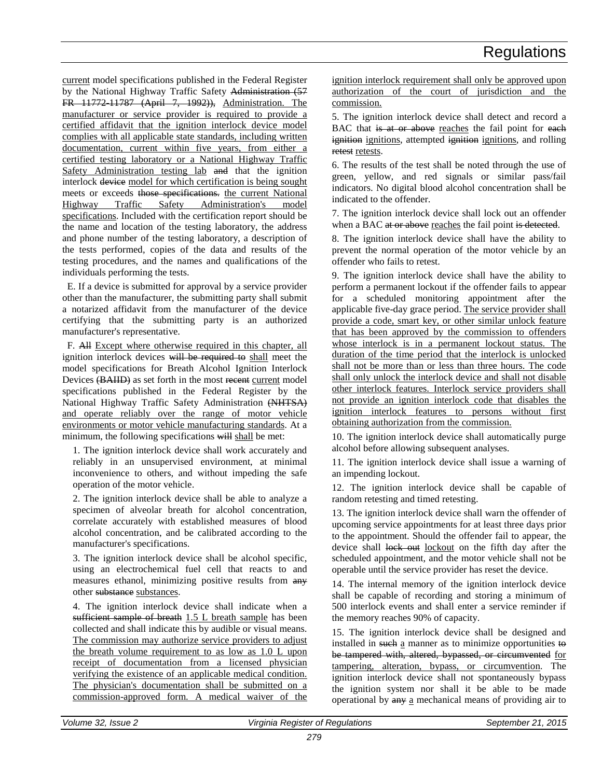current model specifications published in the Federal Register by the National Highway Traffic Safety Administration (57 FR 11772-11787 (April 7, 1992)), Administration. The manufacturer or service provider is required to provide a certified affidavit that the ignition interlock device model complies with all applicable state standards, including written documentation, current within five years, from either a certified testing laboratory or a National Highway Traffic Safety Administration testing lab and that the ignition interlock device model for which certification is being sought meets or exceeds those specifications. the current National Highway Traffic Safety Administration's model specifications. Included with the certification report should be the name and location of the testing laboratory, the address and phone number of the testing laboratory, a description of the tests performed, copies of the data and results of the testing procedures, and the names and qualifications of the individuals performing the tests.

E. If a device is submitted for approval by a service provider other than the manufacturer, the submitting party shall submit a notarized affidavit from the manufacturer of the device certifying that the submitting party is an authorized manufacturer's representative.

F. All Except where otherwise required in this chapter, all ignition interlock devices will be required to shall meet the model specifications for Breath Alcohol Ignition Interlock Devices (BAIID) as set forth in the most recent current model specifications published in the Federal Register by the National Highway Traffic Safety Administration (NHTSA) and operate reliably over the range of motor vehicle environments or motor vehicle manufacturing standards. At a minimum, the following specifications will shall be met:

1. The ignition interlock device shall work accurately and reliably in an unsupervised environment, at minimal inconvenience to others, and without impeding the safe operation of the motor vehicle.

2. The ignition interlock device shall be able to analyze a specimen of alveolar breath for alcohol concentration, correlate accurately with established measures of blood alcohol concentration, and be calibrated according to the manufacturer's specifications.

3. The ignition interlock device shall be alcohol specific, using an electrochemical fuel cell that reacts to and measures ethanol, minimizing positive results from  $\frac{any}{any}$ other substances.

4. The ignition interlock device shall indicate when a sufficient sample of breath 1.5 L breath sample has been collected and shall indicate this by audible or visual means. The commission may authorize service providers to adjust the breath volume requirement to as low as 1.0 L upon receipt of documentation from a licensed physician verifying the existence of an applicable medical condition. The physician's documentation shall be submitted on a commission-approved form. A medical waiver of the

ignition interlock requirement shall only be approved upon authorization of the court of jurisdiction and the commission.

5. The ignition interlock device shall detect and record a BAC that is at or above reaches the fail point for each ignition ignitions, attempted ignition ignitions, and rolling retest retests.

6. The results of the test shall be noted through the use of green, yellow, and red signals or similar pass/fail indicators. No digital blood alcohol concentration shall be indicated to the offender.

7. The ignition interlock device shall lock out an offender when a BAC at or above reaches the fail point is detected.

8. The ignition interlock device shall have the ability to prevent the normal operation of the motor vehicle by an offender who fails to retest.

9. The ignition interlock device shall have the ability to perform a permanent lockout if the offender fails to appear for a scheduled monitoring appointment after the applicable five-day grace period. The service provider shall provide a code, smart key, or other similar unlock feature that has been approved by the commission to offenders whose interlock is in a permanent lockout status. The duration of the time period that the interlock is unlocked shall not be more than or less than three hours. The code shall only unlock the interlock device and shall not disable other interlock features. Interlock service providers shall not provide an ignition interlock code that disables the ignition interlock features to persons without first obtaining authorization from the commission.

10. The ignition interlock device shall automatically purge alcohol before allowing subsequent analyses.

11. The ignition interlock device shall issue a warning of an impending lockout.

12. The ignition interlock device shall be capable of random retesting and timed retesting.

13. The ignition interlock device shall warn the offender of upcoming service appointments for at least three days prior to the appointment. Should the offender fail to appear, the device shall lock out lockout on the fifth day after the scheduled appointment, and the motor vehicle shall not be operable until the service provider has reset the device.

14. The internal memory of the ignition interlock device shall be capable of recording and storing a minimum of 500 interlock events and shall enter a service reminder if the memory reaches 90% of capacity.

15. The ignition interlock device shall be designed and installed in such a manner as to minimize opportunities to be tampered with, altered, bypassed, or circumvented for tampering, alteration, bypass, or circumvention. The ignition interlock device shall not spontaneously bypass the ignition system nor shall it be able to be made operational by any a mechanical means of providing air to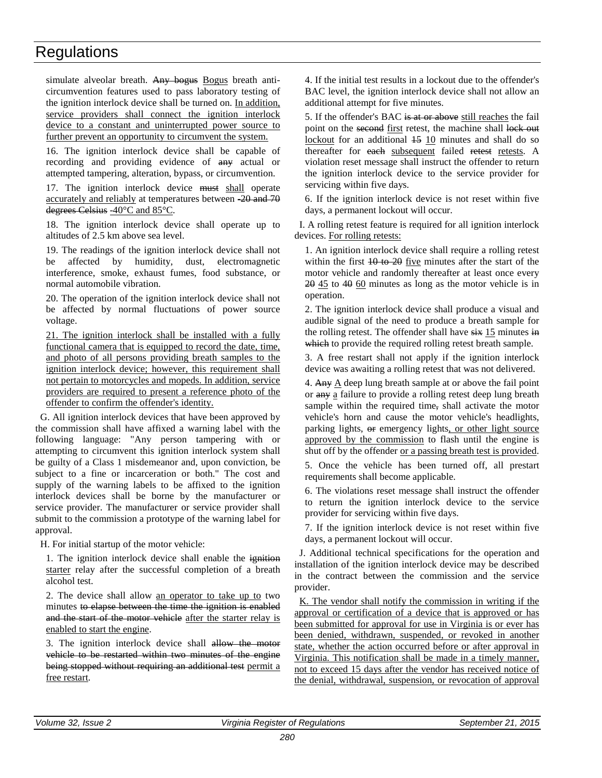simulate alveolar breath. Any bogus Bogus breath anticircumvention features used to pass laboratory testing of the ignition interlock device shall be turned on. In addition, service providers shall connect the ignition interlock device to a constant and uninterrupted power source to further prevent an opportunity to circumvent the system.

16. The ignition interlock device shall be capable of recording and providing evidence of any actual or attempted tampering, alteration, bypass, or circumvention.

17. The ignition interlock device must shall operate accurately and reliably at temperatures between -20 and 70 degrees Celsius -40°C and 85°C.

18. The ignition interlock device shall operate up to altitudes of 2.5 km above sea level.

19. The readings of the ignition interlock device shall not be affected by humidity, dust, electromagnetic interference, smoke, exhaust fumes, food substance, or normal automobile vibration.

20. The operation of the ignition interlock device shall not be affected by normal fluctuations of power source voltage.

21. The ignition interlock shall be installed with a fully functional camera that is equipped to record the date, time, and photo of all persons providing breath samples to the ignition interlock device; however, this requirement shall not pertain to motorcycles and mopeds. In addition, service providers are required to present a reference photo of the offender to confirm the offender's identity.

G. All ignition interlock devices that have been approved by the commission shall have affixed a warning label with the following language: "Any person tampering with or attempting to circumvent this ignition interlock system shall be guilty of a Class 1 misdemeanor and, upon conviction, be subject to a fine or incarceration or both." The cost and supply of the warning labels to be affixed to the ignition interlock devices shall be borne by the manufacturer or service provider. The manufacturer or service provider shall submit to the commission a prototype of the warning label for approval.

H. For initial startup of the motor vehicle:

1. The ignition interlock device shall enable the ignition starter relay after the successful completion of a breath alcohol test.

2. The device shall allow an operator to take up to two minutes to elapse between the time the ignition is enabled and the start of the motor vehicle after the starter relay is enabled to start the engine.

3. The ignition interlock device shall allow the motor vehicle to be restarted within two minutes of the engine being stopped without requiring an additional test permit a free restart.

4. If the initial test results in a lockout due to the offender's BAC level, the ignition interlock device shall not allow an additional attempt for five minutes.

5. If the offender's BAC is at or above still reaches the fail point on the second first retest, the machine shall lock out lockout for an additional  $15$  10 minutes and shall do so thereafter for each subsequent failed retest retests. A violation reset message shall instruct the offender to return the ignition interlock device to the service provider for servicing within five days.

6. If the ignition interlock device is not reset within five days, a permanent lockout will occur.

I. A rolling retest feature is required for all ignition interlock devices. For rolling retests:

1. An ignition interlock device shall require a rolling retest within the first  $10$  to  $20$  five minutes after the start of the motor vehicle and randomly thereafter at least once every 20 45 to 40 60 minutes as long as the motor vehicle is in operation.

2. The ignition interlock device shall produce a visual and audible signal of the need to produce a breath sample for the rolling retest. The offender shall have  $s$ ix 15 minutes in which to provide the required rolling retest breath sample.

3. A free restart shall not apply if the ignition interlock device was awaiting a rolling retest that was not delivered.

4. Any  $\underline{A}$  deep lung breath sample at or above the fail point or any a failure to provide a rolling retest deep lung breath sample within the required time, shall activate the motor vehicle's horn and cause the motor vehicle's headlights, parking lights, or emergency lights, or other light source approved by the commission to flash until the engine is shut off by the offender or a passing breath test is provided.

5. Once the vehicle has been turned off, all prestart requirements shall become applicable.

6. The violations reset message shall instruct the offender to return the ignition interlock device to the service provider for servicing within five days.

7. If the ignition interlock device is not reset within five days, a permanent lockout will occur.

J. Additional technical specifications for the operation and installation of the ignition interlock device may be described in the contract between the commission and the service provider.

K. The vendor shall notify the commission in writing if the approval or certification of a device that is approved or has been submitted for approval for use in Virginia is or ever has been denied, withdrawn, suspended, or revoked in another state, whether the action occurred before or after approval in Virginia. This notification shall be made in a timely manner, not to exceed 15 days after the vendor has received notice of the denial, withdrawal, suspension, or revocation of approval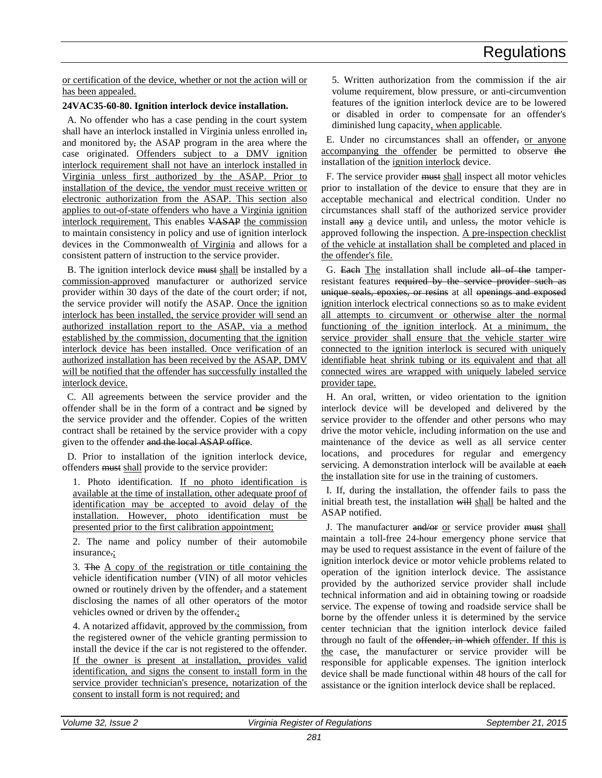or certification of the device, whether or not the action will or has been appealed.

# **24VAC35-60-80. Ignition interlock device installation.**

A. No offender who has a case pending in the court system shall have an interlock installed in Virginia unless enrolled in, and monitored by, the ASAP program in the area where the case originated. Offenders subject to a DMV ignition interlock requirement shall not have an interlock installed in Virginia unless first authorized by the ASAP. Prior to installation of the device, the vendor must receive written or electronic authorization from the ASAP. This section also applies to out-of-state offenders who have a Virginia ignition interlock requirement. This enables VASAP the commission to maintain consistency in policy and use of ignition interlock devices in the Commonwealth of Virginia and allows for a consistent pattern of instruction to the service provider.

B. The ignition interlock device must shall be installed by a commission-approved manufacturer or authorized service provider within 30 days of the date of the court order; if not, the service provider will notify the ASAP. Once the ignition interlock has been installed, the service provider will send an authorized installation report to the ASAP, via a method established by the commission, documenting that the ignition interlock device has been installed. Once verification of an authorized installation has been received by the ASAP, DMV will be notified that the offender has successfully installed the interlock device.

C. All agreements between the service provider and the offender shall be in the form of a contract and be signed by the service provider and the offender. Copies of the written contract shall be retained by the service provider with a copy given to the offender and the local ASAP office.

D. Prior to installation of the ignition interlock device, offenders must shall provide to the service provider:

1. Photo identification. If no photo identification is available at the time of installation, other adequate proof of identification may be accepted to avoid delay of the installation. However, photo identification must be presented prior to the first calibration appointment;

2. The name and policy number of their automobile insurance.;

3. The A copy of the registration or title containing the vehicle identification number (VIN) of all motor vehicles owned or routinely driven by the offender, and a statement disclosing the names of all other operators of the motor vehicles owned or driven by the offender.;

4. A notarized affidavit, approved by the commission, from the registered owner of the vehicle granting permission to install the device if the car is not registered to the offender. If the owner is present at installation, provides valid identification, and signs the consent to install form in the service provider technician's presence, notarization of the consent to install form is not required; and

5. Written authorization from the commission if the air volume requirement, blow pressure, or anti-circumvention features of the ignition interlock device are to be lowered or disabled in order to compensate for an offender's diminished lung capacity, when applicable.

E. Under no circumstances shall an offender, or anyone accompanying the offender be permitted to observe the installation of the ignition interlock device.

F. The service provider must shall inspect all motor vehicles prior to installation of the device to ensure that they are in acceptable mechanical and electrical condition. Under no circumstances shall staff of the authorized service provider install any a device until, and unless, the motor vehicle is approved following the inspection. A pre-inspection checklist of the vehicle at installation shall be completed and placed in the offender's file.

G. Each The installation shall include all of the tamperresistant features required by the service provider such as unique seals, epoxies, or resins at all openings and exposed ignition interlock electrical connections so as to make evident all attempts to circumvent or otherwise alter the normal functioning of the ignition interlock. At a minimum, the service provider shall ensure that the vehicle starter wire connected to the ignition interlock is secured with uniquely identifiable heat shrink tubing or its equivalent and that all connected wires are wrapped with uniquely labeled service provider tape.

H. An oral, written, or video orientation to the ignition interlock device will be developed and delivered by the service provider to the offender and other persons who may drive the motor vehicle, including information on the use and maintenance of the device as well as all service center locations, and procedures for regular and emergency servicing. A demonstration interlock will be available at each the installation site for use in the training of customers.

I. If, during the installation, the offender fails to pass the initial breath test, the installation will shall be halted and the ASAP notified.

J. The manufacturer and/or or service provider must shall maintain a toll-free 24-hour emergency phone service that may be used to request assistance in the event of failure of the ignition interlock device or motor vehicle problems related to operation of the ignition interlock device. The assistance provided by the authorized service provider shall include technical information and aid in obtaining towing or roadside service. The expense of towing and roadside service shall be borne by the offender unless it is determined by the service center technician that the ignition interlock device failed through no fault of the offender, in which offender. If this is the case, the manufacturer or service provider will be responsible for applicable expenses. The ignition interlock device shall be made functional within 48 hours of the call for assistance or the ignition interlock device shall be replaced.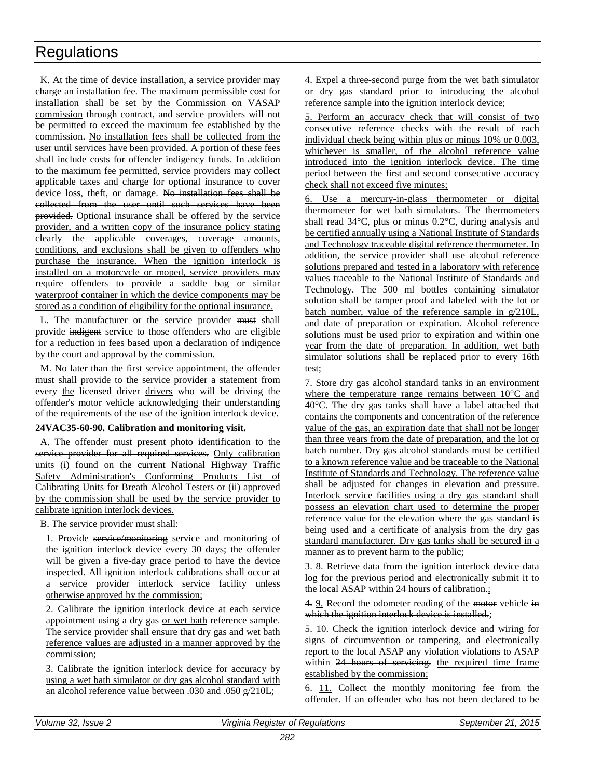K. At the time of device installation, a service provider may charge an installation fee. The maximum permissible cost for installation shall be set by the Commission on VASAP commission through contract, and service providers will not be permitted to exceed the maximum fee established by the commission. No installation fees shall be collected from the user until services have been provided. A portion of these fees shall include costs for offender indigency funds. In addition to the maximum fee permitted, service providers may collect applicable taxes and charge for optional insurance to cover device loss, theft, or damage. No installation fees shall be collected from the user until such services have been provided. Optional insurance shall be offered by the service provider, and a written copy of the insurance policy stating clearly the applicable coverages, coverage amounts, conditions, and exclusions shall be given to offenders who purchase the insurance. When the ignition interlock is installed on a motorcycle or moped, service providers may require offenders to provide a saddle bag or similar waterproof container in which the device components may be stored as a condition of eligibility for the optional insurance.

L. The manufacturer or the service provider must shall provide indigent service to those offenders who are eligible for a reduction in fees based upon a declaration of indigence by the court and approval by the commission.

M. No later than the first service appointment, the offender must shall provide to the service provider a statement from every the licensed driver drivers who will be driving the offender's motor vehicle acknowledging their understanding of the requirements of the use of the ignition interlock device.

# **24VAC35-60-90. Calibration and monitoring visit.**

A. The offender must present photo identification to the service provider for all required services. Only calibration units (i) found on the current National Highway Traffic Safety Administration's Conforming Products List of Calibrating Units for Breath Alcohol Testers or (ii) approved by the commission shall be used by the service provider to calibrate ignition interlock devices.

B. The service provider must shall:

1. Provide service/monitoring service and monitoring of the ignition interlock device every 30 days; the offender will be given a five-day grace period to have the device inspected. All ignition interlock calibrations shall occur at a service provider interlock service facility unless otherwise approved by the commission;

2. Calibrate the ignition interlock device at each service appointment using a dry gas or wet bath reference sample. The service provider shall ensure that dry gas and wet bath reference values are adjusted in a manner approved by the commission;

3. Calibrate the ignition interlock device for accuracy by using a wet bath simulator or dry gas alcohol standard with an alcohol reference value between .030 and .050 g/210L;

4. Expel a three-second purge from the wet bath simulator or dry gas standard prior to introducing the alcohol reference sample into the ignition interlock device;

5. Perform an accuracy check that will consist of two consecutive reference checks with the result of each individual check being within plus or minus 10% or 0.003, whichever is smaller, of the alcohol reference value introduced into the ignition interlock device. The time period between the first and second consecutive accuracy check shall not exceed five minutes;

6. Use a mercury-in-glass thermometer or digital thermometer for wet bath simulators. The thermometers shall read 34°C, plus or minus 0.2°C, during analysis and be certified annually using a National Institute of Standards and Technology traceable digital reference thermometer. In addition, the service provider shall use alcohol reference solutions prepared and tested in a laboratory with reference values traceable to the National Institute of Standards and Technology. The 500 ml bottles containing simulator solution shall be tamper proof and labeled with the lot or batch number, value of the reference sample in g/210L, and date of preparation or expiration. Alcohol reference solutions must be used prior to expiration and within one year from the date of preparation. In addition, wet bath simulator solutions shall be replaced prior to every 16th test;

7. Store dry gas alcohol standard tanks in an environment where the temperature range remains between 10°C and 40°C. The dry gas tanks shall have a label attached that contains the components and concentration of the reference value of the gas, an expiration date that shall not be longer than three years from the date of preparation, and the lot or batch number. Dry gas alcohol standards must be certified to a known reference value and be traceable to the National Institute of Standards and Technology. The reference value shall be adjusted for changes in elevation and pressure. Interlock service facilities using a dry gas standard shall possess an elevation chart used to determine the proper reference value for the elevation where the gas standard is being used and a certificate of analysis from the dry gas standard manufacturer. Dry gas tanks shall be secured in a manner as to prevent harm to the public;

3. 8. Retrieve data from the ignition interlock device data log for the previous period and electronically submit it to the local ASAP within 24 hours of calibration.;

4. 9. Record the odometer reading of the motor vehicle in which the ignition interlock device is installed.;

5. 10. Check the ignition interlock device and wiring for signs of circumvention or tampering, and electronically report to the local ASAP any violation violations to ASAP within 24 hours of servicing, the required time frame established by the commission;

6. 11. Collect the monthly monitoring fee from the offender. If an offender who has not been declared to be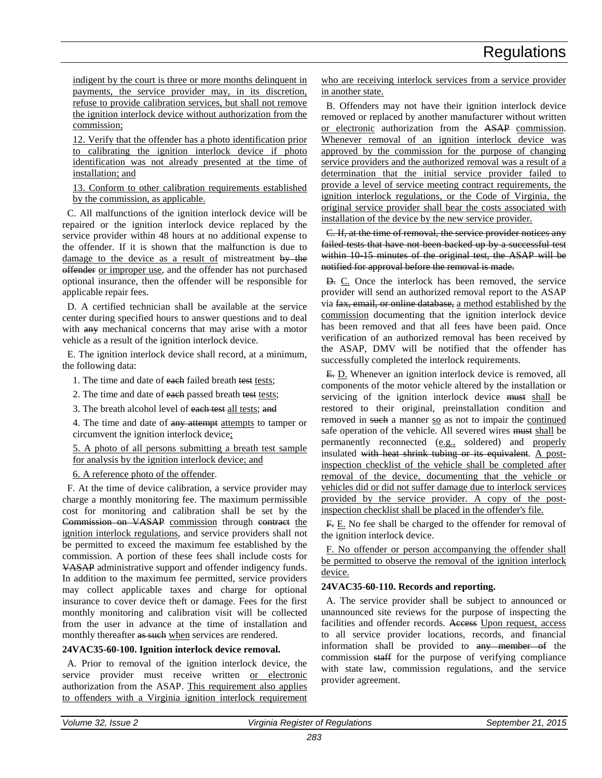indigent by the court is three or more months delinquent in payments, the service provider may, in its discretion, refuse to provide calibration services, but shall not remove the ignition interlock device without authorization from the commission;

12. Verify that the offender has a photo identification prior to calibrating the ignition interlock device if photo identification was not already presented at the time of installation; and

13. Conform to other calibration requirements established by the commission, as applicable.

C. All malfunctions of the ignition interlock device will be repaired or the ignition interlock device replaced by the service provider within 48 hours at no additional expense to the offender. If it is shown that the malfunction is due to damage to the device as a result of mistreatment by the offender or improper use, and the offender has not purchased optional insurance, then the offender will be responsible for applicable repair fees.

D. A certified technician shall be available at the service center during specified hours to answer questions and to deal with any mechanical concerns that may arise with a motor vehicle as a result of the ignition interlock device.

E. The ignition interlock device shall record, at a minimum, the following data:

1. The time and date of each failed breath test tests;

2. The time and date of each passed breath test tests;

3. The breath alcohol level of each test all tests; and

4. The time and date of any attempt attempts to tamper or circumvent the ignition interlock device;

5. A photo of all persons submitting a breath test sample for analysis by the ignition interlock device; and

6. A reference photo of the offender.

F. At the time of device calibration, a service provider may charge a monthly monitoring fee. The maximum permissible cost for monitoring and calibration shall be set by the Commission on VASAP commission through contract the ignition interlock regulations, and service providers shall not be permitted to exceed the maximum fee established by the commission. A portion of these fees shall include costs for VASAP administrative support and offender indigency funds. In addition to the maximum fee permitted, service providers may collect applicable taxes and charge for optional insurance to cover device theft or damage. Fees for the first monthly monitoring and calibration visit will be collected from the user in advance at the time of installation and monthly thereafter as such when services are rendered.

# **24VAC35-60-100. Ignition interlock device removal.**

A. Prior to removal of the ignition interlock device, the service provider must receive written or electronic authorization from the ASAP. This requirement also applies to offenders with a Virginia ignition interlock requirement

who are receiving interlock services from a service provider in another state.

B. Offenders may not have their ignition interlock device removed or replaced by another manufacturer without written or electronic authorization from the ASAP commission. Whenever removal of an ignition interlock device was approved by the commission for the purpose of changing service providers and the authorized removal was a result of a determination that the initial service provider failed to provide a level of service meeting contract requirements, the ignition interlock regulations, or the Code of Virginia, the original service provider shall bear the costs associated with installation of the device by the new service provider.

C. If, at the time of removal, the service provider notices any failed tests that have not been backed up by a successful test within 10-15 minutes of the original test, the ASAP will be notified for approval before the removal is made.

D. C. Once the interlock has been removed, the service provider will send an authorized removal report to the ASAP via fax, email, or online database, a method established by the commission documenting that the ignition interlock device has been removed and that all fees have been paid. Once verification of an authorized removal has been received by the ASAP, DMV will be notified that the offender has successfully completed the interlock requirements.

E. D. Whenever an ignition interlock device is removed, all components of the motor vehicle altered by the installation or servicing of the ignition interlock device must shall be restored to their original, preinstallation condition and removed in such a manner so as not to impair the continued safe operation of the vehicle. All severed wires must shall be permanently reconnected (e.g., soldered) and properly insulated with heat shrink tubing or its equivalent. A postinspection checklist of the vehicle shall be completed after removal of the device, documenting that the vehicle or vehicles did or did not suffer damage due to interlock services provided by the service provider. A copy of the postinspection checklist shall be placed in the offender's file.

F. E. No fee shall be charged to the offender for removal of the ignition interlock device.

F. No offender or person accompanying the offender shall be permitted to observe the removal of the ignition interlock device.

# **24VAC35-60-110. Records and reporting.**

A. The service provider shall be subject to announced or unannounced site reviews for the purpose of inspecting the facilities and offender records. Access Upon request, access to all service provider locations, records, and financial information shall be provided to any member of the commission staff for the purpose of verifying compliance with state law, commission regulations, and the service provider agreement.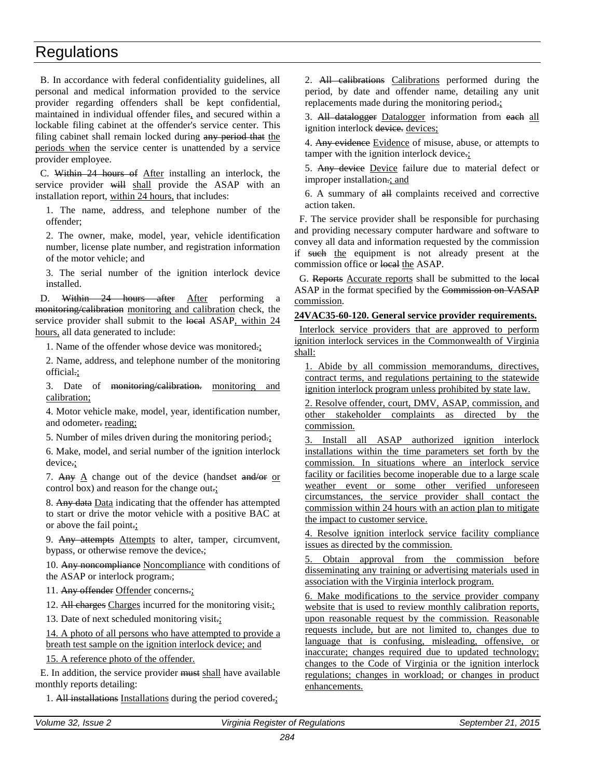B. In accordance with federal confidentiality guidelines, all personal and medical information provided to the service provider regarding offenders shall be kept confidential, maintained in individual offender files, and secured within a lockable filing cabinet at the offender's service center. This filing cabinet shall remain locked during any period that the periods when the service center is unattended by a service provider employee.

C. Within 24 hours of After installing an interlock, the service provider will shall provide the ASAP with an installation report, within 24 hours, that includes:

1. The name, address, and telephone number of the offender;

2. The owner, make, model, year, vehicle identification number, license plate number, and registration information of the motor vehicle; and

3. The serial number of the ignition interlock device installed.

D. Within 24 hours after After performing a monitoring/calibration monitoring and calibration check, the service provider shall submit to the local ASAP, within 24 hours, all data generated to include:

1. Name of the offender whose device was monitored.;

2. Name, address, and telephone number of the monitoring official.;

3. Date of monitoring/calibration. monitoring and calibration;

4. Motor vehicle make, model, year, identification number, and odometer. reading;

5. Number of miles driven during the monitoring period.;

6. Make, model, and serial number of the ignition interlock device.;

7. Any A change out of the device (handset and/or or control box) and reason for the change out.;

8. Any data Data indicating that the offender has attempted to start or drive the motor vehicle with a positive BAC at or above the fail point.;

9. Any attempts Attempts to alter, tamper, circumvent, bypass, or otherwise remove the device.;

10. Any noncompliance Noncompliance with conditions of the ASAP or interlock program.;

11. Any offender Offender concerns.;

12. All charges Charges incurred for the monitoring visit.;

13. Date of next scheduled monitoring visit.;

14. A photo of all persons who have attempted to provide a breath test sample on the ignition interlock device; and

15. A reference photo of the offender.

E. In addition, the service provider must shall have available monthly reports detailing:

1. All installations Installations during the period covered.;

2. All calibrations Calibrations performed during the period, by date and offender name, detailing any unit replacements made during the monitoring period.;

3. All datalogger Datalogger information from each all ignition interlock devices.

4. Any evidence Evidence of misuse, abuse, or attempts to tamper with the ignition interlock device.;

5. Any device Device failure due to material defect or improper installation.; and

6. A summary of all complaints received and corrective action taken.

F. The service provider shall be responsible for purchasing and providing necessary computer hardware and software to convey all data and information requested by the commission if such the equipment is not already present at the commission office or local the ASAP.

G. Reports Accurate reports shall be submitted to the local ASAP in the format specified by the Commission on VASAP commission.

# **24VAC35-60-120. General service provider requirements.**

Interlock service providers that are approved to perform ignition interlock services in the Commonwealth of Virginia shall:

1. Abide by all commission memorandums, directives, contract terms, and regulations pertaining to the statewide ignition interlock program unless prohibited by state law.

2. Resolve offender, court, DMV, ASAP, commission, and other stakeholder complaints as directed by the commission.

3. Install all ASAP authorized ignition interlock installations within the time parameters set forth by the commission. In situations where an interlock service facility or facilities become inoperable due to a large scale weather event or some other verified unforeseen circumstances, the service provider shall contact the commission within 24 hours with an action plan to mitigate the impact to customer service.

4. Resolve ignition interlock service facility compliance issues as directed by the commission.

5. Obtain approval from the commission before disseminating any training or advertising materials used in association with the Virginia interlock program.

6. Make modifications to the service provider company website that is used to review monthly calibration reports, upon reasonable request by the commission. Reasonable requests include, but are not limited to, changes due to language that is confusing, misleading, offensive, or inaccurate; changes required due to updated technology; changes to the Code of Virginia or the ignition interlock regulations; changes in workload; or changes in product enhancements.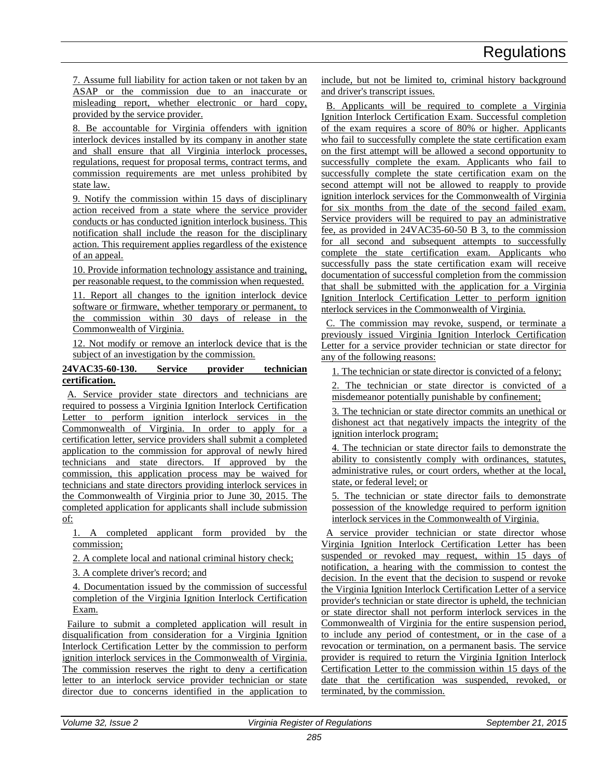7. Assume full liability for action taken or not taken by an ASAP or the commission due to an inaccurate or misleading report, whether electronic or hard copy, provided by the service provider.

8. Be accountable for Virginia offenders with ignition interlock devices installed by its company in another state and shall ensure that all Virginia interlock processes, regulations, request for proposal terms, contract terms, and commission requirements are met unless prohibited by state law.

9. Notify the commission within 15 days of disciplinary action received from a state where the service provider conducts or has conducted ignition interlock business. This notification shall include the reason for the disciplinary action. This requirement applies regardless of the existence of an appeal.

10. Provide information technology assistance and training, per reasonable request, to the commission when requested.

11. Report all changes to the ignition interlock device software or firmware, whether temporary or permanent, to the commission within 30 days of release in the Commonwealth of Virginia.

12. Not modify or remove an interlock device that is the subject of an investigation by the commission.

# **24VAC35-60-130. Service provider technician certification.**

A. Service provider state directors and technicians are required to possess a Virginia Ignition Interlock Certification Letter to perform ignition interlock services in the Commonwealth of Virginia. In order to apply for a certification letter, service providers shall submit a completed application to the commission for approval of newly hired technicians and state directors. If approved by the commission, this application process may be waived for technicians and state directors providing interlock services in the Commonwealth of Virginia prior to June 30, 2015. The completed application for applicants shall include submission of:

1. A completed applicant form provided by the commission;

2. A complete local and national criminal history check;

3. A complete driver's record; and

4. Documentation issued by the commission of successful completion of the Virginia Ignition Interlock Certification Exam.

Failure to submit a completed application will result in disqualification from consideration for a Virginia Ignition Interlock Certification Letter by the commission to perform ignition interlock services in the Commonwealth of Virginia. The commission reserves the right to deny a certification letter to an interlock service provider technician or state director due to concerns identified in the application to include, but not be limited to, criminal history background and driver's transcript issues.

B. Applicants will be required to complete a Virginia Ignition Interlock Certification Exam. Successful completion of the exam requires a score of 80% or higher. Applicants who fail to successfully complete the state certification exam on the first attempt will be allowed a second opportunity to successfully complete the exam. Applicants who fail to successfully complete the state certification exam on the second attempt will not be allowed to reapply to provide ignition interlock services for the Commonwealth of Virginia for six months from the date of the second failed exam. Service providers will be required to pay an administrative fee, as provided in 24VAC35-60-50 B 3, to the commission for all second and subsequent attempts to successfully complete the state certification exam. Applicants who successfully pass the state certification exam will receive documentation of successful completion from the commission that shall be submitted with the application for a Virginia Ignition Interlock Certification Letter to perform ignition nterlock services in the Commonwealth of Virginia.

C. The commission may revoke, suspend, or terminate a previously issued Virginia Ignition Interlock Certification Letter for a service provider technician or state director for any of the following reasons:

1. The technician or state director is convicted of a felony;

2. The technician or state director is convicted of a misdemeanor potentially punishable by confinement;

3. The technician or state director commits an unethical or dishonest act that negatively impacts the integrity of the ignition interlock program;

4. The technician or state director fails to demonstrate the ability to consistently comply with ordinances, statutes, administrative rules, or court orders, whether at the local, state, or federal level; or

5. The technician or state director fails to demonstrate possession of the knowledge required to perform ignition interlock services in the Commonwealth of Virginia.

A service provider technician or state director whose Virginia Ignition Interlock Certification Letter has been suspended or revoked may request, within 15 days of notification, a hearing with the commission to contest the decision. In the event that the decision to suspend or revoke the Virginia Ignition Interlock Certification Letter of a service provider's technician or state director is upheld, the technician or state director shall not perform interlock services in the Commonwealth of Virginia for the entire suspension period, to include any period of contestment, or in the case of a revocation or termination, on a permanent basis. The service provider is required to return the Virginia Ignition Interlock Certification Letter to the commission within 15 days of the date that the certification was suspended, revoked, or terminated, by the commission.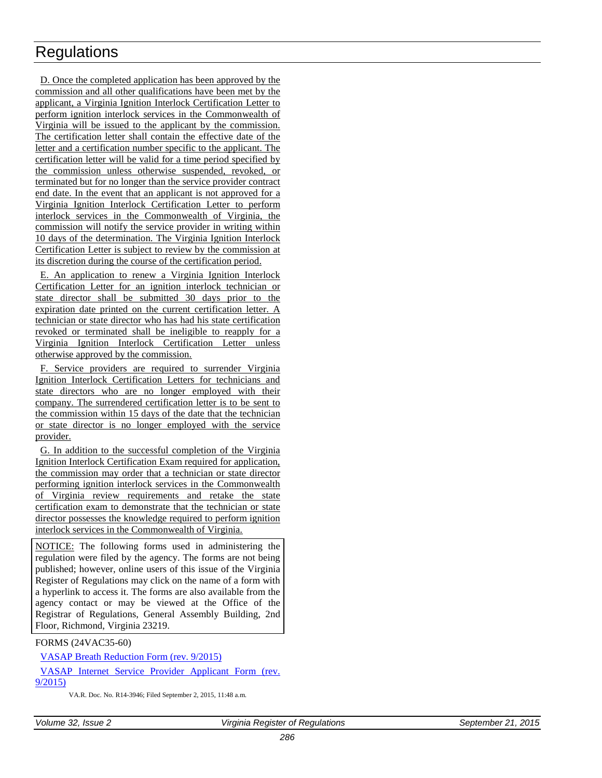D. Once the completed application has been approved by the commission and all other qualifications have been met by the applicant, a Virginia Ignition Interlock Certification Letter to perform ignition interlock services in the Commonwealth of Virginia will be issued to the applicant by the commission. The certification letter shall contain the effective date of the letter and a certification number specific to the applicant. The certification letter will be valid for a time period specified by the commission unless otherwise suspended, revoked, or terminated but for no longer than the service provider contract end date. In the event that an applicant is not approved for a Virginia Ignition Interlock Certification Letter to perform interlock services in the Commonwealth of Virginia, the commission will notify the service provider in writing within 10 days of the determination. The Virginia Ignition Interlock Certification Letter is subject to review by the commission at its discretion during the course of the certification period.

E. An application to renew a Virginia Ignition Interlock Certification Letter for an ignition interlock technician or state director shall be submitted 30 days prior to the expiration date printed on the current certification letter. A technician or state director who has had his state certification revoked or terminated shall be ineligible to reapply for a Virginia Ignition Interlock Certification Letter unless otherwise approved by the commission.

F. Service providers are required to surrender Virginia Ignition Interlock Certification Letters for technicians and state directors who are no longer employed with their company. The surrendered certification letter is to be sent to the commission within 15 days of the date that the technician or state director is no longer employed with the service provider.

G. In addition to the successful completion of the Virginia Ignition Interlock Certification Exam required for application, the commission may order that a technician or state director performing ignition interlock services in the Commonwealth of Virginia review requirements and retake the state certification exam to demonstrate that the technician or state director possesses the knowledge required to perform ignition interlock services in the Commonwealth of Virginia.

NOTICE: The following forms used in administering the regulation were filed by the agency. The forms are not being published; however, online users of this issue of the Virginia Register of Regulations may click on the name of a form with a hyperlink to access it. The forms are also available from the agency contact or may be viewed at the Office of the Registrar of Regulations, General Assembly Building, 2nd Floor, Richmond, Virginia 23219.

FORMS (24VAC35-60)

[VASAP Breath Reduction Form \(rev. 9/2015\)](http://leg5.state.va.us/reg_agent/frmView.aspx?Viewid=3e934003946~1&typ=40&actno=003946&mime=application/pdf)

[VASAP Internet Service Provider Applicant Form \(rev.](http://leg5.state.va.us/reg_agent/frmView.aspx?Viewid=110f5003946~2&typ=40&actno=003946&mime=application/pdf)  [9/2015\)](http://leg5.state.va.us/reg_agent/frmView.aspx?Viewid=110f5003946~2&typ=40&actno=003946&mime=application/pdf)

VA.R. Doc. No. R14-3946; Filed September 2, 2015, 11:48 a.m.

*Volume 32, Issue 2 Virginia Register of Regulations September 21, 2015*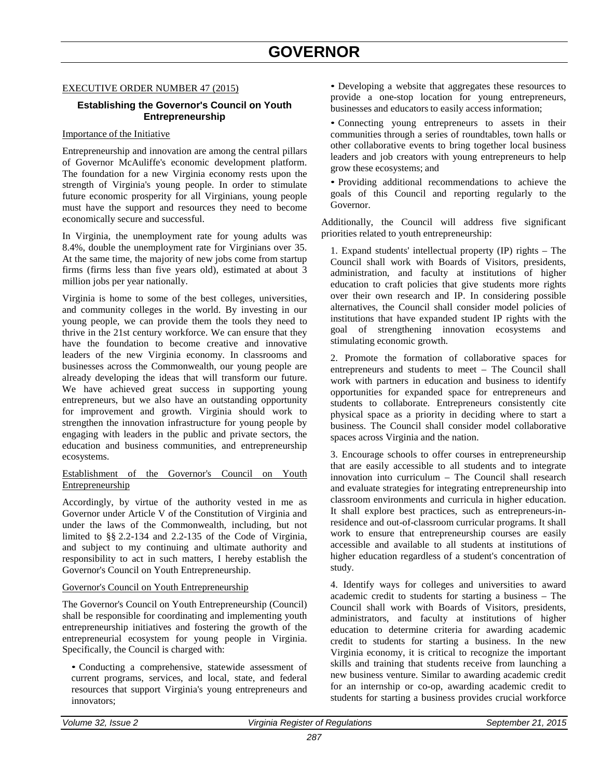# <span id="page-46-1"></span><span id="page-46-0"></span>EXECUTIVE ORDER NUMBER 47 (2015)

# **Establishing the Governor's Council on Youth Entrepreneurship**

#### Importance of the Initiative

Entrepreneurship and innovation are among the central pillars of Governor McAuliffe's economic development platform. The foundation for a new Virginia economy rests upon the strength of Virginia's young people. In order to stimulate future economic prosperity for all Virginians, young people must have the support and resources they need to become economically secure and successful.

In Virginia, the unemployment rate for young adults was 8.4%, double the unemployment rate for Virginians over 35. At the same time, the majority of new jobs come from startup firms (firms less than five years old), estimated at about 3 million jobs per year nationally.

Virginia is home to some of the best colleges, universities, and community colleges in the world. By investing in our young people, we can provide them the tools they need to thrive in the 21st century workforce. We can ensure that they have the foundation to become creative and innovative leaders of the new Virginia economy. In classrooms and businesses across the Commonwealth, our young people are already developing the ideas that will transform our future. We have achieved great success in supporting young entrepreneurs, but we also have an outstanding opportunity for improvement and growth. Virginia should work to strengthen the innovation infrastructure for young people by engaging with leaders in the public and private sectors, the education and business communities, and entrepreneurship ecosystems.

### Establishment of the Governor's Council on Youth Entrepreneurship

Accordingly, by virtue of the authority vested in me as Governor under Article V of the Constitution of Virginia and under the laws of the Commonwealth, including, but not limited to §§ 2.2-134 and 2.2-135 of the Code of Virginia, and subject to my continuing and ultimate authority and responsibility to act in such matters, I hereby establish the Governor's Council on Youth Entrepreneurship.

# Governor's Council on Youth Entrepreneurship

The Governor's Council on Youth Entrepreneurship (Council) shall be responsible for coordinating and implementing youth entrepreneurship initiatives and fostering the growth of the entrepreneurial ecosystem for young people in Virginia. Specifically, the Council is charged with:

• Conducting a comprehensive, statewide assessment of current programs, services, and local, state, and federal resources that support Virginia's young entrepreneurs and innovators;

• Developing a website that aggregates these resources to provide a one-stop location for young entrepreneurs, businesses and educators to easily access information;

• Connecting young entrepreneurs to assets in their communities through a series of roundtables, town halls or other collaborative events to bring together local business leaders and job creators with young entrepreneurs to help grow these ecosystems; and

• Providing additional recommendations to achieve the goals of this Council and reporting regularly to the Governor.

Additionally, the Council will address five significant priorities related to youth entrepreneurship:

1. Expand students' intellectual property (IP) rights – The Council shall work with Boards of Visitors, presidents, administration, and faculty at institutions of higher education to craft policies that give students more rights over their own research and IP. In considering possible alternatives, the Council shall consider model policies of institutions that have expanded student IP rights with the goal of strengthening innovation ecosystems and stimulating economic growth.

2. Promote the formation of collaborative spaces for entrepreneurs and students to meet – The Council shall work with partners in education and business to identify opportunities for expanded space for entrepreneurs and students to collaborate. Entrepreneurs consistently cite physical space as a priority in deciding where to start a business. The Council shall consider model collaborative spaces across Virginia and the nation.

3. Encourage schools to offer courses in entrepreneurship that are easily accessible to all students and to integrate innovation into curriculum – The Council shall research and evaluate strategies for integrating entrepreneurship into classroom environments and curricula in higher education. It shall explore best practices, such as entrepreneurs-inresidence and out-of-classroom curricular programs. It shall work to ensure that entrepreneurship courses are easily accessible and available to all students at institutions of higher education regardless of a student's concentration of study.

4. Identify ways for colleges and universities to award academic credit to students for starting a business – The Council shall work with Boards of Visitors, presidents, administrators, and faculty at institutions of higher education to determine criteria for awarding academic credit to students for starting a business. In the new Virginia economy, it is critical to recognize the important skills and training that students receive from launching a new business venture. Similar to awarding academic credit for an internship or co-op, awarding academic credit to students for starting a business provides crucial workforce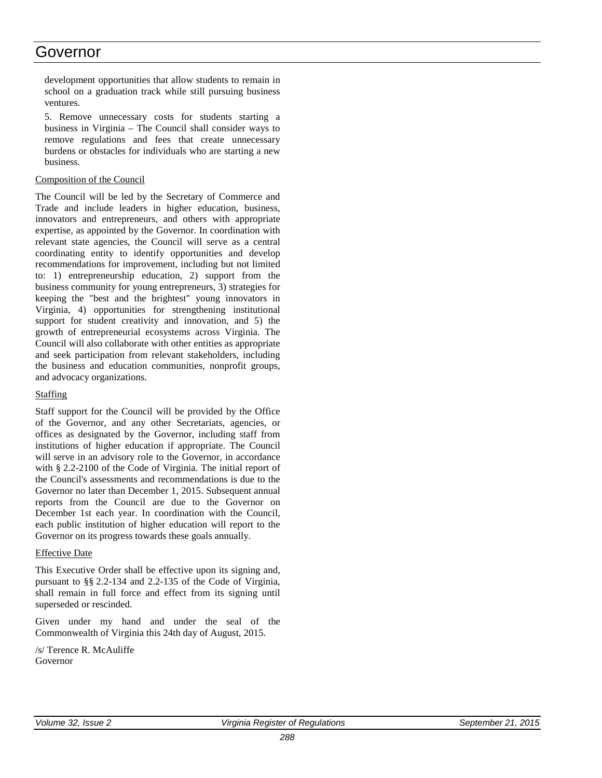# Governor

development opportunities that allow students to remain in school on a graduation track while still pursuing business ventures.

5. Remove unnecessary costs for students starting a business in Virginia – The Council shall consider ways to remove regulations and fees that create unnecessary burdens or obstacles for individuals who are starting a new business.

### Composition of the Council

The Council will be led by the Secretary of Commerce and Trade and include leaders in higher education, business, innovators and entrepreneurs, and others with appropriate expertise, as appointed by the Governor. In coordination with relevant state agencies, the Council will serve as a central coordinating entity to identify opportunities and develop recommendations for improvement, including but not limited to: 1) entrepreneurship education, 2) support from the business community for young entrepreneurs, 3) strategies for keeping the "best and the brightest" young innovators in Virginia, 4) opportunities for strengthening institutional support for student creativity and innovation, and 5) the growth of entrepreneurial ecosystems across Virginia. The Council will also collaborate with other entities as appropriate and seek participation from relevant stakeholders, including the business and education communities, nonprofit groups, and advocacy organizations.

# **Staffing**

Staff support for the Council will be provided by the Office of the Governor, and any other Secretariats, agencies, or offices as designated by the Governor, including staff from institutions of higher education if appropriate. The Council will serve in an advisory role to the Governor, in accordance with § 2.2-2100 of the Code of Virginia. The initial report of the Council's assessments and recommendations is due to the Governor no later than December 1, 2015. Subsequent annual reports from the Council are due to the Governor on December 1st each year. In coordination with the Council, each public institution of higher education will report to the Governor on its progress towards these goals annually.

#### Effective Date

This Executive Order shall be effective upon its signing and, pursuant to §§ 2.2-134 and 2.2-135 of the Code of Virginia, shall remain in full force and effect from its signing until superseded or rescinded.

Given under my hand and under the seal of the Commonwealth of Virginia this 24th day of August, 2015.

/s/ Terence R. McAuliffe Governor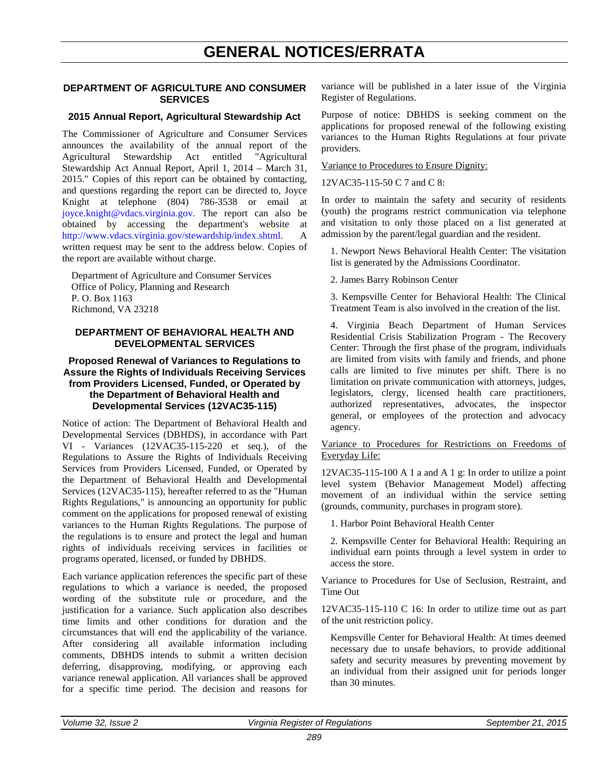# <span id="page-48-0"></span>**GENERAL NOTICES/ERRATA**

# <span id="page-48-1"></span>**DEPARTMENT OF AGRICULTURE AND CONSUMER SERVICES**

# **2015 Annual Report, Agricultural Stewardship Act**

The Commissioner of Agriculture and Consumer Services announces the availability of the annual report of the Agricultural Stewardship Act entitled "Agricultural Stewardship Act Annual Report, April 1, 2014 – March 31, 2015." Copies of this report can be obtained by contacting, and questions regarding the report can be directed to, Joyce Knight at telephone (804) 786-3538 or email at [joyce.knight@vdacs.virginia.gov.](mailto:Joyce.Knight@vdacs.virginia.gov) The report can also be obtained by accessing the department's website at [http://www.vdacs.virginia.gov/stewardship/index.shtml.](http://www.vdacs.virginia.gov/stewardship/index.shtml) A written request may be sent to the address below. Copies of the report are available without charge.

Department of Agriculture and Consumer Services Office of Policy, Planning and Research P. O. Box 1163 Richmond, VA 23218

### **DEPARTMENT OF BEHAVIORAL HEALTH AND DEVELOPMENTAL SERVICES**

# **Proposed Renewal of Variances to Regulations to Assure the Rights of Individuals Receiving Services from Providers Licensed, Funded, or Operated by the Department of Behavioral Health and Developmental Services (12VAC35-115)**

Notice of action: The Department of Behavioral Health and Developmental Services (DBHDS), in accordance with Part VI - Variances (12VAC35-115-220 et seq.), of the Regulations to Assure the Rights of Individuals Receiving Services from Providers Licensed, Funded, or Operated by the Department of Behavioral Health and Developmental Services (12VAC35-115), hereafter referred to as the "Human Rights Regulations," is announcing an opportunity for public comment on the applications for proposed renewal of existing variances to the Human Rights Regulations. The purpose of the regulations is to ensure and protect the legal and human rights of individuals receiving services in facilities or programs operated, licensed, or funded by DBHDS.

Each variance application references the specific part of these regulations to which a variance is needed, the proposed wording of the substitute rule or procedure, and the justification for a variance. Such application also describes time limits and other conditions for duration and the circumstances that will end the applicability of the variance. After considering all available information including comments, DBHDS intends to submit a written decision deferring, disapproving, modifying, or approving each variance renewal application. All variances shall be approved for a specific time period. The decision and reasons for variance will be published in a later issue of the Virginia Register of Regulations.

Purpose of notice: DBHDS is seeking comment on the applications for proposed renewal of the following existing variances to the Human Rights Regulations at four private providers.

#### Variance to Procedures to Ensure Dignity:

12VAC35-115-50 C 7 and C 8:

In order to maintain the safety and security of residents (youth) the programs restrict communication via telephone and visitation to only those placed on a list generated at admission by the parent/legal guardian and the resident.

1. Newport News Behavioral Health Center: The visitation list is generated by the Admissions Coordinator.

2. James Barry Robinson Center

3. Kempsville Center for Behavioral Health: The Clinical Treatment Team is also involved in the creation of the list.

4. Virginia Beach Department of Human Services Residential Crisis Stabilization Program - The Recovery Center: Through the first phase of the program, individuals are limited from visits with family and friends, and phone calls are limited to five minutes per shift. There is no limitation on private communication with attorneys, judges, legislators, clergy, licensed health care practitioners, authorized representatives, advocates, the inspector general, or employees of the protection and advocacy agency.

### Variance to Procedures for Restrictions on Freedoms of Everyday Life:

12VAC35-115-100 A 1 a and A 1 g: In order to utilize a point level system (Behavior Management Model) affecting movement of an individual within the service setting (grounds, community, purchases in program store).

1. Harbor Point Behavioral Health Center

2. Kempsville Center for Behavioral Health: Requiring an individual earn points through a level system in order to access the store.

Variance to Procedures for Use of Seclusion, Restraint, and Time Out

12VAC35-115-110 C 16: In order to utilize time out as part of the unit restriction policy.

Kempsville Center for Behavioral Health: At times deemed necessary due to unsafe behaviors, to provide additional safety and security measures by preventing movement by an individual from their assigned unit for periods longer than 30 minutes.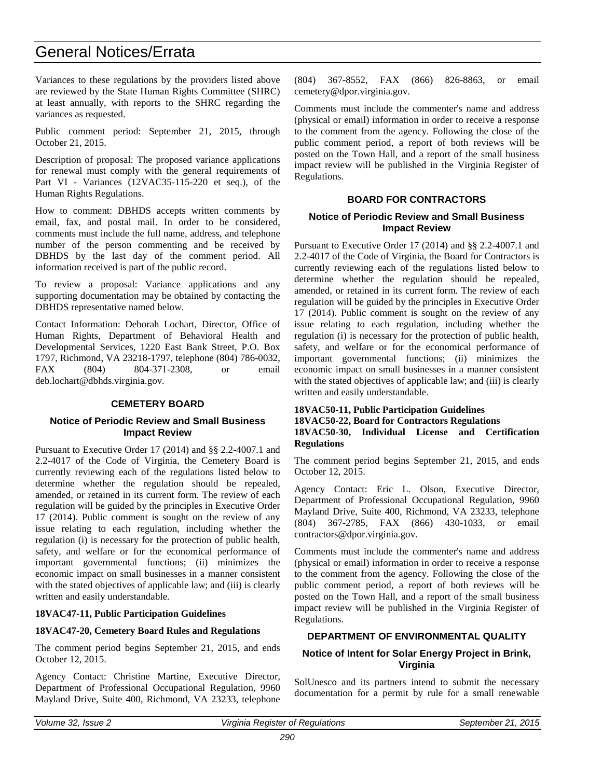# General Notices/Errata

Variances to these regulations by the providers listed above are reviewed by the State Human Rights Committee (SHRC) at least annually, with reports to the SHRC regarding the variances as requested.

Public comment period: September 21, 2015, through October 21, 2015.

Description of proposal: The proposed variance applications for renewal must comply with the general requirements of Part VI - Variances (12VAC35-115-220 et seq.), of the Human Rights Regulations.

How to comment: DBHDS accepts written comments by email, fax, and postal mail. In order to be considered, comments must include the full name, address, and telephone number of the person commenting and be received by DBHDS by the last day of the comment period. All information received is part of the public record.

To review a proposal: Variance applications and any supporting documentation may be obtained by contacting the DBHDS representative named below.

Contact Information: Deborah Lochart, Director, Office of Human Rights, Department of Behavioral Health and Developmental Services, 1220 East Bank Street, P.O. Box 1797, Richmond, VA 23218-1797, telephone (804) 786-0032, FAX (804) 804-371-2308, or email deb.lochart@dbhds.virginia.gov.

# **CEMETERY BOARD**

# **Notice of Periodic Review and Small Business Impact Review**

Pursuant to Executive Order 17 (2014) and §§ 2.2-4007.1 and 2.2-4017 of the Code of Virginia, the Cemetery Board is currently reviewing each of the regulations listed below to determine whether the regulation should be repealed, amended, or retained in its current form. The review of each regulation will be guided by the principles in Executive Order 17 (2014). Public comment is sought on the review of any issue relating to each regulation, including whether the regulation (i) is necessary for the protection of public health, safety, and welfare or for the economical performance of important governmental functions; (ii) minimizes the economic impact on small businesses in a manner consistent with the stated objectives of applicable law; and (iii) is clearly written and easily understandable.

# **18VAC47-11, Public Participation Guidelines**

# **18VAC47-20, Cemetery Board Rules and Regulations**

The comment period begins September 21, 2015, and ends October 12, 2015.

Agency Contact: Christine Martine, Executive Director, Department of Professional Occupational Regulation, 9960 Mayland Drive, Suite 400, Richmond, VA 23233, telephone

(804) 367-8552, FAX (866) 826-8863, or email cemetery@dpor.virginia.gov.

Comments must include the commenter's name and address (physical or email) information in order to receive a response to the comment from the agency. Following the close of the public comment period, a report of both reviews will be posted on the Town Hall, and a report of the small business impact review will be published in the Virginia Register of Regulations.

# **BOARD FOR CONTRACTORS**

# **Notice of Periodic Review and Small Business Impact Review**

Pursuant to Executive Order 17 (2014) and §§ 2.2-4007.1 and 2.2-4017 of the Code of Virginia, the Board for Contractors is currently reviewing each of the regulations listed below to determine whether the regulation should be repealed, amended, or retained in its current form. The review of each regulation will be guided by the principles in Executive Order 17 (2014). Public comment is sought on the review of any issue relating to each regulation, including whether the regulation (i) is necessary for the protection of public health, safety, and welfare or for the economical performance of important governmental functions; (ii) minimizes the economic impact on small businesses in a manner consistent with the stated objectives of applicable law; and (iii) is clearly written and easily understandable.

### **18VAC50-11, Public Participation Guidelines 18VAC50-22, Board for Contractors Regulations 18VAC50-30, Individual License and Certification Regulations**

The comment period begins September 21, 2015, and ends October 12, 2015.

Agency Contact: Eric L. Olson, Executive Director, Department of Professional Occupational Regulation, 9960 Mayland Drive, Suite 400, Richmond, VA 23233, telephone (804) 367-2785, FAX (866) 430-1033, or email contractors@dpor.virginia.gov.

Comments must include the commenter's name and address (physical or email) information in order to receive a response to the comment from the agency. Following the close of the public comment period, a report of both reviews will be posted on the Town Hall, and a report of the small business impact review will be published in the Virginia Register of Regulations.

# **DEPARTMENT OF ENVIRONMENTAL QUALITY**

# **Notice of Intent for Solar Energy Project in Brink, Virginia**

SolUnesco and its partners intend to submit the necessary documentation for a permit by rule for a small renewable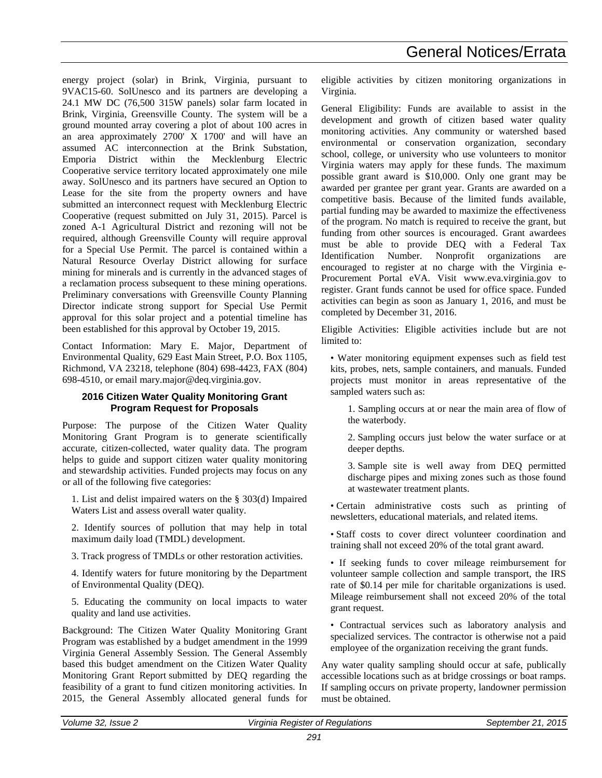energy project (solar) in Brink, Virginia, pursuant to 9VAC15-60. SolUnesco and its partners are developing a 24.1 MW DC (76,500 315W panels) solar farm located in Brink, Virginia, Greensville County. The system will be a ground mounted array covering a plot of about 100 acres in an area approximately 2700' X 1700' and will have an assumed AC interconnection at the Brink Substation, Emporia District within the Mecklenburg Electric Cooperative service territory located approximately one mile away. SolUnesco and its partners have secured an Option to Lease for the site from the property owners and have submitted an interconnect request with Mecklenburg Electric Cooperative (request submitted on July 31, 2015). Parcel is zoned A-1 Agricultural District and rezoning will not be required, although Greensville County will require approval for a Special Use Permit. The parcel is contained within a Natural Resource Overlay District allowing for surface mining for minerals and is currently in the advanced stages of a reclamation process subsequent to these mining operations. Preliminary conversations with Greensville County Planning Director indicate strong support for Special Use Permit approval for this solar project and a potential timeline has been established for this approval by October 19, 2015.

Contact Information: Mary E. Major, Department of Environmental Quality, 629 East Main Street, P.O. Box 1105, Richmond, VA 23218, telephone (804) 698-4423, FAX (804) 698-4510, or email mary.major@deq.virginia.gov.

# **2016 Citizen Water Quality Monitoring Grant Program Request for Proposals**

Purpose: The purpose of the Citizen Water Quality Monitoring Grant Program is to generate scientifically accurate, citizen-collected, water quality data. The program helps to guide and support citizen water quality monitoring and stewardship activities. Funded projects may focus on any or all of the following five categories:

1. List and delist impaired waters on the § 303(d) Impaired Waters List and assess overall water quality.

2. Identify sources of pollution that may help in total maximum daily load (TMDL) development.

3. Track progress of TMDLs or other restoration activities.

4. Identify waters for future monitoring by the Department of Environmental Quality (DEQ).

5. Educating the community on local impacts to water quality and land use activities.

Background: The Citizen Water Quality Monitoring Grant Program was established by a budget amendment in the 1999 Virginia General Assembly Session. The General Assembly based this budget amendment on the Citizen Water Quality Monitoring Grant Report submitted by DEQ regarding the feasibility of a grant to fund citizen monitoring activities. In 2015, the General Assembly allocated general funds for

eligible activities by citizen monitoring organizations in Virginia.

General Eligibility: Funds are available to assist in the development and growth of citizen based water quality monitoring activities. Any community or watershed based environmental or conservation organization, secondary school, college, or university who use volunteers to monitor Virginia waters may apply for these funds. The maximum possible grant award is \$10,000. Only one grant may be awarded per grantee per grant year. Grants are awarded on a competitive basis. Because of the limited funds available, partial funding may be awarded to maximize the effectiveness of the program. No match is required to receive the grant, but funding from other sources is encouraged. Grant awardees must be able to provide DEQ with a Federal Tax Identification Number. Nonprofit organizations are encouraged to register at no charge with the Virginia e-Procurement Portal eVA. Visit [www.eva.virginia.gov](http://www.eva.virginia.gov/) to register. Grant funds cannot be used for office space. Funded activities can begin as soon as January 1, 2016, and must be completed by December 31, 2016.

Eligible Activities: Eligible activities include but are not limited to:

• Water monitoring equipment expenses such as field test kits, probes, nets, sample containers, and manuals. Funded projects must monitor in areas representative of the sampled waters such as:

1. Sampling occurs at or near the main area of flow of the waterbody.

2. Sampling occurs just below the water surface or at deeper depths.

3. Sample site is well away from DEQ permitted discharge pipes and mixing zones such as those found at wastewater treatment plants.

• Certain administrative costs such as printing of newsletters, educational materials, and related items.

• Staff costs to cover direct volunteer coordination and training shall not exceed 20% of the total grant award.

• If seeking funds to cover mileage reimbursement for volunteer sample collection and sample transport, the IRS rate of \$0.14 per mile for charitable organizations is used. Mileage reimbursement shall not exceed 20% of the total grant request.

• Contractual services such as laboratory analysis and specialized services. The contractor is otherwise not a paid employee of the organization receiving the grant funds.

Any water quality sampling should occur at safe, publically accessible locations such as at bridge crossings or boat ramps. If sampling occurs on private property, landowner permission must be obtained.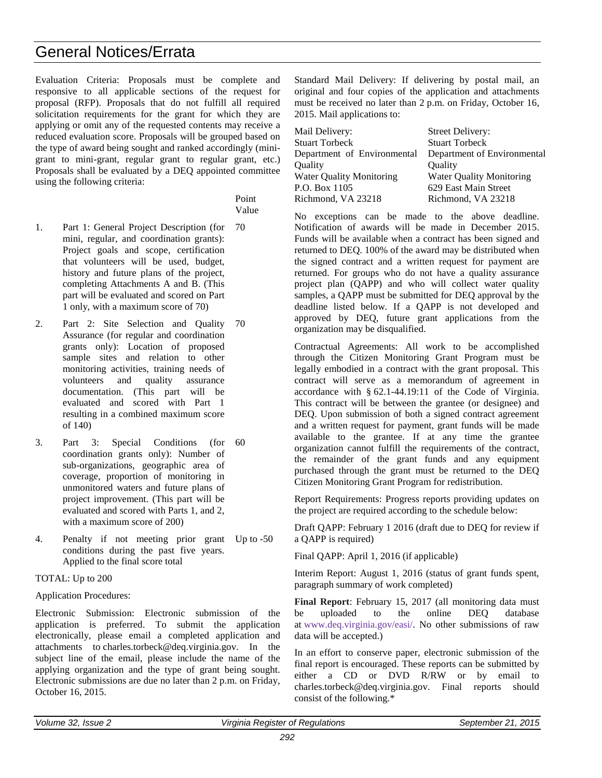# General Notices/Errata

Evaluation Criteria: Proposals must be complete and responsive to all applicable sections of the request for proposal (RFP). Proposals that do not fulfill all required solicitation requirements for the grant for which they are applying or omit any of the requested contents may receive a reduced evaluation score. Proposals will be grouped based on the type of award being sought and ranked accordingly (minigrant to mini-grant, regular grant to regular grant, etc.) Proposals shall be evaluated by a DEQ appointed committee using the following criteria:

> Point Value

- 1. Part 1: General Project Description (for mini, regular, and coordination grants): Project goals and scope, certification that volunteers will be used, budget, history and future plans of the project, completing Attachments A and B. (This part will be evaluated and scored on Part 1 only, with a maximum score of 70) 70
- 2. Part 2: Site Selection and Quality 70 Assurance (for regular and coordination grants only): Location of proposed sample sites and relation to other monitoring activities, training needs of volunteers and quality assurance documentation. (This part will be evaluated and scored with Part 1 resulting in a combined maximum score of 140)
- 3. Part 3: Special Conditions (for coordination grants only): Number of sub-organizations, geographic area of coverage, proportion of monitoring in unmonitored waters and future plans of project improvement. (This part will be evaluated and scored with Parts 1, and 2, with a maximum score of 200) 60
- 4. Penalty if not meeting prior grant Up to -50 conditions during the past five years. Applied to the final score total

# TOTAL: Up to 200

# Application Procedures:

Electronic Submission: Electronic submission of the application is preferred. To submit the application electronically, please email a completed application and attachments to [charles.torbeck@deq.virginia.gov.](mailto:charles.torbeck@deq.virginia.gov) In the subject line of the email, please include the name of the applying organization and the type of grant being sought. Electronic submissions are due no later than 2 p.m. on Friday, October 16, 2015.

Standard Mail Delivery: If delivering by postal mail, an original and four copies of the application and attachments must be received no later than 2 p.m. on Friday, October 16, 2015. Mail applications to:

| <b>Street Delivery:</b>         |
|---------------------------------|
| <b>Stuart Torbeck</b>           |
| Department of Environmental     |
| Ouality                         |
| <b>Water Quality Monitoring</b> |
| 629 East Main Street            |
| Richmond, VA 23218              |
|                                 |

No exceptions can be made to the above deadline. Notification of awards will be made in December 2015. Funds will be available when a contract has been signed and returned to DEQ. 100% of the award may be distributed when the signed contract and a written request for payment are returned. For groups who do not have a quality assurance project plan (QAPP) and who will collect water quality samples, a QAPP must be submitted for DEQ approval by the deadline listed below. If a QAPP is not developed and approved by DEQ, future grant applications from the organization may be disqualified.

Contractual Agreements: All work to be accomplished through the Citizen Monitoring Grant Program must be legally embodied in a contract with the grant proposal. This contract will serve as a memorandum of agreement in accordance with § [62.1-44.19:11](http://leg1.state.va.us/cgi-bin/legp504.exe?000+cod+62.1-44.19C11) of the Code of Virginia. This contract will be between the grantee (or designee) and DEQ. Upon submission of both a signed contract agreement and a written request for payment, grant funds will be made available to the grantee. If at any time the grantee organization cannot fulfill the requirements of the contract, the remainder of the grant funds and any equipment purchased through the grant must be returned to the DEQ Citizen Monitoring Grant Program for redistribution.

Report Requirements: Progress reports providing updates on the project are required according to the schedule below:

Draft QAPP: February 1 2016 (draft due to DEQ for review if a QAPP is required)

Final QAPP: April 1, 2016 (if applicable)

Interim Report: August 1, 2016 (status of grant funds spent, paragraph summary of work completed)

**Final Report**: February 15, 2017 (all monitoring data must be uploaded to the online DEQ database at [www.deq.virginia.gov/easi/.](http://www.deq.virginia.gov/easi/) No other submissions of raw data will be accepted.)

In an effort to conserve paper, electronic submission of the final report is encouraged. These reports can be submitted by either a CD or DVD R/RW or by email to charles.torbeck@deq.virginia.gov. Final reports should consist of the following.\*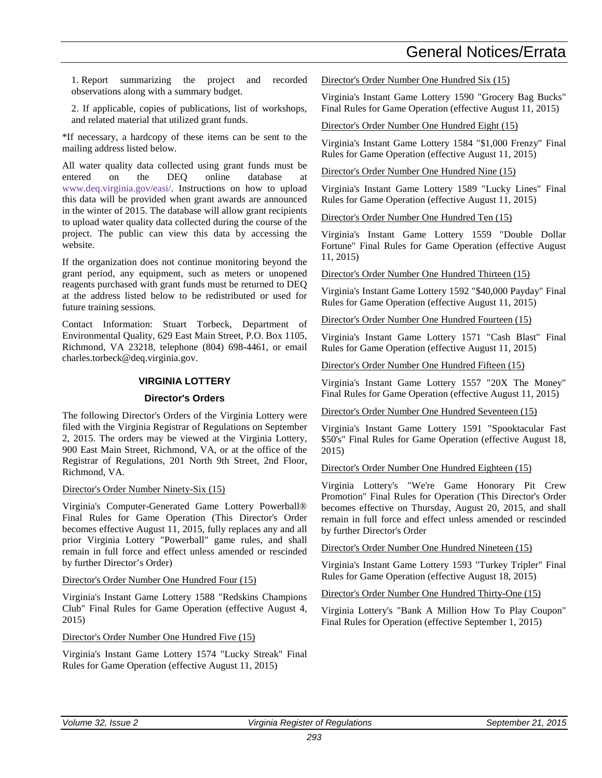# General Notices/Errata

1. Report summarizing the project and recorded observations along with a summary budget.

2. If applicable, copies of publications, list of workshops, and related material that utilized grant funds.

\*If necessary, a hardcopy of these items can be sent to the mailing address listed below.

All water quality data collected using grant funds must be entered on the DEQ online database at [www.deq.virginia.gov/easi/.](http://www.deq.virginia.gov/easi/) Instructions on how to upload this data will be provided when grant awards are announced in the winter of 2015. The database will allow grant recipients to upload water quality data collected during the course of the project. The public can view this data by accessing the website.

If the organization does not continue monitoring beyond the grant period, any equipment, such as meters or unopened reagents purchased with grant funds must be returned to DEQ at the address listed below to be redistributed or used for future training sessions.

Contact Information: Stuart Torbeck, Department of Environmental Quality, 629 East Main Street, P.O. Box 1105, Richmond, VA 23218, telephone (804) 698-4461, or email charles.torbeck@deq.virginia.gov.

# **VIRGINIA LOTTERY**

# **Director's Orders**

The following Director's Orders of the Virginia Lottery were filed with the Virginia Registrar of Regulations on September 2, 2015. The orders may be viewed at the Virginia Lottery, 900 East Main Street, Richmond, VA, or at the office of the Registrar of Regulations, 201 North 9th Street, 2nd Floor, Richmond, VA.

#### Director's Order Number Ninety-Six (15)

Virginia's Computer-Generated Game Lottery Powerball® Final Rules for Game Operation (This Director's Order becomes effective August 11, 2015, fully replaces any and all prior Virginia Lottery "Powerball" game rules, and shall remain in full force and effect unless amended or rescinded by further Director's Order)

# Director's Order Number One Hundred Four (15)

Virginia's Instant Game Lottery 1588 "Redskins Champions Club" Final Rules for Game Operation (effective August 4, 2015)

Director's Order Number One Hundred Five (15)

Virginia's Instant Game Lottery 1574 "Lucky Streak" Final Rules for Game Operation (effective August 11, 2015)

Director's Order Number One Hundred Six (15)

Virginia's Instant Game Lottery 1590 "Grocery Bag Bucks" Final Rules for Game Operation (effective August 11, 2015)

Director's Order Number One Hundred Eight (15)

Virginia's Instant Game Lottery 1584 "\$1,000 Frenzy" Final Rules for Game Operation (effective August 11, 2015)

Director's Order Number One Hundred Nine (15)

Virginia's Instant Game Lottery 1589 "Lucky Lines" Final Rules for Game Operation (effective August 11, 2015)

Director's Order Number One Hundred Ten (15)

Virginia's Instant Game Lottery 1559 "Double Dollar Fortune" Final Rules for Game Operation (effective August 11, 2015)

Director's Order Number One Hundred Thirteen (15)

Virginia's Instant Game Lottery 1592 "\$40,000 Payday" Final Rules for Game Operation (effective August 11, 2015)

Director's Order Number One Hundred Fourteen (15)

Virginia's Instant Game Lottery 1571 "Cash Blast" Final Rules for Game Operation (effective August 11, 2015)

Director's Order Number One Hundred Fifteen (15)

Virginia's Instant Game Lottery 1557 "20X The Money" Final Rules for Game Operation (effective August 11, 2015)

Director's Order Number One Hundred Seventeen (15)

Virginia's Instant Game Lottery 1591 "Spooktacular Fast \$50's" Final Rules for Game Operation (effective August 18, 2015)

Director's Order Number One Hundred Eighteen (15)

Virginia Lottery's "We're Game Honorary Pit Crew Promotion" Final Rules for Operation (This Director's Order becomes effective on Thursday, August 20, 2015, and shall remain in full force and effect unless amended or rescinded by further Director's Order

Director's Order Number One Hundred Nineteen (15)

Virginia's Instant Game Lottery 1593 "Turkey Tripler" Final Rules for Game Operation (effective August 18, 2015)

Director's Order Number One Hundred Thirty-One (15)

Virginia Lottery's "Bank A Million How To Play Coupon" Final Rules for Operation (effective September 1, 2015)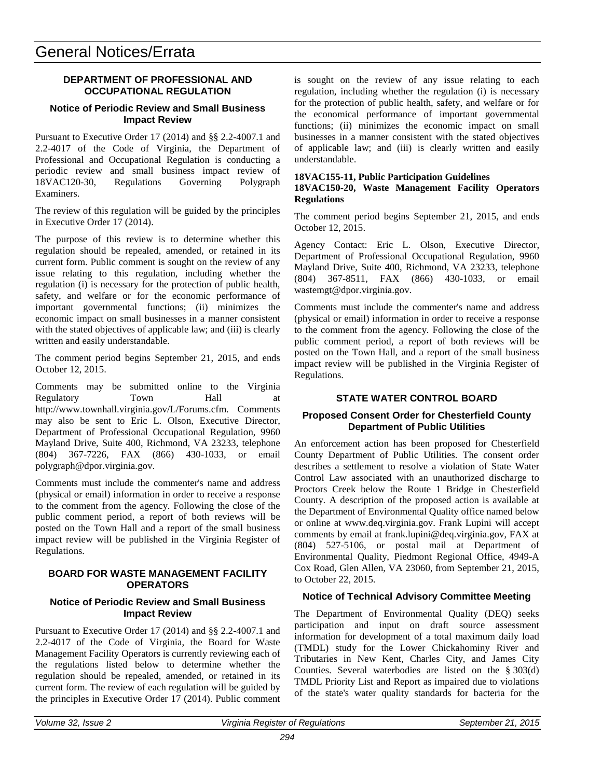# **DEPARTMENT OF PROFESSIONAL AND OCCUPATIONAL REGULATION**

### **Notice of Periodic Review and Small Business Impact Review**

Pursuant to Executive Order 17 (2014) and §§ 2.2-4007.1 and 2.2-4017 of the Code of Virginia, the Department of Professional and Occupational Regulation is conducting a periodic review and small business impact review of 18VAC120-30, Regulations Governing Polygraph Examiners.

The review of this regulation will be guided by the principles in Executive Order 17 (2014).

The purpose of this review is to determine whether this regulation should be repealed, amended, or retained in its current form. Public comment is sought on the review of any issue relating to this regulation, including whether the regulation (i) is necessary for the protection of public health, safety, and welfare or for the economic performance of important governmental functions; (ii) minimizes the economic impact on small businesses in a manner consistent with the stated objectives of applicable law; and (iii) is clearly written and easily understandable.

The comment period begins September 21, 2015, and ends October 12, 2015.

Comments may be submitted online to the Virginia Regulatory Town Hall at http://www.townhall.virginia.gov/L/Forums.cfm. Comments may also be sent to Eric L. Olson, Executive Director, Department of Professional Occupational Regulation, 9960 Mayland Drive, Suite 400, Richmond, VA 23233, telephone (804) 367-7226, FAX (866) 430-1033, or email polygraph@dpor.virginia.gov.

Comments must include the commenter's name and address (physical or email) information in order to receive a response to the comment from the agency. Following the close of the public comment period, a report of both reviews will be posted on the Town Hall and a report of the small business impact review will be published in the Virginia Register of Regulations.

# **BOARD FOR WASTE MANAGEMENT FACILITY OPERATORS**

### **Notice of Periodic Review and Small Business Impact Review**

Pursuant to Executive Order 17 (2014) and §§ 2.2-4007.1 and 2.2-4017 of the Code of Virginia, the Board for Waste Management Facility Operators is currently reviewing each of the regulations listed below to determine whether the regulation should be repealed, amended, or retained in its current form. The review of each regulation will be guided by the principles in Executive Order 17 (2014). Public comment

is sought on the review of any issue relating to each regulation, including whether the regulation (i) is necessary for the protection of public health, safety, and welfare or for the economical performance of important governmental functions; (ii) minimizes the economic impact on small businesses in a manner consistent with the stated objectives of applicable law; and (iii) is clearly written and easily understandable.

### **18VAC155-11, Public Participation Guidelines 18VAC150-20, Waste Management Facility Operators Regulations**

The comment period begins September 21, 2015, and ends October 12, 2015.

Agency Contact: Eric L. Olson, Executive Director, Department of Professional Occupational Regulation, 9960 Mayland Drive, Suite 400, Richmond, VA 23233, telephone (804) 367-8511, FAX (866) 430-1033, or email wastemgt@dpor.virginia.gov.

Comments must include the commenter's name and address (physical or email) information in order to receive a response to the comment from the agency. Following the close of the public comment period, a report of both reviews will be posted on the Town Hall, and a report of the small business impact review will be published in the Virginia Register of Regulations.

# **STATE WATER CONTROL BOARD**

# **Proposed Consent Order for Chesterfield County Department of Public Utilities**

An enforcement action has been proposed for Chesterfield County Department of Public Utilities. The consent order describes a settlement to resolve a violation of State Water Control Law associated with an unauthorized discharge to Proctors Creek below the Route 1 Bridge in Chesterfield County. A description of the proposed action is available at the Department of Environmental Quality office named below or online at www.deq.virginia.gov. Frank Lupini will accept comments by email at frank.lupini@deq.virginia.gov, FAX at (804) 527-5106, or postal mail at Department of Environmental Quality, Piedmont Regional Office, 4949-A Cox Road, Glen Allen, VA 23060, from September 21, 2015, to October 22, 2015.

# **Notice of Technical Advisory Committee Meeting**

The Department of Environmental Quality (DEQ) seeks participation and input on draft source assessment information for development of a total maximum daily load (TMDL) study for the Lower Chickahominy River and Tributaries in New Kent, Charles City, and James City Counties. Several waterbodies are listed on the § 303(d) TMDL Priority List and Report as impaired due to violations of the state's water quality standards for bacteria for the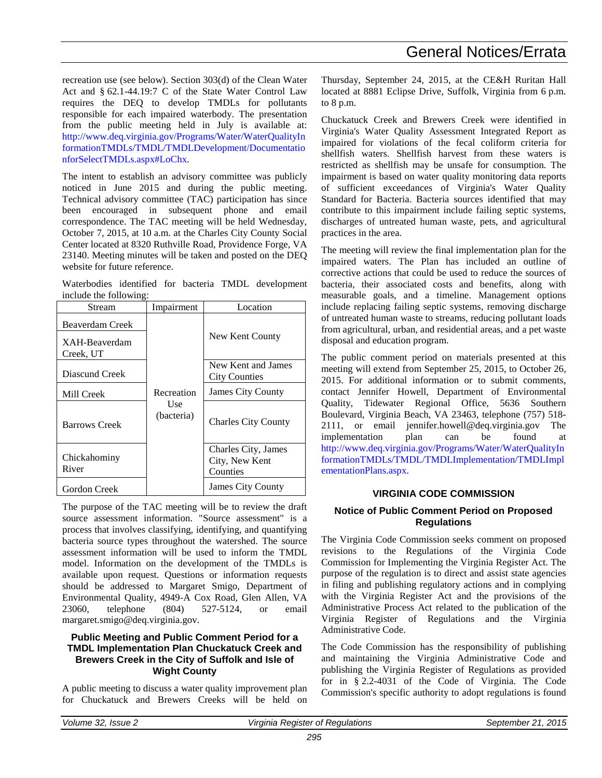recreation use (see below). Section 303(d) of the Clean Water Act and § 62.1-44.19:7 C of the State Water Control Law requires the DEQ to develop TMDLs for pollutants responsible for each impaired waterbody. The presentation from the public meeting held in July is available at: [http://www.deq.virginia.gov/Programs/Water/WaterQualityIn](http://www.deq.virginia.gov/Programs/Water/WaterQualityInformationTMDLs/TMDL/TMDLDevelopment/DocumentationforSelectTMDLs.aspx#LoChx) [formationTMDLs/TMDL/TMDLDevelopment/Documentatio](http://www.deq.virginia.gov/Programs/Water/WaterQualityInformationTMDLs/TMDL/TMDLDevelopment/DocumentationforSelectTMDLs.aspx#LoChx) [nforSelectTMDLs.aspx#LoChx.](http://www.deq.virginia.gov/Programs/Water/WaterQualityInformationTMDLs/TMDL/TMDLDevelopment/DocumentationforSelectTMDLs.aspx#LoChx) 

The intent to establish an advisory committee was publicly noticed in June 2015 and during the public meeting. Technical advisory committee (TAC) participation has since been encouraged in subsequent phone and email correspondence. The TAC meeting will be held Wednesday, October 7, 2015, at 10 a.m. at the Charles City County Social Center located at 8320 Ruthville Road, Providence Forge, VA 23140. Meeting minutes will be taken and posted on the DEQ website for future reference.

Waterbodies identified for bacteria TMDL development include the following:

| Stream                           | Impairment                    | Location                                          |
|----------------------------------|-------------------------------|---------------------------------------------------|
| Beaverdam Creek<br>XAH-Beaverdam |                               | New Kent County                                   |
| Creek, UT<br>Diascund Creek      |                               | New Kent and James<br><b>City Counties</b>        |
| Mill Creek                       | Recreation                    | <b>James City County</b>                          |
| <b>Barrows Creek</b>             | Use <sub></sub><br>(bacteria) | <b>Charles City County</b>                        |
| Chickahominy<br>River            |                               | Charles City, James<br>City, New Kent<br>Counties |
| Gordon Creek                     |                               | James City County                                 |

The purpose of the TAC meeting will be to review the draft source assessment information. "Source assessment" is a process that involves classifying, identifying, and quantifying bacteria source types throughout the watershed. The source assessment information will be used to inform the TMDL model. Information on the development of the TMDLs is available upon request. Questions or information requests should be addressed to Margaret Smigo, Department of Environmental Quality, 4949-A Cox Road, Glen Allen, VA 23060, telephone (804) 527-5124, or email margaret.smigo@deq.virginia.gov.

# **Public Meeting and Public Comment Period for a TMDL Implementation Plan Chuckatuck Creek and Brewers Creek in the City of Suffolk and Isle of Wight County**

A public meeting to discuss a water quality improvement plan for Chuckatuck and Brewers Creeks will be held on

Thursday, September 24, 2015, at the CE&H Ruritan Hall located at 8881 Eclipse Drive, Suffolk, Virginia from 6 p.m. to 8 p.m.

Chuckatuck Creek and Brewers Creek were identified in Virginia's Water Quality Assessment Integrated Report as impaired for violations of the fecal coliform criteria for shellfish waters. Shellfish harvest from these waters is restricted as shellfish may be unsafe for consumption. The impairment is based on water quality monitoring data reports of sufficient exceedances of Virginia's Water Quality Standard for Bacteria. Bacteria sources identified that may contribute to this impairment include failing septic systems, discharges of untreated human waste, pets, and agricultural practices in the area.

The meeting will review the final implementation plan for the impaired waters. The Plan has included an outline of corrective actions that could be used to reduce the sources of bacteria, their associated costs and benefits, along with measurable goals, and a timeline. Management options include replacing failing septic systems, removing discharge of untreated human waste to streams, reducing pollutant loads from agricultural, urban, and residential areas, and a pet waste disposal and education program.

The public comment period on materials presented at this meeting will extend from September 25, 2015, to October 26, 2015. For additional information or to submit comments, contact Jennifer Howell, Department of Environmental Quality, Tidewater Regional Office, 5636 Southern Boulevard, Virginia Beach, VA 23463, telephone (757) 518- 2111, or email jennifer.howell@deq.virginia.gov The<br>implementation plan can be found at implementation plan can be found at [http://www.deq.virginia.gov/Programs/Water/WaterQualityIn](http://www.deq.virginia.gov/Programs/Water/WaterQualityInformationTMDLs/TMDL/TMDLImplementation/TMDLImplementationPlans.aspx) [formationTMDLs/TMDL/TMDLImplementation/TMDLImpl](http://www.deq.virginia.gov/Programs/Water/WaterQualityInformationTMDLs/TMDL/TMDLImplementation/TMDLImplementationPlans.aspx) [ementationPlans.aspx.](http://www.deq.virginia.gov/Programs/Water/WaterQualityInformationTMDLs/TMDL/TMDLImplementation/TMDLImplementationPlans.aspx)

# **VIRGINIA CODE COMMISSION**

# **Notice of Public Comment Period on Proposed Regulations**

The Virginia Code Commission seeks comment on proposed revisions to the Regulations of the Virginia Code Commission for Implementing the Virginia Register Act. The purpose of the regulation is to direct and assist state agencies in filing and publishing regulatory actions and in complying with the Virginia Register Act and the provisions of the Administrative Process Act related to the publication of the Virginia Register of Regulations and the Virginia Administrative Code.

The Code Commission has the responsibility of publishing and maintaining the Virginia Administrative Code and publishing the Virginia Register of Regulations as provided for in § [2.2-4031](http://law.lis.virginia.gov/vacode/2.2-4031/) of the Code of Virginia. The Code Commission's specific authority to adopt regulations is found